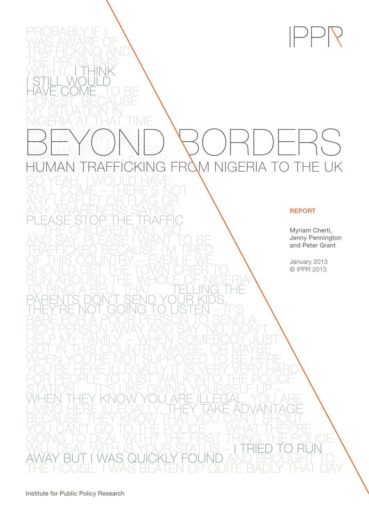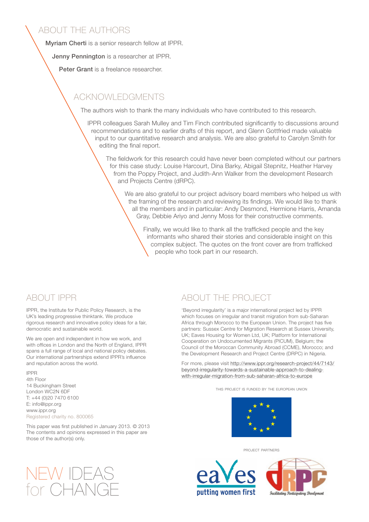### ABOUT THE AUTHORS

Myriam Cherti is a senior research fellow at IPPR.

Jenny Pennington is a researcher at IPPR.

Peter Grant is a freelance researcher.

## ACKNOWLEDGMENTS

The authors wish to thank the many individuals who have contributed to this research.

IPPR colleagues Sarah Mulley and Tim Finch contributed significantly to discussions around recommendations and to earlier drafts of this report, and Glenn Gottfried made valuable input to our quantitative research and analysis. We are also grateful to Carolyn Smith for editing the final report.

The fieldwork for this research could have never been completed without our partners for this case study: Louise Harcourt, Dina Barky, Abigail Stepnitz, Heather Harvey from the Poppy Project, and Judith-Ann Walker from the development Research and Projects Centre (dRPC).

We are also grateful to our project advisory board members who helped us with the framing of the research and reviewing its findings. We would like to thank all the members and in particular: Andy Desmond, Hermione Harris, Amanda Gray, Debbie Ariyo and Jenny Moss for their constructive comments.

Finally, we would like to thank all the trafficked people and the key informants who shared their stories and considerable insight on this complex subject. The quotes on the front cover are from trafficked people who took part in our research.

### ABOUT IPPR

IPPR, the Institute for Public Policy Research, is the UK's leading progressive thinktank. We produce rigorous research and innovative policy ideas for a fair, democratic and sustainable world.

We are open and independent in how we work, and with offices in London and the North of England, IPPR spans a full range of local and national policy debates. Our international partnerships extend IPPR's influence and reputation across the world.

### IPPR

4th Floor 14 Buckingham Street London WC2N 6DF T: +44 (0)20 7470 6100 E: info@ippr.org www.ippr.org Registered charity no. 800065

This paper was first published in January 2013. © 2013 The contents and opinions expressed in this paper are those of the author(s) only.

### ABOUT THE PROJECT

'Beyond irregularity' is a major international project led by IPPR which focuses on irregular and transit migration from sub-Saharan Africa through Morocco to the European Union. The project has five partners: Sussex Centre for Migration Research at Sussex University, UK; Eaves Housing for Women Ltd, UK; Platform for International Cooperation on Undocumented Migrants (PICUM), Belgium; the Council of the Moroccan Community Abroad (CCME), Morocco; and the Development Research and Project Centre (DRPC) in Nigeria.

For more, please visit [http://www.ippr.org/research-project/44/7143/](http://www.ippr.org/research-project/44/7143/beyond-irregularity-towards-a-sustainable-approach-to-dealing-with-irregular-migration-from-sub-saharan-africa-to-europe) [beyond-irregularity-towards-a-sustainable-approach-to-dealing](http://www.ippr.org/research-project/44/7143/beyond-irregularity-towards-a-sustainable-approach-to-dealing-with-irregular-migration-from-sub-saharan-africa-to-europe)[with-irregular-migration-from-sub-saharan-africa-to-europe](http://www.ippr.org/research-project/44/7143/beyond-irregularity-towards-a-sustainable-approach-to-dealing-with-irregular-migration-from-sub-saharan-africa-to-europe)

this project is funded by the european union



project partners





NEW IDEAS for CHANGE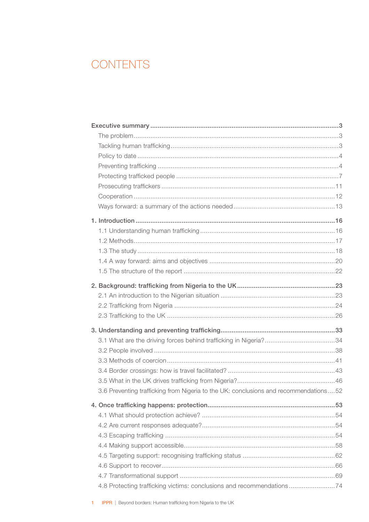# **CONTENTS**

| 3.6 Preventing trafficking from Nigeria to the UK: conclusions and recommendations52 |  |
|--------------------------------------------------------------------------------------|--|
|                                                                                      |  |
|                                                                                      |  |
|                                                                                      |  |
|                                                                                      |  |
|                                                                                      |  |
|                                                                                      |  |
|                                                                                      |  |
|                                                                                      |  |
| 4.8 Protecting trafficking victims: conclusions and recommendations74                |  |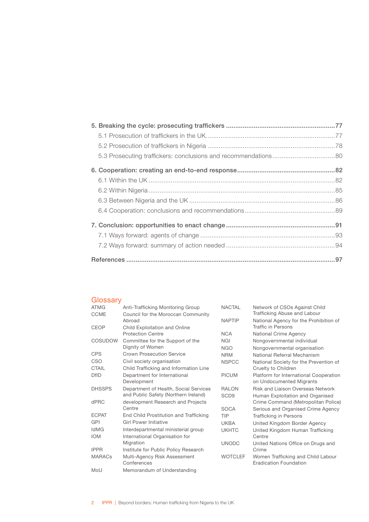### **Glossary**

| <b>ATMG</b>   | Anti-Trafficking Monitoring Group      | <b>NACTAL</b>    | Network of CSOs Against Child          |
|---------------|----------------------------------------|------------------|----------------------------------------|
| <b>CCME</b>   | Council for the Moroccan Community     |                  | Trafficking Abuse and Labour           |
|               | Abroad                                 | <b>NAPTIP</b>    | National Agency for the Prohibition of |
| <b>CEOP</b>   | Child Exploitation and Online          |                  | Traffic in Persons                     |
|               | <b>Protection Centre</b>               | <b>NCA</b>       | National Crime Agency                  |
| COSUDOW       | Committee for the Support of the       | <b>NGI</b>       | Nongovernmental individual             |
|               | Dignity of Women                       | <b>NGO</b>       | Nongovernmental organisation           |
| <b>CPS</b>    | <b>Crown Prosecution Service</b>       | <b>NRM</b>       | National Referral Mechanism            |
| <b>CSO</b>    | Civil society organisation             | <b>NSPCC</b>     | National Society for the Prevention of |
| CTAIL         | Child Trafficking and Information Line |                  | Cruelty to Children                    |
| <b>DfID</b>   | Department for International           | <b>PICUM</b>     | Platform for International Cooperation |
|               | Development                            |                  | on Undocumented Migrants               |
| <b>DHSSPS</b> | Department of Health, Social Services  | <b>RALON</b>     | Risk and Liaison Overseas Network      |
|               | and Public Safety (Northern Ireland)   | SCD <sub>9</sub> | Human Exploitation and Organised       |
| dPRC          | development Research and Projects      |                  | Crime Command (Metropolitan Police)    |
|               | Centre                                 | <b>SOCA</b>      | Serious and Organised Crime Agency     |
| <b>ECPAT</b>  | End Child Prostitution and Trafficking | TIP              | <b>Trafficking in Persons</b>          |
| GPI           | <b>Girl Power Initiative</b>           | <b>UKBA</b>      | United Kingdom Border Agency           |
| <b>IdMG</b>   | Interdepartmental ministerial group    | <b>UKHTC</b>     | United Kingdom Human Trafficking       |
| <b>IOM</b>    | International Organisation for         |                  | Centre                                 |
|               | Migration                              | <b>UNODC</b>     | United Nations Office on Drugs and     |
| <b>IPPR</b>   | Institute for Public Policy Research   |                  | Crime                                  |
| <b>MARACs</b> | Multi-Agency Risk Assessment           | <b>WOTCLEF</b>   | Women Trafficking and Child Labour     |
|               | Conferences                            |                  | Eradication Foundation                 |
| MoU           | Memorandum of Understanding            |                  |                                        |
|               |                                        |                  |                                        |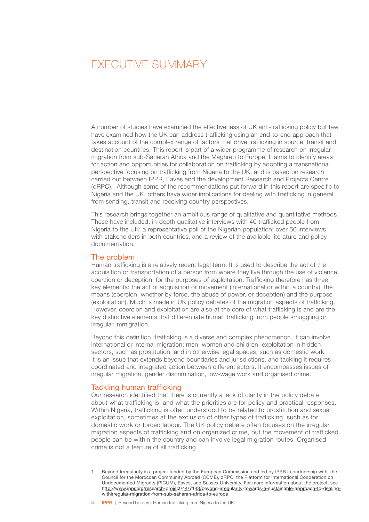# <span id="page-4-0"></span> EXECUTIVE SUMMARY

A number of studies have examined the effectiveness of UK anti-trafficking policy but few have examined how the UK can address trafficking using an end-to-end approach that takes account of the complex range of factors that drive trafficking in source, transit and destination countries. This report is part of a wider programme of research on irregular migration from sub-Saharan Africa and the Maghreb to Europe. It aims to identify areas for action and opportunities for collaboration on trafficking by adopting a transnational perspective focusing on trafficking from Nigeria to the UK, and is based on research carried out between IPPR, Eaves and the development Research and Projects Centre (dRPC).1 Although some of the recommendations put forward in this report are specific to Nigeria and the UK, others have wider implications for dealing with trafficking in general from sending, transit and receiving country perspectives.

This research brings together an ambitious range of qualitative and quantitative methods. These have included: in-depth qualitative interviews with 40 trafficked people from Nigeria to the UK; a representative poll of the Nigerian population; over 50 interviews with stakeholders in both countries; and a review of the available literature and policy documentation.

### The problem

Human trafficking is a relatively recent legal term. It is used to describe the act of the acquisition or transportation of a person from where they live through the use of violence, coercion or deception, for the purposes of exploitation. Trafficking therefore has three key elements: the act of acquisition or movement (international or within a country), the means (coercion, whether by force, the abuse of power, or deception) and the purpose (exploitation). Much is made in UK policy debates of the migration aspects of trafficking. However, coercion and exploitation are also at the core of what trafficking is and are the key distinctive elements that differentiate human trafficking from people smuggling or irregular immigration.

Beyond this definition, trafficking is a diverse and complex phenomenon. It can involve international or internal migration; men, women and children; exploitation in hidden sectors, such as prostitution, and in otherwise legal spaces, such as domestic work. It is an issue that extends beyond boundaries and jurisdictions, and tackling it requires coordinated and integrated action between different actors. It encompasses issues of irregular migration, gender discrimination, low-wage work and organised crime.

### Tackling human trafficking

Our research identified that there is currently a lack of clarity in the policy debate about what trafficking is, and what the priorities are for policy and practical responses. Within Nigeria, trafficking is often understood to be related to prostitution and sexual exploitation, sometimes at the exclusion of other types of trafficking, such as for domestic work or forced labour. The UK policy debate often focuses on the irregular migration aspects of trafficking and on organized crime, but the movement of trafficked people can be within the country and can involve legal migration routes. Organised crime is not a feature of all trafficking.

Beyond Irregularity is a project funded by the European Commission and led by IPPR in partnership with: the Council for the Moroccan Community Abroad (CCME), dRPC, the Platform for International Cooperation on Undocumented Migrants (PICUM), Eaves, and Sussex University. For more information about the project, see [http://www.ippr.org/research-project/44/7143/beyond-irregularity-towards-a-sustainable-approach-to-dealing](http://www.ippr.org/research-project/44/7143/beyond-irregularity-towards-a-sustainable-approach-to-dealing-withirregular-migration-from-sub-saharan-africa-to-europe)[withirregular-migration-from-sub-saharan-africa-to-europe](http://www.ippr.org/research-project/44/7143/beyond-irregularity-towards-a-sustainable-approach-to-dealing-withirregular-migration-from-sub-saharan-africa-to-europe)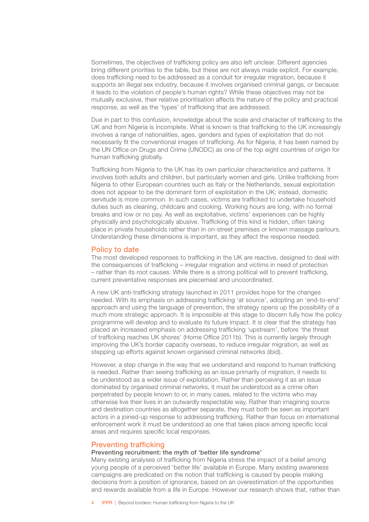<span id="page-5-0"></span>Sometimes, the objectives of trafficking policy are also left unclear. Different agencies bring different priorities to the table, but these are not always made explicit. For example, does trafficking need to be addressed as a conduit for irregular migration, because it supports an illegal sex industry, because it involves organised criminal gangs, or because it leads to the violation of people's human rights? While these objectives may not be mutually exclusive, their relative prioritisation affects the nature of the policy and practical response, as well as the 'types' of trafficking that are addressed.

Due in part to this confusion, knowledge about the scale and character of trafficking to the UK and from Nigeria is incomplete. What is known is that trafficking to the UK increasingly involves a range of nationalities, ages, genders and types of exploitation that do not necessarily fit the conventional images of trafficking. As for Nigeria, it has been named by the UN Office on Drugs and Crime (UNODC) as one of the top eight countries of origin for human trafficking globally.

Trafficking from Nigeria to the UK has its own particular characteristics and patterns. It involves both adults and children, but particularly women and girls. Unlike trafficking from Nigeria to other European countries such as Italy or the Netherlands, sexual exploitation does not appear to be the dominant form of exploitation in the UK; instead, domestic servitude is more common. In such cases, victims are trafficked to undertake household duties such as cleaning, childcare and cooking. Working hours are long, with no formal breaks and low or no pay. As well as exploitative, victims' experiences can be highly physically and psychologically abusive. Trafficking of this kind is hidden, often taking place in private households rather than in on-street premises or known massage parlours. Understanding these dimensions is important, as they affect the response needed.

### Policy to date

The most developed responses to trafficking in the UK are reactive, designed to deal with the consequences of trafficking – irregular migration and victims in need of protection – rather than its root causes. While there is a strong political will to prevent trafficking, current preventative responses are piecemeal and uncoordinated.

A new UK anti-trafficking strategy launched in 2011 provides hope for the changes needed. With its emphasis on addressing trafficking 'at source', adopting an 'end-to-end' approach and using the language of prevention, the strategy opens up the possibility of a much more strategic approach. It is impossible at this stage to discern fully how the policy programme will develop and to evaluate its future impact. It is clear that the strategy has placed an increased emphasis on addressing trafficking 'upstream', before 'the threat of trafficking reaches UK shores' (Home Office 2011b). This is currently largely through improving the UK's border capacity overseas, to reduce irregular migration, as well as stepping up efforts against known organised criminal networks (ibid).

However, a step change in the way that we understand and respond to human trafficking is needed. Rather than seeing trafficking as an issue primarily of migration, it needs to be understood as a wider issue of exploitation. Rather than perceiving it as an issue dominated by organised criminal networks, it must be understood as a crime often perpetrated by people known to or, in many cases, related to the victims who may otherwise live their lives in an outwardly respectable way. Rather than imagining source and destination countries as altogether separate, they must both be seen as important actors in a joined-up response to addressing trafficking. Rather than focus on international enforcement work it must be understood as one that takes place among specific local areas and requires specific local responses.

### Preventing trafficking

### Preventing recruitment: the myth of 'better life syndrome'

Many existing analyses of trafficking from Nigeria stress the impact of a belief among young people of a perceived 'better life' available in Europe. Many existing awareness campaigns are predicated on the notion that trafficking is caused by people making decisions from a position of ignorance, based on an overestimation of the opportunities and rewards available from a life in Europe. However our research shows that, rather than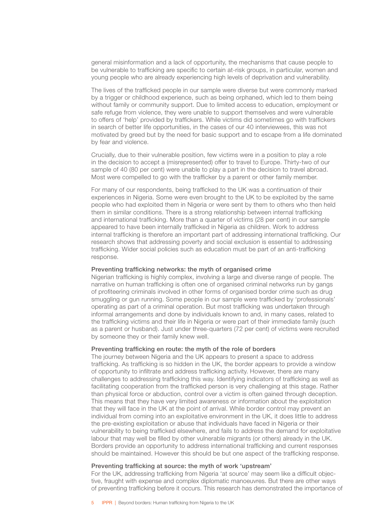general misinformation and a lack of opportunity, the mechanisms that cause people to be vulnerable to trafficking are specific to certain at-risk groups, in particular, women and young people who are already experiencing high levels of deprivation and vulnerability.

The lives of the trafficked people in our sample were diverse but were commonly marked by a trigger or childhood experience, such as being orphaned, which led to them being without family or community support. Due to limited access to education, employment or safe refuge from violence, they were unable to support themselves and were vulnerable to offers of 'help' provided by traffickers. While victims did sometimes go with traffickers in search of better life opportunities, in the cases of our 40 interviewees, this was not motivated by greed but by the need for basic support and to escape from a life dominated by fear and violence.

Crucially, due to their vulnerable position, few victims were in a position to play a role in the decision to accept a (misrepresented) offer to travel to Europe. Thirty-two of our sample of 40 (80 per cent) were unable to play a part in the decision to travel abroad. Most were compelled to go with the trafficker by a parent or other family member.

For many of our respondents, being trafficked to the UK was a continuation of their experiences in Nigeria. Some were even brought to the UK to be exploited by the same people who had exploited them in Nigeria or were sent by them to others who then held them in similar conditions. There is a strong relationship between internal trafficking and international trafficking. More than a quarter of victims (28 per cent) in our sample appeared to have been internally trafficked in Nigeria as children. Work to address internal trafficking is therefore an important part of addressing international trafficking. Our research shows that addressing poverty and social exclusion is essential to addressing trafficking. Wider social policies such as education must be part of an anti-trafficking response.

### Preventing trafficking networks: the myth of organised crime

Nigerian trafficking is highly complex, involving a large and diverse range of people. The narrative on human trafficking is often one of organised criminal networks run by gangs of profiteering criminals involved in other forms of organised border crime such as drug smuggling or gun running. Some people in our sample were trafficked by 'professionals' operating as part of a criminal operation. But most trafficking was undertaken through informal arrangements and done by individuals known to and, in many cases, related to the trafficking victims and their life in Nigeria or were part of their immediate family (such as a parent or husband). Just under three-quarters (72 per cent) of victims were recruited by someone they or their family knew well.

### Preventing trafficking en route: the myth of the role of borders

The journey between Nigeria and the UK appears to present a space to address trafficking. As trafficking is so hidden in the UK, the border appears to provide a window of opportunity to infiltrate and address trafficking activity. However, there are many challenges to addressing trafficking this way. Identifying indicators of trafficking as well as facilitating cooperation from the trafficked person is very challenging at this stage. Rather than physical force or abduction, control over a victim is often gained through deception. This means that they have very limited awareness or information about the exploitation that they will face in the UK at the point of arrival. While border control may prevent an individual from coming into an exploitative environment in the UK, it does little to address the pre-existing exploitation or abuse that individuals have faced in Nigeria or their vulnerability to being trafficked elsewhere, and fails to address the demand for exploitative labour that may well be filled by other vulnerable migrants (or others) already in the UK. Borders provide an opportunity to address international trafficking and current responses should be maintained. However this should be but one aspect of the trafficking response.

### Preventing trafficking at source: the myth of work 'upstream'

For the UK, addressing trafficking from Nigeria 'at source' may seem like a difficult objective, fraught with expense and complex diplomatic manoeuvres. But there are other ways of preventing trafficking before it occurs. This research has demonstrated the importance of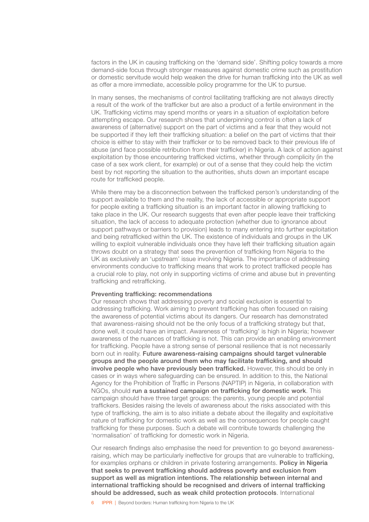factors in the UK in causing trafficking on the 'demand side'. Shifting policy towards a more demand-side focus through stronger measures against domestic crime such as prostitution or domestic servitude would help weaken the drive for human trafficking into the UK as well as offer a more immediate, accessible policy programme for the UK to pursue.

In many senses, the mechanisms of control facilitating trafficking are not always directly a result of the work of the trafficker but are also a product of a fertile environment in the UK. Trafficking victims may spend months or years in a situation of exploitation before attempting escape. Our research shows that underpinning control is often a lack of awareness of (alternative) support on the part of victims and a fear that they would not be supported if they left their trafficking situation: a belief on the part of victims that their choice is either to stay with their trafficker or to be removed back to their previous life of abuse (and face possible retribution from their trafficker) in Nigeria. A lack of action against exploitation by those encountering trafficked victims, whether through complicity (in the case of a sex work client, for example) or out of a sense that they could help the victim best by not reporting the situation to the authorities, shuts down an important escape route for trafficked people.

While there may be a disconnection between the trafficked person's understanding of the support available to them and the reality, the lack of accessible or appropriate support for people exiting a trafficking situation is an important factor in allowing trafficking to take place in the UK. Our research suggests that even after people leave their trafficking situation, the lack of access to adequate protection (whether due to ignorance about support pathways or barriers to provision) leads to many entering into further exploitation and being retrafficked within the UK. The existence of individuals and groups in the UK willing to exploit vulnerable individuals once they have left their trafficking situation again throws doubt on a strategy that sees the prevention of trafficking from Nigeria to the UK as exclusively an 'upstream' issue involving Nigeria. The importance of addressing environments conducive to trafficking means that work to protect trafficked people has a crucial role to play, not only in supporting victims of crime and abuse but in preventing trafficking and retrafficking.

### Preventing trafficking: recommendations

Our research shows that addressing poverty and social exclusion is essential to addressing trafficking. Work aiming to prevent trafficking has often focused on raising the awareness of potential victims about its dangers. Our research has demonstrated that awareness-raising should not be the only focus of a trafficking strategy but that, done well, it could have an impact. Awareness of 'trafficking' is high in Nigeria; however awareness of the nuances of trafficking is not. This can provide an enabling environment for trafficking. People have a strong sense of personal resilience that is not necessarily born out in reality. Future awareness-raising campaigns should target vulnerable groups and the people around them who may facilitate trafficking, and should involve people who have previously been trafficked. However, this should be only in cases or in ways where safeguarding can be ensured. In addition to this, the National Agency for the Prohibition of Traffic in Persons (NAPTIP) in Nigeria, in collaboration with NGOs, should run a sustained campaign on trafficking for domestic work. This campaign should have three target groups: the parents, young people and potential traffickers. Besides raising the levels of awareness about the risks associated with this type of trafficking, the aim is to also initiate a debate about the illegality and exploitative nature of trafficking for domestic work as well as the consequences for people caught trafficking for these purposes. Such a debate will contribute towards challenging the 'normalisation' of trafficking for domestic work in Nigeria.

Our research findings also emphasise the need for prevention to go beyond awarenessraising, which may be particularly ineffective for groups that are vulnerable to trafficking, for examples orphans or children in private fostering arrangements. Policy in Nigeria that seeks to prevent trafficking should address poverty and exclusion from support as well as migration intentions. The relationship between internal and international trafficking should be recognised and drivers of internal trafficking should be addressed, such as weak child protection protocols. International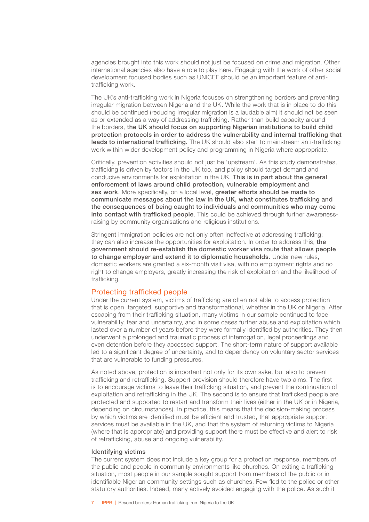<span id="page-8-0"></span>agencies brought into this work should not just be focused on crime and migration. Other international agencies also have a role to play here. Engaging with the work of other social development focused bodies such as UNICEF should be an important feature of antitrafficking work.

The UK's anti-trafficking work in Nigeria focuses on strengthening borders and preventing irregular migration between Nigeria and the UK. While the work that is in place to do this should be continued (reducing irregular migration is a laudable aim) it should not be seen as or extended as a way of addressing trafficking. Rather than build capacity around the borders, the UK should focus on supporting Nigerian institutions to build child protection protocols in order to address the vulnerability and internal trafficking that leads to international trafficking. The UK should also start to mainstream anti-trafficking work within wider development policy and programming in Nigeria where appropriate.

Critically, prevention activities should not just be 'upstream'. As this study demonstrates, trafficking is driven by factors in the UK too, and policy should target demand and conducive environments for exploitation in the UK. This is in part about the general enforcement of laws around child protection, vulnerable employment and sex work. More specifically, on a local level, greater efforts should be made to communicate messages about the law in the UK, what constitutes trafficking and the consequences of being caught to individuals and communities who may come into contact with trafficked people. This could be achieved through further awarenessraising by community organisations and religious institutions.

Stringent immigration policies are not only often ineffective at addressing trafficking; they can also increase the opportunities for exploitation. In order to address this, the government should re-establish the domestic worker visa route that allows people to change employer and extend it to diplomatic households. Under new rules, domestic workers are granted a six-month visit visa, with no employment rights and no right to change employers, greatly increasing the risk of exploitation and the likelihood of trafficking.

### Protecting trafficked people

Under the current system, victims of trafficking are often not able to access protection that is open, targeted, supportive and transformational, whether in the UK or Nigeria. After escaping from their trafficking situation, many victims in our sample continued to face vulnerability, fear and uncertainty, and in some cases further abuse and exploitation which lasted over a number of years before they were formally identified by authorities. They then underwent a prolonged and traumatic process of interrogation, legal proceedings and even detention before they accessed support. The short-term nature of support available led to a significant degree of uncertainty, and to dependency on voluntary sector services that are vulnerable to funding pressures.

As noted above, protection is important not only for its own sake, but also to prevent trafficking and retrafficking. Support provision should therefore have two aims. The first is to encourage victims to leave their trafficking situation, and prevent the continuation of exploitation and retrafficking in the UK. The second is to ensure that trafficked people are protected and supported to restart and transform their lives (either in the UK or in Nigeria, depending on circumstances). In practice, this means that the decision-making process by which victims are identified must be efficient and trusted, that appropriate support services must be available in the UK, and that the system of returning victims to Nigeria (where that is appropriate) and providing support there must be effective and alert to risk of retrafficking, abuse and ongoing vulnerability.

### Identifying victims

The current system does not include a key group for a protection response, members of the public and people in community environments like churches. On exiting a trafficking situation, most people in our sample sought support from members of the public or in identifiable Nigerian community settings such as churches. Few fled to the police or other statutory authorities. Indeed, many actively avoided engaging with the police. As such it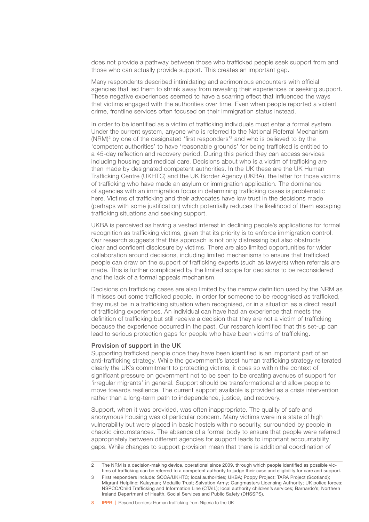does not provide a pathway between those who trafficked people seek support from and those who can actually provide support. This creates an important gap.

Many respondents described intimidating and acrimonious encounters with official agencies that led them to shrink away from revealing their experiences or seeking support. These negative experiences seemed to have a scarring effect that influenced the ways that victims engaged with the authorities over time. Even when people reported a violent crime, frontline services often focused on their immigration status instead.

In order to be identified as a victim of trafficking individuals must enter a formal system. Under the current system, anyone who is referred to the National Referral Mechanism (NRM)2 by one of the designated 'first responders'3 and who is believed to by the 'competent authorities' to have 'reasonable grounds' for being trafficked is entitled to a 45-day reflection and recovery period. During this period they can access services including housing and medical care. Decisions about who is a victim of trafficking are then made by designated competent authorities. In the UK these are the UK Human Trafficking Centre (UKHTC) and the UK Border Agency (UKBA), the latter for those victims of trafficking who have made an asylum or immigration application. The dominance of agencies with an immigration focus in determining trafficking cases is problematic here. Victims of trafficking and their advocates have low trust in the decisions made (perhaps with some justification) which potentially reduces the likelihood of them escaping trafficking situations and seeking support.

UKBA is perceived as having a vested interest in declining people's applications for formal recognition as trafficking victims, given that its priority is to enforce immigration control. Our research suggests that this approach is not only distressing but also obstructs clear and confident disclosure by victims. There are also limited opportunities for wider collaboration around decisions, including limited mechanisms to ensure that trafficked people can draw on the support of trafficking experts (such as lawyers) when referrals are made. This is further complicated by the limited scope for decisions to be reconsidered and the lack of a formal appeals mechanism.

Decisions on trafficking cases are also limited by the narrow definition used by the NRM as it misses out some trafficked people. In order for someone to be recognised as trafficked, they must be in a trafficking situation when recognised, or in a situation as a direct result of trafficking experiences. An individual can have had an experience that meets the definition of trafficking but still receive a decision that they are not a victim of trafficking because the experience occurred in the past. Our research identified that this set-up can lead to serious protection gaps for people who have been victims of trafficking.

### Provision of support in the UK

Supporting trafficked people once they have been identified is an important part of an anti-trafficking strategy. While the government's latest human trafficking strategy reiterated clearly the UK's commitment to protecting victims, it does so within the context of significant pressure on government not to be seen to be creating avenues of support for 'irregular migrants' in general. Support should be transformational and allow people to move towards resilience. The current support available is provided as a crisis intervention rather than a long-term path to independence, justice, and recovery.

Support, when it was provided, was often inappropriate. The quality of safe and anonymous housing was of particular concern. Many victims were in a state of high vulnerability but were placed in basic hostels with no security, surrounded by people in chaotic circumstances. The absence of a formal body to ensure that people were referred appropriately between different agencies for support leads to important accountability gaps. While changes to support provision mean that there is additional coordination of

<sup>2</sup> The NRM is a decision-making device, operational since 2009, through which people identified as possible victims of trafficking can be referred to a competent authority to judge their case and eligibility for care and support.

First responders include: SOCA/UKHTC; local authorities; UKBA; Poppy Project; TARA Project (Scotland); Migrant Helpline; Kalayaan; Medaille Trust; Salvation Army; Gangmasters Licensing Authority; UK police forces; NSPCC/Child Trafficking and Information Line (CTAIL); local authority children's services; Barnardo's; Northern Ireland Department of Health, Social Services and Public Safety (DHSSPS).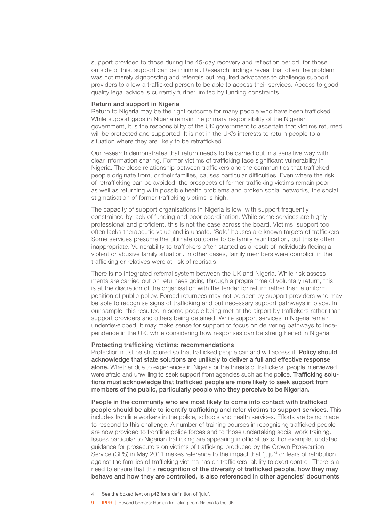support provided to those during the 45-day recovery and reflection period, for those outside of this, support can be minimal. Research findings reveal that often the problem was not merely signposting and referrals but required advocates to challenge support providers to allow a trafficked person to be able to access their services. Access to good quality legal advice is currently further limited by funding constraints.

### Return and support in Nigeria

Return to Nigeria may be the right outcome for many people who have been trafficked. While support gaps in Nigeria remain the primary responsibility of the Nigerian government, it is the responsibility of the UK government to ascertain that victims returned will be protected and supported. It is not in the UK's interests to return people to a situation where they are likely to be retrafficked.

Our research demonstrates that return needs to be carried out in a sensitive way with clear information sharing. Former victims of trafficking face significant vulnerability in Nigeria. The close relationship between traffickers and the communities that trafficked people originate from, or their families, causes particular difficulties. Even where the risk of retrafficking can be avoided, the prospects of former trafficking victims remain poor: as well as returning with possible health problems and broken social networks, the social stigmatisation of former trafficking victims is high.

The capacity of support organisations in Nigeria is low, with support frequently constrained by lack of funding and poor coordination. While some services are highly professional and proficient, this is not the case across the board. Victims' support too often lacks therapeutic value and is unsafe. 'Safe' houses are known targets of traffickers. Some services presume the ultimate outcome to be family reunification, but this is often inappropriate. Vulnerability to traffickers often started as a result of individuals fleeing a violent or abusive family situation. In other cases, family members were complicit in the trafficking or relatives were at risk of reprisals.

There is no integrated referral system between the UK and Nigeria. While risk assessments are carried out on returnees going through a programme of voluntary return, this is at the discretion of the organisation with the tender for return rather than a uniform position of public policy. Forced returnees may not be seen by support providers who may be able to recognise signs of trafficking and put necessary support pathways in place. In our sample, this resulted in some people being met at the airport by traffickers rather than support providers and others being detained. While support services in Nigeria remain underdeveloped, it may make sense for support to focus on delivering pathways to independence in the UK, while considering how responses can be strengthened in Nigeria.

### Protecting trafficking victims: recommendations

Protection must be structured so that trafficked people can and will access it. Policy should acknowledge that state solutions are unlikely to deliver a full and effective response alone. Whether due to experiences in Nigeria or the threats of traffickers, people interviewed were afraid and unwilling to seek support from agencies such as the police. Trafficking solutions must acknowledge that trafficked people are more likely to seek support from members of the public, particularly people who they perceive to be Nigerian.

People in the community who are most likely to come into contact with trafficked people should be able to identify trafficking and refer victims to support services. This includes frontline workers in the police, schools and health services. Efforts are being made to respond to this challenge. A number of training courses in recognising trafficked people are now provided to frontline police forces and to those undertaking social work training. Issues particular to Nigerian trafficking are appearing in official texts. For example, updated guidance for prosecutors on victims of trafficking produced by the Crown Prosecution Service (CPS) in May 2011 makes reference to the impact that 'juju'<sup>4</sup> or fears of retribution against the families of trafficking victims has on traffickers' ability to exert control. There is a need to ensure that this recognition of the diversity of trafficked people, how they may behave and how they are controlled, is also referenced in other agencies' documents

9 **IPPR** | Beyond borders: Human trafficking from Nigeria to the UK

See the boxed text on p42 for a definition of 'juju'.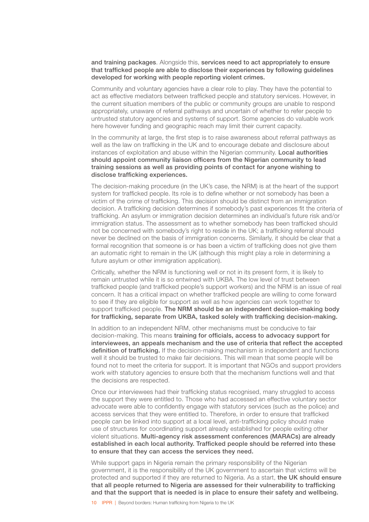and training packages. Alongside this, services need to act appropriately to ensure that trafficked people are able to disclose their experiences by following guidelines developed for working with people reporting violent crimes.

Community and voluntary agencies have a clear role to play. They have the potential to act as effective mediators between trafficked people and statutory services. However, in the current situation members of the public or community groups are unable to respond appropriately, unaware of referral pathways and uncertain of whether to refer people to untrusted statutory agencies and systems of support. Some agencies do valuable work here however funding and geographic reach may limit their current capacity.

In the community at large, the first step is to raise awareness about referral pathways as well as the law on trafficking in the UK and to encourage debate and disclosure about instances of exploitation and abuse within the Nigerian community. Local authorities should appoint community liaison officers from the Nigerian community to lead training sessions as well as providing points of contact for anyone wishing to disclose trafficking experiences.

The decision-making procedure (in the UK's case, the NRM) is at the heart of the support system for trafficked people. Its role is to define whether or not somebody has been a victim of the crime of trafficking. This decision should be distinct from an immigration decision. A trafficking decision determines if somebody's past experiences fit the criteria of trafficking. An asylum or immigration decision determines an individual's future risk and/or immigration status. The assessment as to whether somebody has been trafficked should not be concerned with somebody's right to reside in the UK; a trafficking referral should never be declined on the basis of immigration concerns. Similarly, it should be clear that a formal recognition that someone is or has been a victim of trafficking does not give them an automatic right to remain in the UK (although this might play a role in determining a future asylum or other immigration application).

Critically, whether the NRM is functioning well or not in its present form, it is likely to remain untrusted while it is so entwined with UKBA. The low level of trust between trafficked people (and trafficked people's support workers) and the NRM is an issue of real concern. It has a critical impact on whether trafficked people are willing to come forward to see if they are eligible for support as well as how agencies can work together to support trafficked people. The NRM should be an independent decision-making body for trafficking, separate from UKBA, tasked solely with trafficking decision-making.

In addition to an independent NRM, other mechanisms must be conducive to fair decision-making. This means training for officials, access to advocacy support for interviewees, an appeals mechanism and the use of criteria that reflect the accepted definition of trafficking. If the decision-making mechanism is independent and functions well it should be trusted to make fair decisions. This will mean that some people will be found not to meet the criteria for support. It is important that NGOs and support providers work with statutory agencies to ensure both that the mechanism functions well and that the decisions are respected.

Once our interviewees had their trafficking status recognised, many struggled to access the support they were entitled to. Those who had accessed an effective voluntary sector advocate were able to confidently engage with statutory services (such as the police) and access services that they were entitled to. Therefore, in order to ensure that trafficked people can be linked into support at a local level, anti-trafficking policy should make use of structures for coordinating support already established for people exiting other violent situations. Multi-agency risk assessment conferences (MARACs) are already established in each local authority. Trafficked people should be referred into these to ensure that they can access the services they need.

While support gaps in Nigeria remain the primary responsibility of the Nigerian government, it is the responsibility of the UK government to ascertain that victims will be protected and supported if they are returned to Nigeria. As a start, the UK should ensure that all people returned to Nigeria are assessed for their vulnerability to trafficking and that the support that is needed is in place to ensure their safety and wellbeing.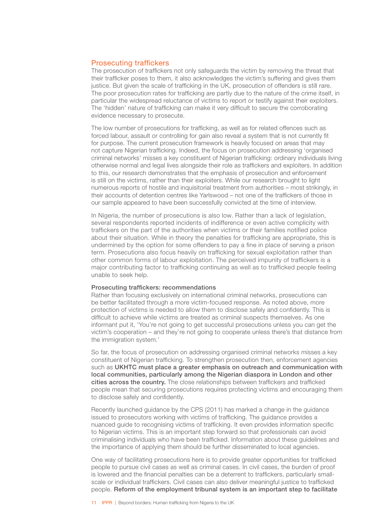### <span id="page-12-0"></span>Prosecuting traffickers

The prosecution of traffickers not only safeguards the victim by removing the threat that their trafficker poses to them, it also acknowledges the victim's suffering and gives them justice. But given the scale of trafficking in the UK, prosecution of offenders is still rare. The poor prosecution rates for trafficking are partly due to the nature of the crime itself, in particular the widespread reluctance of victims to report or testify against their exploiters. The 'hidden' nature of trafficking can make it very difficult to secure the corroborating evidence necessary to prosecute.

The low number of prosecutions for trafficking, as well as for related offences such as forced labour, assault or controlling for gain also reveal a system that is not currently fit for purpose. The current prosecution framework is heavily focused on areas that may not capture Nigerian trafficking. Indeed, the focus on prosecution addressing 'organised criminal networks' misses a key constituent of Nigerian trafficking: ordinary individuals living otherwise normal and legal lives alongside their role as traffickers and exploiters. In addition to this, our research demonstrates that the emphasis of prosecution and enforcement is still on the victims, rather than their exploiters. While our research brought to light numerous reports of hostile and inquisitorial treatment from authorities – most strikingly, in their accounts of detention centres like Yarlswood – not one of the traffickers of those in our sample appeared to have been successfully convicted at the time of interview.

In Nigeria, the number of prosecutions is also low. Rather than a lack of legislation, several respondents reported incidents of indifference or even active complicity with traffickers on the part of the authorities when victims or their families notified police about their situation. While in theory the penalties for trafficking are appropriate, this is undermined by the option for some offenders to pay a fine in place of serving a prison term. Prosecutions also focus heavily on trafficking for sexual exploitation rather than other common forms of labour exploitation. The perceived impunity of traffickers is a major contributing factor to trafficking continuing as well as to trafficked people feeling unable to seek help.

### Prosecuting traffickers: recommendations

Rather than focusing exclusively on international criminal networks, prosecutions can be better facilitated through a more victim-focused response. As noted above, more protection of victims is needed to allow them to disclose safely and confidently. This is difficult to achieve while victims are treated as criminal suspects themselves. As one informant put it, 'You're not going to get successful prosecutions unless you can get the victim's cooperation – and they're not going to cooperate unless there's that distance from the immigration system*.*'

So far, the focus of prosecution on addressing organised criminal networks misses a key constituent of Nigerian trafficking. To strengthen prosecution then, enforcement agencies such as UKHTC must place a greater emphasis on outreach and communication with local communities, particularly among the Nigerian diaspora in London and other cities across the country. The close relationships between traffickers and trafficked people mean that securing prosecutions requires protecting victims and encouraging them to disclose safely and confidently.

Recently launched guidance by the CPS (2011) has marked a change in the guidance issued to prosecutors working with victims of trafficking. The guidance provides a nuanced guide to recognising victims of trafficking. It even provides information specific to Nigerian victims. This is an important step forward so that professionals can avoid criminalising individuals who have been trafficked. Information about these guidelines and the importance of applying them should be further disseminated to local agencies.

One way of facilitating prosecutions here is to provide greater opportunities for trafficked people to pursue civil cases as well as criminal cases. In civil cases, the burden of proof is lowered and the financial penalties can be a deterrent to traffickers, particularly smallscale or individual traffickers. Civil cases can also deliver meaningful justice to trafficked people. Reform of the employment tribunal system is an important step to facilitate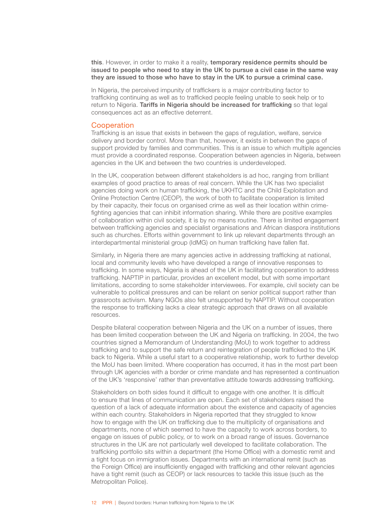<span id="page-13-0"></span>this. However, in order to make it a reality, temporary residence permits should be issued to people who need to stay in the UK to pursue a civil case in the same way they are issued to those who have to stay in the UK to pursue a criminal case.

In Nigeria, the perceived impunity of traffickers is a major contributing factor to trafficking continuing as well as to trafficked people feeling unable to seek help or to return to Nigeria. Tariffs in Nigeria should be increased for trafficking so that legal consequences act as an effective deterrent.

### Cooperation

Trafficking is an issue that exists in between the gaps of regulation, welfare, service delivery and border control. More than that, however, it exists in between the gaps of support provided by families and communities. This is an issue to which multiple agencies must provide a coordinated response. Cooperation between agencies in Nigeria, between agencies in the UK and between the two countries is underdeveloped.

In the UK, cooperation between different stakeholders is ad hoc, ranging from brilliant examples of good practice to areas of real concern. While the UK has two specialist agencies doing work on human trafficking, the UKHTC and the Child Exploitation and Online Protection Centre (CEOP), the work of both to facilitate cooperation is limited by their capacity, their focus on organised crime as well as their location within crimefighting agencies that can inhibit information sharing. While there are positive examples of collaboration within civil society, it is by no means routine. There is limited engagement between trafficking agencies and specialist organisations and African diaspora institutions such as churches. Efforts within government to link up relevant departments through an interdepartmental ministerial group (IdMG) on human trafficking have fallen flat.

Similarly, in Nigeria there are many agencies active in addressing trafficking at national, local and community levels who have developed a range of innovative responses to trafficking. In some ways, Nigeria is ahead of the UK in facilitating cooperation to address trafficking. NAPTIP in particular, provides an excellent model, but with some important limitations, according to some stakeholder interviewees. For example, civil society can be vulnerable to political pressures and can be reliant on senior political support rather than grassroots activism. Many NGOs also felt unsupported by NAPTIP. Without cooperation the response to trafficking lacks a clear strategic approach that draws on all available resources.

Despite bilateral cooperation between Nigeria and the UK on a number of issues, there has been limited cooperation between the UK and Nigeria on trafficking. In 2004, the two countries signed a Memorandum of Understanding (MoU) to work together to address trafficking and to support the safe return and reintegration of people trafficked to the UK back to Nigeria. While a useful start to a cooperative relationship, work to further develop the MoU has been limited. Where cooperation has occurred, it has in the most part been through UK agencies with a border or crime mandate and has represented a continuation of the UK's 'responsive' rather than preventative attitude towards addressing trafficking.

Stakeholders on both sides found it difficult to engage with one another. It is difficult to ensure that lines of communication are open. Each set of stakeholders raised the question of a lack of adequate information about the existence and capacity of agencies within each country. Stakeholders in Nigeria reported that they struggled to know how to engage with the UK on trafficking due to the multiplicity of organisations and departments, none of which seemed to have the capacity to work across borders, to engage on issues of public policy, or to work on a broad range of issues. Governance structures in the UK are not particularly well developed to facilitate collaboration. The trafficking portfolio sits within a department (the Home Office) with a domestic remit and a tight focus on immigration issues. Departments with an international remit (such as the Foreign Office) are insufficiently engaged with trafficking and other relevant agencies have a tight remit (such as CEOP) or lack resources to tackle this issue (such as the Metropolitan Police).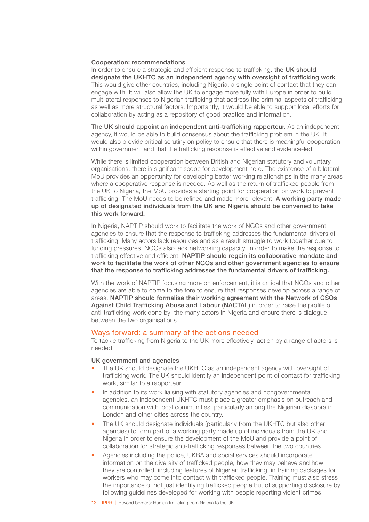### <span id="page-14-0"></span>Cooperation: recommendations

In order to ensure a strategic and efficient response to trafficking, the UK should designate the UKHTC as an independent agency with oversight of trafficking work. This would give other countries, including Nigeria, a single point of contact that they can engage with. It will also allow the UK to engage more fully with Europe in order to build multilateral responses to Nigerian trafficking that address the criminal aspects of trafficking as well as more structural factors. Importantly, it would be able to support local efforts for collaboration by acting as a repository of good practice and information.

The UK should appoint an independent anti-trafficking rapporteur. As an independent agency, it would be able to build consensus about the trafficking problem in the UK. It would also provide critical scrutiny on policy to ensure that there is meaningful cooperation within government and that the trafficking response is effective and evidence-led.

While there is limited cooperation between British and Nigerian statutory and voluntary organisations, there is significant scope for development here. The existence of a bilateral MoU provides an opportunity for developing better working relationships in the many areas where a cooperative response is needed. As well as the return of trafficked people from the UK to Nigeria, the MoU provides a starting point for cooperation on work to prevent trafficking. The MoU needs to be refined and made more relevant. A working party made up of designated individuals from the UK and Nigeria should be convened to take this work forward.

In Nigeria, NAPTIP should work to facilitate the work of NGOs and other government agencies to ensure that the response to trafficking addresses the fundamental drivers of trafficking. Many actors lack resources and as a result struggle to work together due to funding pressures. NGOs also lack networking capacity. In order to make the response to trafficking effective and efficient, NAPTIP should regain its collaborative mandate and work to facilitate the work of other NGOs and other government agencies to ensure that the response to trafficking addresses the fundamental drivers of trafficking.

With the work of NAPTIP focusing more on enforcement, it is critical that NGOs and other agencies are able to come to the fore to ensure that responses develop across a range of areas. NAPTIP should formalise their working agreement with the Network of CSOs Against Child Trafficking Abuse and Labour (NACTAL) in order to raise the profile of anti-trafficking work done by the many actors in Nigeria and ensure there is dialogue between the two organisations.

### Ways forward: a summary of the actions needed

To tackle trafficking from Nigeria to the UK more effectively, action by a range of actors is needed.

### UK government and agencies

- The UK should designate the UKHTC as an independent agency with oversight of trafficking work. The UK should identify an independent point of contact for trafficking work, similar to a rapporteur*.*
- In addition to its work liaising with statutory agencies and nongovernmental agencies, an independent UKHTC must place a greater emphasis on outreach and communication with local communities, particularly among the Nigerian diaspora in London and other cities across the country.
- The UK should designate individuals (particularly from the UKHTC but also other agencies) to form part of a working party made up of individuals from the UK and Nigeria in order to ensure the development of the MoU and provide a point of collaboration for strategic anti-trafficking responses between the two countries.
- Agencies including the police, UKBA and social services should incorporate information on the diversity of trafficked people, how they may behave and how they are controlled, including features of Nigerian trafficking, in training packages for workers who may come into contact with trafficked people. Training must also stress the importance of not just identifying trafficked people but of supporting disclosure by following guidelines developed for working with people reporting violent crimes.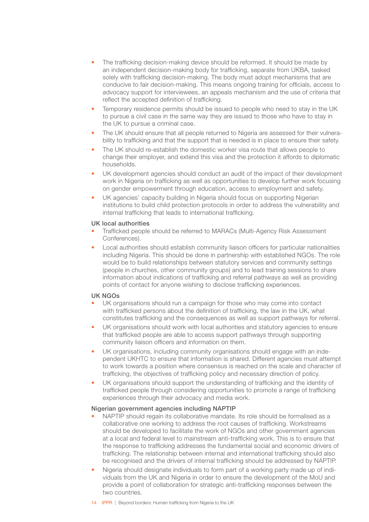- The trafficking decision-making device should be reformed. It should be made by an independent decision-making body for trafficking, separate from UKBA, tasked solely with trafficking decision-making. The body must adopt mechanisms that are conducive to fair decision-making. This means ongoing training for officials, access to advocacy support for interviewees, an appeals mechanism and the use of criteria that reflect the accepted definition of trafficking.
- Temporary residence permits should be issued to people who need to stay in the UK to pursue a civil case in the same way they are issued to those who have to stay in the UK to pursue a criminal case.
- The UK should ensure that all people returned to Nigeria are assessed for their vulnerability to trafficking and that the support that is needed is in place to ensure their safety.
- The UK should re-establish the domestic worker visa route that allows people to change their employer, and extend this visa and the protection it affords to diplomatic households.
- UK development agencies should conduct an audit of the impact of their development work in Nigeria on trafficking as well as opportunities to develop further work focusing on gender empowerment through education, access to employment and safety.
- UK agencies' capacity building in Nigeria should focus on supporting Nigerian institutions to build child protection protocols in order to address the vulnerability and internal trafficking that leads to international trafficking.

### UK local authorities

- Trafficked people should be referred to MARACs (Multi-Agency Risk Assessment Conferences).
- Local authorities should establish community liaison officers for particular nationalities including Nigeria. This should be done in partnership with established NGOs. The role would be to build relationships between statutory services and community settings (people in churches, other community groups) and to lead training sessions to share information about indications of trafficking and referral pathways as well as providing points of contact for anyone wishing to disclose trafficking experiences.

### UK NGOs

- UK organisations should run a campaign for those who may come into contact with trafficked persons about the definition of trafficking, the law in the UK, what constitutes trafficking and the consequences as well as support pathways for referral.
- UK organisations should work with local authorities and statutory agencies to ensure that trafficked people are able to access support pathways through supporting community liaison officers and information on them.
- UK organisations, including community organisations should engage with an independent UKHTC to ensure that information is shared. Different agencies must attempt to work towards a position where consensus is reached on the scale and character of trafficking, the objectives of trafficking policy and necessary direction of policy.
- UK organisations should support the understanding of trafficking and the identity of trafficked people through considering opportunities to promote a range of trafficking experiences through their advocacy and media work.

### Nigerian government agencies including NAPTIP

- NAPTIP should regain its collaborative mandate. Its role should be formalised as a collaborative one working to address the root causes of trafficking. Workstreams should be developed to facilitate the work of NGOs and other government agencies at a local and federal level to mainstream anti-trafficking work. This is to ensure that the response to trafficking addresses the fundamental social and economic drivers of trafficking. The relationship between internal and international trafficking should also be recognised and the drivers of internal trafficking should be addressed by NAPTIP.
- Nigeria should designate individuals to form part of a working party made up of individuals from the UK and Nigeria in order to ensure the development of the MoU and provide a point of collaboration for strategic anti-trafficking responses between the two countries.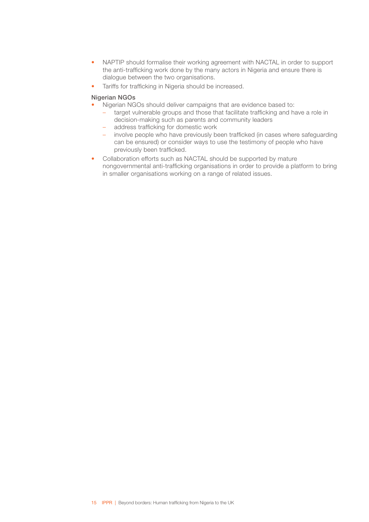- NAPTIP should formalise their working agreement with NACTAL in order to support the anti-trafficking work done by the many actors in Nigeria and ensure there is dialogue between the two organisations.
- Tariffs for trafficking in Nigeria should be increased.

### Nigerian NGOs

- Nigerian NGOs should deliver campaigns that are evidence based to:
	- target vulnerable groups and those that facilitate trafficking and have a role in decision-making such as parents and community leaders
	- address trafficking for domestic work
	- involve people who have previously been trafficked (in cases where safeguarding can be ensured) or consider ways to use the testimony of people who have previously been trafficked.
- Collaboration efforts such as NACTAL should be supported by mature nongovernmental anti-trafficking organisations in order to provide a platform to bring in smaller organisations working on a range of related issues.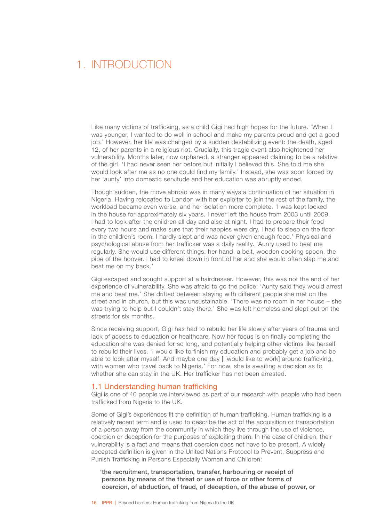# <span id="page-17-0"></span>1. INTRODUCTION

Like many victims of trafficking, as a child Gigi had high hopes for the future. 'When I was younger, I wanted to do well in school and make my parents proud and get a good job.' However, her life was changed by a sudden destabilizing event: the death, aged 12, of her parents in a religious riot. Crucially, this tragic event also heightened her vulnerability. Months later, now orphaned, a stranger appeared claiming to be a relative of the girl. 'I had never seen her before but initially I believed this. She told me she would look after me as no one could find my family.' Instead, she was soon forced by her 'aunty' into domestic servitude and her education was abruptly ended.

Though sudden, the move abroad was in many ways a continuation of her situation in Nigeria. Having relocated to London with her exploiter to join the rest of the family, the workload became even worse, and her isolation more complete. 'I was kept locked in the house for approximately six years. I never left the house from 2003 until 2009. I had to look after the children all day and also at night. I had to prepare their food every two hours and make sure that their nappies were dry. I had to sleep on the floor in the children's room. I hardly slept and was never given enough food.' Physical and psychological abuse from her trafficker was a daily reality. 'Aunty used to beat me regularly. She would use different things: her hand, a belt, wooden cooking spoon, the pipe of the hoover. I had to kneel down in front of her and she would often slap me and beat me on my back.'

Gigi escaped and sought support at a hairdresser. However, this was not the end of her experience of vulnerability. She was afraid to go the police: 'Aunty said they would arrest me and beat me.' She drifted between staying with different people she met on the street and in church, but this was unsustainable. 'There was no room in her house – she was trying to help but I couldn't stay there.' She was left homeless and slept out on the streets for six months.

Since receiving support, Gigi has had to rebuild her life slowly after years of trauma and lack of access to education or healthcare. Now her focus is on finally completing the education she was denied for so long, and potentially helping other victims like herself to rebuild their lives. 'I would like to finish my education and probably get a job and be able to look after myself. And maybe one day [I would like to work] around trafficking, with women who travel back to Nigeria.' For now, she is awaiting a decision as to whether she can stay in the UK. Her trafficker has not been arrested.

### 1.1 Understanding human trafficking

Gigi is one of 40 people we interviewed as part of our research with people who had been trafficked from Nigeria to the UK.

Some of Gigi's experiences fit the definition of human trafficking. Human trafficking is a relatively recent term and is used to describe the act of the acquisition or transportation of a person away from the community in which they live through the use of violence, coercion or deception for the purposes of exploiting them. In the case of children, their vulnerability is a fact and means that coercion does not have to be present. A widely accepted definition is given in the United Nations Protocol to Prevent, Suppress and Punish Trafficking in Persons Especially Women and Children:

'the recruitment, transportation, transfer, harbouring or receipt of persons by means of the threat or use of force or other forms of coercion, of abduction, of fraud, of deception, of the abuse of power, or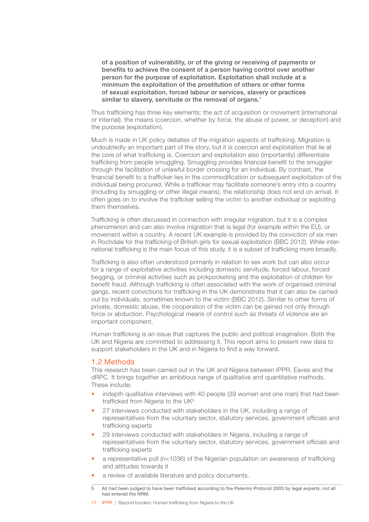<span id="page-18-0"></span>of a position of vulnerability, or of the giving or receiving of payments or benefits to achieve the consent of a person having control over another person for the purpose of exploitation. Exploitation shall include at a minimum the exploitation of the prostitution of others or other forms of sexual exploitation, forced labour or services, slavery or practices similar to slavery, servitude or the removal of organs.'

Thus trafficking has three key elements: the act of acquisition or movement (international or internal), the means (coercion, whether by force, the abuse of power, or deception) and the purpose (exploitation).

Much is made in UK policy debates of the migration aspects of trafficking. Migration is undoubtedly an important part of the story, but it is coercion and exploitation that lie at the core of what trafficking is. Coercion and exploitation also (importantly) differentiate trafficking from people smuggling. Smuggling provides financial benefit to the smuggler through the facilitation of unlawful border crossing for an individual. By contrast, the financial benefit to a trafficker lies in the commodification or subsequent exploitation of the individual being procured. While a trafficker may facilitate someone's entry into a country (including by smuggling or other illegal means), the relationship does not end on arrival. It often goes on to involve the trafficker selling the victim to another individual or exploiting them themselves.

Trafficking is often discussed in connection with irregular migration, but it is a complex phenomenon and can also involve migration that is legal (for example within the EU), or movement within a country. A recent UK example is provided by the conviction of six men in Rochdale for the trafficking of British girls for sexual exploitation (BBC 2012). While international trafficking is the main focus of this study, it is a subset of trafficking more broadly.

Trafficking is also often understood primarily in relation to sex work but can also occur for a range of exploitative activities including domestic servitude, forced labour, forced begging, or criminal activities such as pickpocketing and the exploitation of children for benefit fraud. Although trafficking is often associated with the work of organised criminal gangs, recent convictions for trafficking in the UK demonstrate that it can also be carried out by individuals, sometimes known to the victim (BBC 2012). Similar to other forms of private, domestic abuse, the cooperation of the victim can be gained not only through force or abduction. Psychological means of control such as threats of violence are an important component.

Human trafficking is an issue that captures the public and political imagination. Both the UK and Nigeria are committed to addressing it. This report aims to present new data to support stakeholders in the UK and in Nigeria to find a way forward.

### 1.2 Methods

This research has been carried out in the UK and Nigeria between IPPR, Eaves and the dRPC. It brings together an ambitious range of qualitative and quantitative methods. These include:

- indepth qualitative interviews with 40 people (39 women and one man) that had been trafficked from Nigeria to the UK<sup>5</sup>
- 27 interviews conducted with stakeholders in the UK, including a range of representatives from the voluntary sector, statutory services, government officials and trafficking experts
- 29 interviews conducted with stakeholders in Nigeria, including a range of representatives from the voluntary sector, statutory services, government officials and trafficking experts
- a representative poll (n=1036) of the Nigerian population on awareness of trafficking and attitudes towards it
- a review of available literature and policy documents.

17 IPPR | Beyond borders: Human trafficking from Nigeria to the UK

<sup>5</sup> All had been judged to have been trafficked according to the Palermo Protocol 2003 by legal experts, not all had entered the NRM.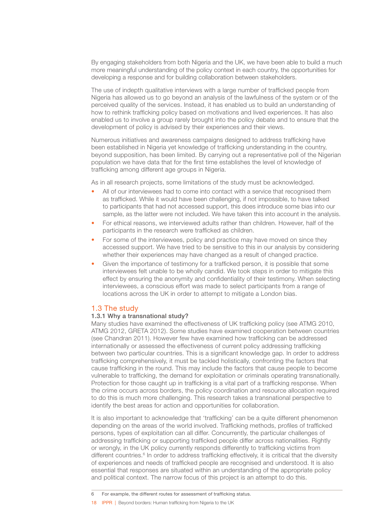<span id="page-19-0"></span>By engaging stakeholders from both Nigeria and the UK, we have been able to build a much more meaningful understanding of the policy context in each country, the opportunities for developing a response and for building collaboration between stakeholders.

The use of indepth qualitative interviews with a large number of trafficked people from Nigeria has allowed us to go beyond an analysis of the lawfulness of the system or of the perceived quality of the services. Instead, it has enabled us to build an understanding of how to rethink trafficking policy based on motivations and lived experiences. It has also enabled us to involve a group rarely brought into the policy debate and to ensure that the development of policy is advised by their experiences and their views.

Numerous initiatives and awareness campaigns designed to address trafficking have been established in Nigeria yet knowledge of trafficking understanding in the country, beyond supposition, has been limited. By carrying out a representative poll of the Nigerian population we have data that for the first time establishes the level of knowledge of trafficking among different age groups in Nigeria.

As in all research projects, some limitations of the study must be acknowledged.

- All of our interviewees had to come into contact with a service that recognised them as trafficked. While it would have been challenging, if not impossible, to have talked to participants that had not accessed support, this does introduce some bias into our sample, as the latter were not included. We have taken this into account in the analysis.
- For ethical reasons, we interviewed adults rather than children. However, half of the participants in the research were trafficked as children.
- For some of the interviewees, policy and practice may have moved on since they accessed support. We have tried to be sensitive to this in our analysis by considering whether their experiences may have changed as a result of changed practice.
- Given the importance of testimony for a trafficked person, it is possible that some interviewees felt unable to be wholly candid. We took steps in order to mitigate this effect by ensuring the anonymity and confidentiality of their testimony. When selecting interviewees, a conscious effort was made to select participants from a range of locations across the UK in order to attempt to mitigate a London bias.

### 1.3 The study

### 1.3.1 Why a transnational study?

Many studies have examined the effectiveness of UK trafficking policy (see ATMG 2010, ATMG 2012, GRETA 2012). Some studies have examined cooperation between countries (see Chandran 2011). However few have examined how trafficking can be addressed internationally or assessed the effectiveness of current policy addressing trafficking between two particular countries. This is a significant knowledge gap. In order to address trafficking comprehensively, it must be tackled holistically, confronting the factors that cause trafficking in the round. This may include the factors that cause people to become vulnerable to trafficking, the demand for exploitation or criminals operating transnationally. Protection for those caught up in trafficking is a vital part of a trafficking response. When the crime occurs across borders, the policy coordination and resource allocation required to do this is much more challenging. This research takes a transnational perspective to identify the best areas for action and opportunities for collaboration.

It is also important to acknowledge that 'trafficking' can be a quite different phenomenon depending on the areas of the world involved. Trafficking methods, profiles of trafficked persons, types of exploitation can all differ. Concurrently, the particular challenges of addressing trafficking or supporting trafficked people differ across nationalities. Rightly or wrongly, in the UK policy currently responds differently to trafficking victims from different countries.<sup>6</sup> In order to address trafficking effectively, it is critical that the diversity of experiences and needs of trafficked people are recognised and understood. It is also essential that responses are situated within an understanding of the appropriate policy and political context. The narrow focus of this project is an attempt to do this.

18 **IPPR** | Beyond borders: Human trafficking from Nigeria to the UK

<sup>6</sup> For example, the different routes for assessment of trafficking status.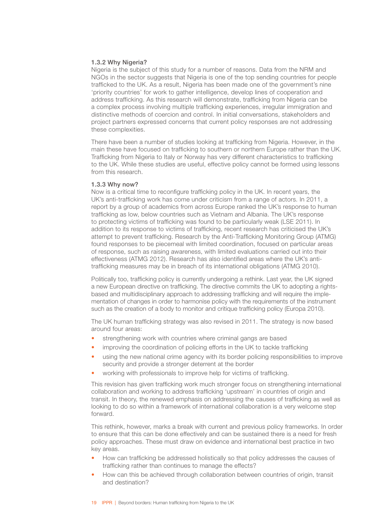### 1.3.2 Why Nigeria?

Nigeria is the subject of this study for a number of reasons. Data from the NRM and NGOs in the sector suggests that Nigeria is one of the top sending countries for people trafficked to the UK. As a result, Nigeria has been made one of the government's nine 'priority countries' for work to gather intelligence, develop lines of cooperation and address trafficking. As this research will demonstrate, trafficking from Nigeria can be a complex process involving multiple trafficking experiences, irregular immigration and distinctive methods of coercion and control. In initial conversations, stakeholders and project partners expressed concerns that current policy responses are not addressing these complexities.

There have been a number of studies looking at trafficking from Nigeria. However, in the main these have focused on trafficking to southern or northern Europe rather than the UK. Trafficking from Nigeria to Italy or Norway has very different characteristics to trafficking to the UK. While these studies are useful, effective policy cannot be formed using lessons from this research.

### 1.3.3 Why now?

Now is a critical time to reconfigure trafficking policy in the UK. In recent years, the UK's anti-trafficking work has come under criticism from a range of actors. In 2011, a report by a group of academics from across Europe ranked the UK's response to human trafficking as low, below countries such as Vietnam and Albania. The UK's response to protecting victims of trafficking was found to be particularly weak (LSE 2011). In addition to its response to victims of trafficking, recent research has criticised the UK's attempt to prevent trafficking. Research by the Anti-Trafficking Monitoring Group (ATMG) found responses to be piecemeal with limited coordination, focused on particular areas of response, such as raising awareness, with limited evaluations carried out into their effectiveness (ATMG 2012). Research has also identified areas where the UK's antitrafficking measures may be in breach of its international obligations (ATMG 2010).

Politically too, trafficking policy is currently undergoing a rethink. Last year, the UK signed a new European directive on trafficking. The directive commits the UK to adopting a rightsbased and multidisciplinary approach to addressing trafficking and will require the implementation of changes in order to harmonise policy with the requirements of the instrument such as the creation of a body to monitor and critique trafficking policy (Europa 2010).

The UK human trafficking strategy was also revised in 2011. The strategy is now based around four areas:

- strengthening work with countries where criminal gangs are based
- improving the coordination of policing efforts in the UK to tackle trafficking
- using the new national crime agency with its border policing responsibilities to improve security and provide a stronger deterrent at the border
- working with professionals to improve help for victims of trafficking.

This revision has given trafficking work much stronger focus on strengthening international collaboration and working to address trafficking 'upstream' in countries of origin and transit. In theory, the renewed emphasis on addressing the causes of trafficking as well as looking to do so within a framework of international collaboration is a very welcome step forward.

This rethink, however, marks a break with current and previous policy frameworks. In order to ensure that this can be done effectively and can be sustained there is a need for fresh policy approaches. These must draw on evidence and international best practice in two key areas.

- How can trafficking be addressed holistically so that policy addresses the causes of trafficking rather than continues to manage the effects?
- How can this be achieved through collaboration between countries of origin, transit and destination?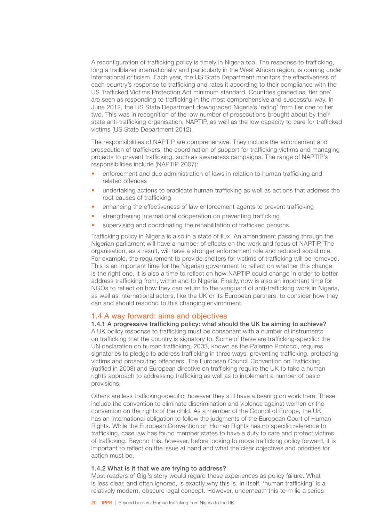<span id="page-21-0"></span>A reconfiguration of trafficking policy is timely in Nigeria too. The response to trafficking, long a trailblazer internationally and particularly in the West African region, is coming under international criticism. Each year, the US State Department monitors the effectiveness of each country's response to trafficking and rates it according to their compliance with the US Trafficked Victims Protection Act minimum standard. Countries graded as 'tier one' are seen as responding to trafficking in the most comprehensive and successful way. In June 2012, the US State Department downgraded Nigeria's 'rating' from tier one to tier two. This was in recognition of the low number of prosecutions brought about by their state anti-trafficking organisation, NAPTIP, as well as the low capacity to care for trafficked victims (US State Department 2012).

The responsibilities of NAPTIP are comprehensive. They include the enforcement and prosecution of traffickers, the coordination of support for trafficking victims and managing projects to prevent trafficking, such as awareness campaigns. The range of NAPTIP's responsibilities include (NAPTIP 2007):

- enforcement and due administration of laws in relation to human trafficking and related offences
- undertaking actions to eradicate human trafficking as well as actions that address the root causes of trafficking
- enhancing the effectiveness of law enforcement agents to prevent trafficking
- strengthening international cooperation on preventing trafficking
- supervising and coordinating the rehabilitation of trafficked persons.

Trafficking policy in Nigeria is also in a state of flux. An amendment passing through the Nigerian parliament will have a number of effects on the work and focus of NAPTIP. The organisation, as a result, will have a stronger enforcement role and reduced social role. For example, the requirement to provide shelters for victims of trafficking will be removed. This is an important time for the Nigerian government to reflect on whether this change is the right one. It is also a time to reflect on how NAPTIP could change in order to better address trafficking from, within and to Nigeria. Finally, now is also an important time for NGOs to reflect on how they can return to the vanguard of anti-trafficking work in Nigeria, as well as international actors, like the UK or its European partners, to consider how they can and should respond to this changing environment.

### 1.4 A way forward: aims and objectives

1.4.1 A progressive trafficking policy: what should the UK be aiming to achieve? A UK policy response to trafficking must be consonant with a number of instruments on trafficking that the country is signatory to. Some of these are trafficking-specific: the UN declaration on human trafficking, 2003, known as the Palermo Protocol, requires signatories to pledge to address trafficking in three ways: preventing trafficking, protecting victims and prosecuting offenders. The European Council Convention on Trafficking (ratified in 2008) and European directive on trafficking require the UK to take a human rights approach to addressing trafficking as well as to implement a number of basic provisions.

Others are less trafficking-specific, however they still have a bearing on work here. These include the convention to eliminate discrimination and violence against women or the convention on the rights of the child. As a member of the Council of Europe, the UK has an international obligation to follow the judgments of the European Court of Human Rights. While the European Convention on Human Rights has no specific reference to trafficking, case law has found member states to have a duty to care and protect victims of trafficking. Beyond this, however, before looking to move trafficking policy forward, it is important to reflect on the issue at hand and what the clear objectives and priorities for action must be.

### 1.4.2 What is it that we are trying to address?

Most readers of Gigi's story would regard these experiences as policy failure. What is less clear, and often ignored, is exactly why this is. In itself, 'human trafficking' is a relatively modern, obscure legal concept. However, underneath this term lie a series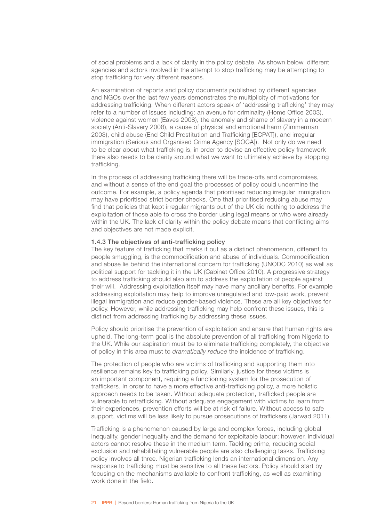of social problems and a lack of clarity in the policy debate. As shown below, different agencies and actors involved in the attempt to stop trafficking may be attempting to stop trafficking for very different reasons.

An examination of reports and policy documents published by different agencies and NGOs over the last few years demonstrates the multiplicity of motivations for addressing trafficking. When different actors speak of 'addressing trafficking' they may refer to a number of issues including: an avenue for criminality (Home Office 2003), violence against women (Eaves 2008), the anomaly and shame of slavery in a modern society (Anti-Slavery 2008), a cause of physical and emotional harm (Zimmerman 2003), child abuse (End Child Prostitution and Trafficking [ECPAT]), and irregular immigration (Serious and Organised Crime Agency [SOCA]). Not only do we need to be clear about what trafficking is, in order to devise an effective policy framework there also needs to be clarity around what we want to ultimately achieve by stopping trafficking.

In the process of addressing trafficking there will be trade-offs and compromises, and without a sense of the end goal the processes of policy could undermine the outcome. For example, a policy agenda that prioritised reducing irregular immigration may have prioritised strict border checks. One that prioritised reducing abuse may find that policies that kept irregular migrants out of the UK did nothing to address the exploitation of those able to cross the border using legal means or who were already within the UK. The lack of clarity within the policy debate means that conflicting aims and objectives are not made explicit.

### 1.4.3 The objectives of anti-trafficking policy

The key feature of trafficking that marks it out as a distinct phenomenon, different to people smuggling, is the commodification and abuse of individuals. Commodification and abuse lie behind the international concern for trafficking (UNODC 2010) as well as political support for tackling it in the UK (Cabinet Office 2010). A progressive strategy to address trafficking should also aim to address the exploitation of people against their will. Addressing exploitation itself may have many ancillary benefits. For example addressing exploitation may help to improve unregulated and low-paid work, prevent illegal immigration and reduce gender-based violence. These are all key objectives for policy. However, while addressing trafficking may help confront these issues, this is distinct from addressing trafficking *by* addressing these issues.

Policy should prioritise the prevention of exploitation and ensure that human rights are upheld. The long-term goal is the absolute prevention of all trafficking from Nigeria to the UK. While our aspiration must be to eliminate trafficking completely, the objective of policy in this area must to *dramatically reduce* the incidence of trafficking.

The protection of people who are victims of trafficking and supporting them into resilience remains key to trafficking policy. Similarly, justice for these victims is an important component, requiring a functioning system for the prosecution of traffickers. In order to have a more effective anti-trafficking policy, a more holistic approach needs to be taken. Without adequate protection, trafficked people are vulnerable to retrafficking. Without adequate engagement with victims to learn from their experiences, prevention efforts will be at risk of failure. Without access to safe support, victims will be less likely to pursue prosecutions of traffickers (Jarwad 2011).

Trafficking is a phenomenon caused by large and complex forces, including global inequality, gender inequality and the demand for exploitable labour; however, individual actors cannot resolve these in the medium term. Tackling crime, reducing social exclusion and rehabilitating vulnerable people are also challenging tasks. Trafficking policy involves all three. Nigerian trafficking lends an international dimension. Any response to trafficking must be sensitive to all these factors. Policy should start by focusing on the mechanisms available to confront trafficking, as well as examining work done in the field.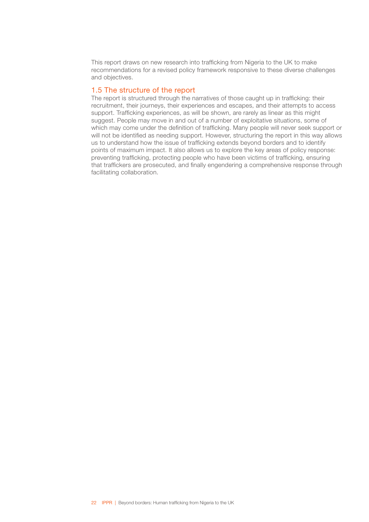<span id="page-23-0"></span>This report draws on new research into trafficking from Nigeria to the UK to make recommendations for a revised policy framework responsive to these diverse challenges and objectives.

### 1.5 The structure of the report

The report is structured through the narratives of those caught up in trafficking: their recruitment, their journeys, their experiences and escapes, and their attempts to access support. Trafficking experiences, as will be shown, are rarely as linear as this might suggest. People may move in and out of a number of exploitative situations, some of which may come under the definition of trafficking. Many people will never seek support or will not be identified as needing support. However, structuring the report in this way allows us to understand how the issue of trafficking extends beyond borders and to identify points of maximum impact. It also allows us to explore the key areas of policy response: preventing trafficking, protecting people who have been victims of trafficking, ensuring that traffickers are prosecuted, and finally engendering a comprehensive response through facilitating collaboration.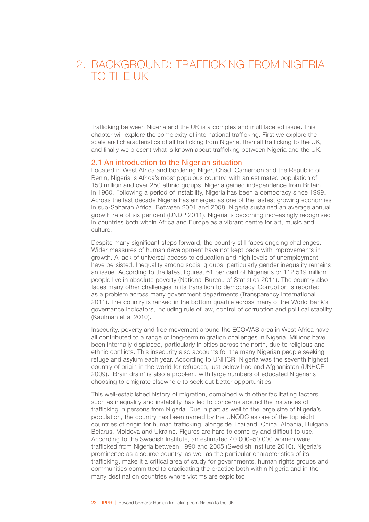# <span id="page-24-0"></span>2. BACKGROUND: TRAFFICKING FROM NIGERIA TO THE UK

Trafficking between Nigeria and the UK is a complex and multifaceted issue. This chapter will explore the complexity of international trafficking. First we explore the scale and characteristics of all trafficking from Nigeria, then all trafficking to the UK, and finally we present what is known about trafficking between Nigeria and the UK.

### 2.1 An introduction to the Nigerian situation

Located in West Africa and bordering Niger, Chad, Cameroon and the Republic of Benin, Nigeria is Africa's most populous country, with an estimated population of 150 million and over 250 ethnic groups. Nigeria gained independence from Britain in 1960. Following a period of instability, Nigeria has been a democracy since 1999. Across the last decade Nigeria has emerged as one of the fastest growing economies in sub-Saharan Africa. Between 2001 and 2008, Nigeria sustained an average annual growth rate of six per cent (UNDP 2011). Nigeria is becoming increasingly recognised in countries both within Africa and Europe as a vibrant centre for art, music and culture.

Despite many significant steps forward, the country still faces ongoing challenges. Wider measures of human development have not kept pace with improvements in growth. A lack of universal access to education and high levels of unemployment have persisted. Inequality among social groups, particularly gender inequality remains an issue. According to the latest figures, 61 per cent of Nigerians or 112.519 million people live in absolute poverty (National Bureau of Statistics 2011). The country also faces many other challenges in its transition to democracy. Corruption is reported as a problem across many government departments (Transparency International 2011). The country is ranked in the bottom quartile across many of the World Bank's governance indicators, including rule of law, control of corruption and political stability (Kaufman et al 2010).

Insecurity, poverty and free movement around the ECOWAS area in West Africa have all contributed to a range of long-term migration challenges in Nigeria. Millions have been internally displaced, particularly in cities across the north, due to religious and ethnic conflicts. This insecurity also accounts for the many Nigerian people seeking refuge and asylum each year. According to UNHCR, Nigeria was the seventh highest country of origin in the world for refugees, just below Iraq and Afghanistan (UNHCR 2009). 'Brain drain' is also a problem, with large numbers of educated Nigerians choosing to emigrate elsewhere to seek out better opportunities.

This well-established history of migration, combined with other facilitating factors such as inequality and instability, has led to concerns around the instances of trafficking in persons from Nigeria. Due in part as well to the large size of Nigeria's population, the country has been named by the UNODC as one of the top eight countries of origin for human trafficking, alongside Thailand, China, Albania, Bulgaria, Belarus, Moldova and Ukraine. Figures are hard to come by and difficult to use. According to the Swedish Institute, an estimated 40,000–50,000 women were trafficked from Nigeria between 1990 and 2005 (Swedish Institute 2010). Nigeria's prominence as a source country, as well as the particular characteristics of its trafficking, make it a critical area of study for governments, human rights groups and communities committed to eradicating the practice both within Nigeria and in the many destination countries where victims are exploited.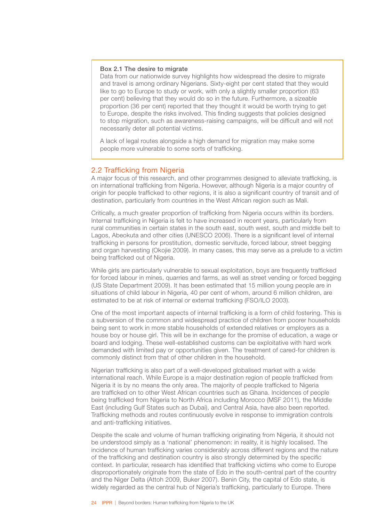### <span id="page-25-0"></span>Box 2.1 The desire to migrate

Data from our nationwide survey highlights how widespread the desire to migrate and travel is among ordinary Nigerians. Sixty-eight per cent stated that they would like to go to Europe to study or work, with only a slightly smaller proportion (63 per cent) believing that they would do so in the future. Furthermore, a sizeable proportion (36 per cent) reported that they thought it would be worth trying to get to Europe, despite the risks involved. This finding suggests that policies designed to stop migration, such as awareness-raising campaigns, will be difficult and will not necessarily deter all potential victims.

A lack of legal routes alongside a high demand for migration may make some people more vulnerable to some sorts of trafficking.

### 2.2 Trafficking from Nigeria

A major focus of this research, and other programmes designed to alleviate trafficking, is on international trafficking from Nigeria. However, although Nigeria is a major country of origin for people trafficked to other regions, it is also a significant country of transit and of destination, particularly from countries in the West African region such as Mali.

Critically, a much greater proportion of trafficking from Nigeria occurs within its borders. Internal trafficking in Nigeria is felt to have increased in recent years, particularly from rural communities in certain states in the south east, south west, south and middle belt to Lagos, Abeokuta and other cities (UNESCO 2006). There is a significant level of internal trafficking in persons for prostitution, domestic servitude, forced labour, street begging and organ harvesting (Okojie 2009). In many cases, this may serve as a prelude to a victim being trafficked out of Nigeria.

While girls are particularly vulnerable to sexual exploitation, boys are frequently trafficked for forced labour in mines, quarries and farms, as well as street vending or forced begging (US State Department 2009). It has been estimated that 15 million young people are in situations of child labour in Nigeria, 40 per cent of whom, around 6 million children, are estimated to be at risk of internal or external trafficking (FSO/ILO 2003).

One of the most important aspects of internal trafficking is a form of child fostering. This is a subversion of the common and widespread practice of children from poorer households being sent to work in more stable households of extended relatives or employers as a house boy or house girl. This will be in exchange for the promise of education, a wage or board and lodging. These well-established customs can be exploitative with hard work demanded with limited pay or opportunities given. The treatment of cared-for children is commonly distinct from that of other children in the household.

Nigerian trafficking is also part of a well-developed globalised market with a wide international reach. While Europe is a major destination region of people trafficked from Nigeria it is by no means the only area. The majority of people trafficked to Nigeria are trafficked on to other West African countries such as Ghana. Incidences of people being trafficked from Nigeria to North Africa including Morocco (MSF 2011), the Middle East (including Gulf States such as Dubai), and Central Asia, have also been reported. Trafficking methods and routes continuously evolve in response to immigration controls and anti-trafficking initiatives.

Despite the scale and volume of human trafficking originating from Nigeria, it should not be understood simply as a 'national' phenomenon: in reality, it is highly localised. The incidence of human trafficking varies considerably across different regions and the nature of the trafficking and destination country is also strongly determined by the specific context. In particular, research has identified that trafficking victims who come to Europe disproportionately originate from the state of Edo in the south-central part of the country and the Niger Delta (Attoh 2009, Buker 2007). Benin City, the capital of Edo state, is widely regarded as the central hub of Nigeria's trafficking, particularly to Europe. There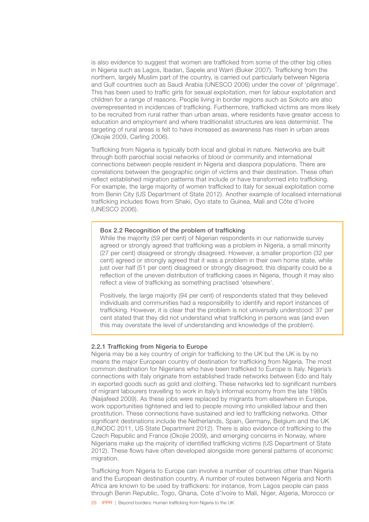is also evidence to suggest that women are trafficked from some of the other big cities in Nigeria such as Lagos, Ibadan, Sapele and Warri (Buker 2007). Trafficking from the northern, largely Muslim part of the country, is carried out particularly between Nigeria and Gulf countries such as Saudi Arabia (UNESCO 2006) under the cover of 'pilgrimage'. This has been used to traffic girls for sexual exploitation, men for labour exploitation and children for a range of reasons. People living in border regions such as Sokoto are also overrepresented in incidences of trafficking. Furthermore, trafficked victims are more likely to be recruited from rural rather than urban areas, where residents have greater access to education and employment and where traditionalist structures are less determinist. The targeting of rural areas is felt to have increased as awareness has risen in urban areas (Okojie 2009, Carling 2006).

Trafficking from Nigeria is typically both local and global in nature. Networks are built through both parochial social networks of blood or community and international connections between people resident in Nigeria and diaspora populations. There are correlations between the geographic origin of victims and their destination. These often reflect established migration patterns that include or have transformed into trafficking. For example, the large majority of women trafficked to Italy for sexual exploitation come from Benin City (US Department of State 2012). Another example of localised international trafficking includes flows from Shaki, Oyo state to Guinea, Mali and Côte d'Ivoire (UNESCO 2006).

### Box 2.2 Recognition of the problem of trafficking

While the majority (59 per cent) of Nigerian respondents in our nationwide survey agreed or strongly agreed that trafficking was a problem in Nigeria, a small minority (27 per cent) disagreed or strongly disagreed. However, a smaller proportion (32 per cent) agreed or strongly agreed that it was a problem in their own home state, while just over half (51 per cent) disagreed or strongly disagreed; this disparity could be a reflection of the uneven distribution of trafficking cases in Nigeria, though it may also reflect a view of trafficking as something practised 'elsewhere'.

Positively, the large majority (94 per cent) of respondents stated that they believed individuals and communities had a responsibility to identify and report instances of trafficking. However, it is clear that the problem is not universally understood: 37 per cent stated that they did not understand what trafficking in persons was (and even this may overstate the level of understanding and knowledge of the problem).

### 2.2.1 Trafficking from Nigeria to Europe

Nigeria may be a key country of origin for trafficking to the UK but the UK is by no means the major European country of destination for trafficking from Nigeria. The most common destination for Nigerians who have been trafficked to Europe is Italy. Nigeria's connections with Italy originate from established trade networks between Edo and Italy in exported goods such as gold and clothing. These networks led to significant numbers of migrant labourers travelling to work in Italy's informal economy from the late 1980s (Naijafeed 2009). As these jobs were replaced by migrants from elsewhere in Europe, work opportunities tightened and led to people moving into unskilled labour and then prostitution. These connections have sustained and led to trafficking networks. Other significant destinations include the Netherlands, Spain, Germany, Belgium and the UK (UNODC 2011, US State Department 2012). There is also evidence of trafficking to the Czech Republic and France (Okojie 2009), and emerging concerns in Norway, where Nigerians make up the majority of identified trafficking victims (US Department of State 2012). These flows have often developed alongside more general patterns of economic migration.

Trafficking from Nigeria to Europe can involve a number of countries other than Nigeria and the European destination country. A number of routes between Nigeria and North Africa are known to be used by traffickers: for instance, from Lagos people can pass through Benin Republic, Togo, Ghana, Cote d'Ivoire to Mali, Niger, Algeria, Morocco or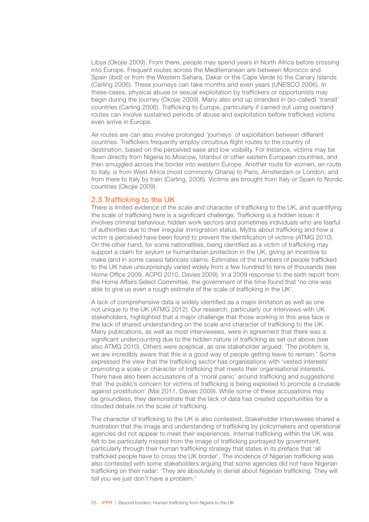<span id="page-27-0"></span>Libya (Okojie 2009). From there, people may spend years in North Africa before crossing into Europe. Frequent routes across the Mediterranean are between Morocco and Spain (ibid) or from the Western Sahara, Dakar or the Cape Verde to the Canary Islands (Carling 2006). These journeys can take months and even years (UNESCO 2006). In these cases, physical abuse or sexual exploitation by traffickers or opportunists may begin during the journey (Okojie 2009). Many also end up stranded in (so-called) 'transit' countries (Carling 2006). Trafficking to Europe, particularly if carried out using overland routes can involve sustained periods of abuse and exploitation before trafficked victims even arrive in Europe.

Air routes are can also involve prolonged 'journeys' of exploitation between different countries. Traffickers frequently employ circuitous flight routes to the country of destination, based on the perceived ease and low visibility. For instance, victims may be flown directly from Nigeria to Moscow, Istanbul or other eastern European countries, and then smuggled across the border into western Europe. Another route for women, *en route* to Italy, is from West Africa (most commonly Ghana) to Paris, Amsterdam or London, and from there to Italy by train (Carling, 2006). Victims are brought from Italy or Spain to Nordic countries (Okojie 2009).

### 2.3 Trafficking to the UK

There is limited evidence of the scale and character of trafficking to the UK, and quantifying the scale of trafficking here is a significant challenge. Trafficking is a hidden issue: it involves criminal behaviour, hidden work sectors and sometimes individuals who are fearful of authorities due to their irregular immigration status. Myths about trafficking and how a victim is perceived have been found to prevent the identification of victims (ATMG 2010). On the other hand, for some nationalities, being identified as a victim of trafficking may support a claim for asylum or humanitarian protection in the UK, giving an incentive to make (and in some cases) fabricate claims. Estimates of the numbers of people trafficked to the UK have unsurprisingly varied widely from a few hundred to tens of thousands (see Home Office 2009, ACPO 2010, Davies 2009). In a 2009 response to the sixth report from the Home Affairs Select Committee, the government of the time found that 'no one was able to give us even a rough estimate of the scale of trafficking in the UK'.

A lack of comprehensive data is widely identified as a major limitation as well as one not unique to the UK (ATMG 2012). Our research, particularly our interviews with UK stakeholders, highlighted that a major challenge that those working in this area face is the lack of shared understanding on the scale and character of trafficking to the UK. Many publications, as well as most interviewees, were in agreement that there was a significant undercounting due to the hidden nature of trafficking as set out above (see also ATMG 2010). Others were sceptical, as one stakeholder argued: 'The problem is, we are incredibly aware that this is a good way of people getting leave to remain.' Some expressed the view that the trafficking sector has organisations with 'vested interests' promoting a scale or character of trafficking that meets their organisational interests. There have also been accusations of a 'moral panic' around trafficking and suggestions that 'the public's concern for victims of trafficking is being exploited to promote a crusade against prostitution' (Mai 2011, Davies 2009). While some of these accusations may be groundless, they demonstrate that the lack of data has created opportunities for a clouded debate on the scale of trafficking.

The character of trafficking to the UK is also contested. Stakeholder interviewees shared a frustration that the image and understanding of trafficking by policymakers and operational agencies did not appear to meet their experiences. Internal trafficking within the UK was felt to be particularly missed from the image of trafficking portrayed by government, particularly through their human trafficking strategy that states in its preface that 'all trafficked people have to cross the UK border'. The incidence of Nigerian trafficking was also contested with some stakeholders arguing that some agencies did not have Nigerian trafficking on their radar: 'They are absolutely in denial about Nigerian trafficking. They will tell you we just don't have a problem.'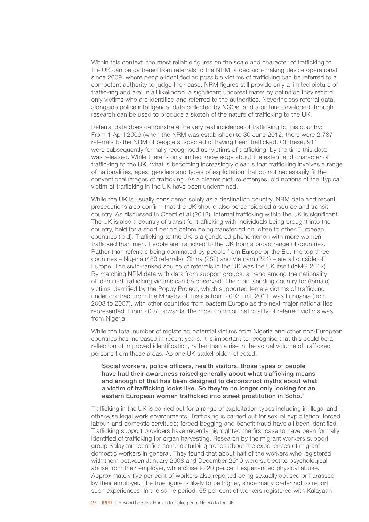Within this context, the most reliable figures on the scale and character of trafficking to the UK can be gathered from referrals to the NRM, a decision-making device operational since 2009, where people identified as possible victims of trafficking can be referred to a competent authority to judge their case. NRM figures still provide only a limited picture of trafficking and are, in all likelihood, a significant underestimate: by definition they record only victims who are identified and referred to the authorities. Nevertheless referral data, alongside police intelligence, data collected by NGOs, and a picture developed through research can be used to produce a sketch of the nature of trafficking to the UK.

Referral data does demonstrate the very real incidence of trafficking to this country: From 1 April 2009 (when the NRM was established) to 30 June 2012, there were 2,737 referrals to the NRM of people suspected of having been trafficked. Of these, 911 were subsequently formally recognised as 'victims of trafficking' by the time this data was released. While there is only limited knowledge about the extent and character of trafficking to the UK, what is becoming increasingly clear is that trafficking involves a range of nationalities, ages, genders and types of exploitation that do not necessarily fit the conventional images of trafficking. As a clearer picture emerges, old notions of the 'typical' victim of trafficking in the UK have been undermined.

While the UK is usually considered solely as a destination country, NRM data and recent prosecutions also confirm that the UK should also be considered a source and transit country. As discussed in Cherti et al (2012), internal trafficking within the UK is significant. The UK is also a country of transit for trafficking with individuals being brought into the country, held for a short period before being transferred on, often to other European countries (ibid). Trafficking to the UK is a gendered phenomenon with more women trafficked than men. People are trafficked to the UK from a broad range of countries. Rather than referrals being dominated by people from Europe or the EU, the top three countries – Nigeria (483 referrals), China (282) and Vietnam (224) – are all outside of Europe. The sixth-ranked source of referrals in the UK was the UK itself (IdMG 2012). By matching NRM data with data from support groups, a trend among the nationality of identified trafficking victims can be observed. The main sending country for (female) victims identified by the Poppy Project, which supported female victims of trafficking under contract from the Ministry of Justice from 2003 until 2011, was Lithuania (from 2003 to 2007), with other countries from eastern Europe as the next major nationalities represented. From 2007 onwards, the most common nationality of referred victims was from Nigeria.

While the total number of registered potential victims from Nigeria and other non-European countries has increased in recent years, it is important to recognise that this could be a reflection of improved identification, rather than a rise in the actual volume of trafficked persons from these areas. As one UK stakeholder reflected:

'Social workers, police officers, health visitors, those types of people have had their awareness raised generally about what trafficking means and enough of that has been designed to deconstruct myths about what a victim of trafficking looks like. So they're no longer only looking for an eastern European woman trafficked into street prostitution in Soho.'

Trafficking in the UK is carried out for a range of exploitation types including in illegal and otherwise legal work environments. Trafficking is carried out for sexual exploitation, forced labour, and domestic servitude; forced begging and benefit fraud have all been identified. Trafficking support providers have recently highlighted the first case to have been formally identified of trafficking for organ harvesting. Research by the migrant workers support group Kalayaan identifies some disturbing trends about the experiences of migrant domestic workers in general. They found that about half of the workers who registered with them between January 2008 and December 2010 were subject to psychological abuse from their employer, while close to 20 per cent experienced physical abuse. Approximately five per cent of workers also reported being sexually abused or harassed by their employer. The true figure is likely to be higher, since many prefer not to report such experiences. In the same period, 65 per cent of workers registered with Kalayaan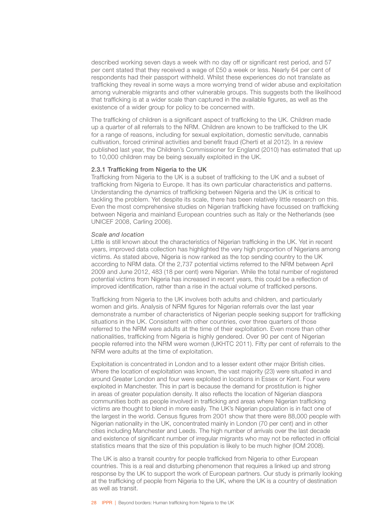described working seven days a week with no day off or significant rest period, and 57 per cent stated that they received a wage of £50 a week or less. Nearly 64 per cent of respondents had their passport withheld. Whilst these experiences do not translate as trafficking they reveal in some ways a more worrying trend of wider abuse and exploitation among vulnerable migrants and other vulnerable groups. This suggests both the likelihood that trafficking is at a wider scale than captured in the available figures, as well as the existence of a wider group for policy to be concerned with.

The trafficking of children is a significant aspect of trafficking to the UK. Children made up a quarter of all referrals to the NRM. Children are known to be trafficked to the UK for a range of reasons, including for sexual exploitation, domestic servitude, cannabis cultivation, forced criminal activities and benefit fraud (Cherti et al 2012). In a review published last year, the Children's Commissioner for England (2010) has estimated that up to 10,000 children may be being sexually exploited in the UK.

### 2.3.1 Trafficking from Nigeria to the UK

Trafficking from Nigeria to the UK is a subset of trafficking to the UK and a subset of trafficking from Nigeria to Europe. It has its own particular characteristics and patterns. Understanding the dynamics of trafficking between Nigeria and the UK is critical to tackling the problem. Yet despite its scale, there has been relatively little research on this. Even the most comprehensive studies on Nigerian trafficking have focussed on trafficking between Nigeria and mainland European countries such as Italy or the Netherlands (see UNICEF 2008, Carling 2006).

### *Scale and location*

Little is still known about the characteristics of Nigerian trafficking in the UK. Yet in recent years, improved data collection has highlighted the very high proportion of Nigerians among victims. As stated above, Nigeria is now ranked as the top sending country to the UK according to NRM data. Of the 2,737 potential victims referred to the NRM between April 2009 and June 2012, 483 (18 per cent) were Nigerian. While the total number of registered potential victims from Nigeria has increased in recent years, this could be a reflection of improved identification, rather than a rise in the actual volume of trafficked persons.

Trafficking from Nigeria to the UK involves both adults and children, and particularly women and girls. Analysis of NRM figures for Nigerian referrals over the last year demonstrate a number of characteristics of Nigerian people seeking support for trafficking situations in the UK. Consistent with other countries, over three quarters of those referred to the NRM were adults at the time of their exploitation. Even more than other nationalities, trafficking from Nigeria is highly gendered. Over 90 per cent of Nigerian people referred into the NRM were women (UKHTC 2011). Fifty per cent of referrals to the NRM were adults at the time of exploitation.

Exploitation is concentrated in London and to a lesser extent other major British cities. Where the location of exploitation was known, the vast majority (23) were situated in and around Greater London and four were exploited in locations in Essex or Kent. Four were exploited in Manchester. This in part is because the demand for prostitution is higher in areas of greater population density. It also reflects the location of Nigerian diaspora communities both as people involved in trafficking and areas where Nigerian trafficking victims are thought to blend in more easily. The UK's Nigerian population is in fact one of the largest in the world. Census figures from 2001 show that there were 88,000 people with Nigerian nationality in the UK, concentrated mainly in London (70 per cent) and in other cities including Manchester and Leeds. The high number of arrivals over the last decade and existence of significant number of irregular migrants who may not be reflected in official statistics means that the size of this population is likely to be much higher (IOM 2008).

The UK is also a transit country for people trafficked from Nigeria to other European countries. This is a real and disturbing phenomenon that requires a linked up and strong response by the UK to support the work of European partners. Our study is primarily looking at the trafficking of people from Nigeria to the UK, where the UK is a country of destination as well as transit.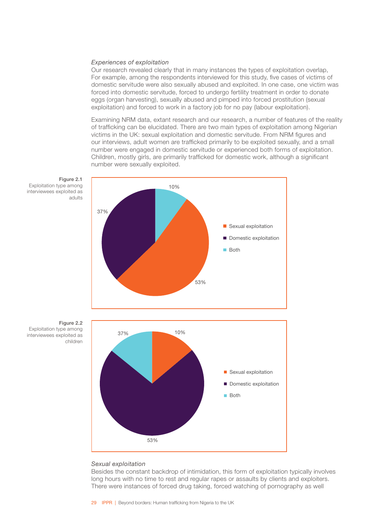### *Experiences of exploitation*

Our research revealed clearly that in many instances the types of exploitation overlap, For example, among the respondents interviewed for this study, five cases of victims of domestic servitude were also sexually abused and exploited. In one case, one victim was forced into domestic servitude, forced to undergo fertility treatment in order to donate eggs (organ harvesting), sexually abused and pimped into forced prostitution (sexual exploitation) and forced to work in a factory job for no pay (labour exploitation).

Examining NRM data, extant research and our research, a number of features of the reality of trafficking can be elucidated. There are two main types of exploitation among Nigerian victims in the UK: sexual exploitation and domestic servitude. From NRM figures and our interviews, adult women are trafficked primarily to be exploited sexually, and a small number were engaged in domestic servitude or experienced both forms of exploitation. Children, mostly girls, are primarily trafficked for domestic work, although a significant number were sexually exploited.



Figure 2.1 Exploitation type among interviewees exploited as adults





### *Sexual exploitation*

Besides the constant backdrop of intimidation, this form of exploitation typically involves long hours with no time to rest and regular rapes or assaults by clients and exploiters. There were instances of forced drug taking, forced watching of pornography as well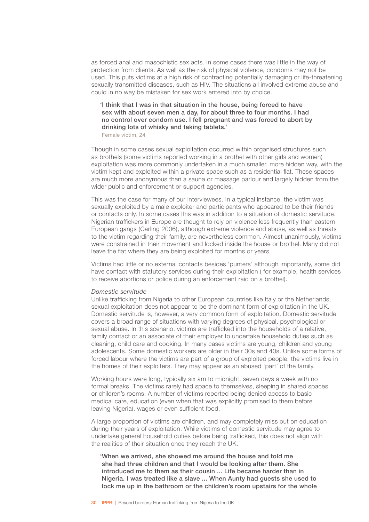as forced anal and masochistic sex acts. In some cases there was little in the way of protection from clients. As well as the risk of physical violence, condoms may not be used. This puts victims at a high risk of contracting potentially damaging or life-threatening sexually transmitted diseases, such as HIV. The situations all involved extreme abuse and could in no way be mistaken for sex work entered into by choice.

'I think that I was in that situation in the house, being forced to have sex with about seven men a day, for about three to four months. I had no control over condom use. I fell pregnant and was forced to abort by drinking lots of whisky and taking tablets.'

Female victim, 24

Though in some cases sexual exploitation occurred within organised structures such as brothels (some victims reported working in a brothel with other girls and women) exploitation was more commonly undertaken in a much smaller, more hidden way, with the victim kept and exploited within a private space such as a residential flat. These spaces are much more anonymous than a sauna or massage parlour and largely hidden from the wider public and enforcement or support agencies.

This was the case for many of our interviewees. In a typical instance, the victim was sexually exploited by a male exploiter and participants who appeared to be their friends or contacts only. In some cases this was in addition to a situation of domestic servitude. Nigerian traffickers in Europe are thought to rely on violence less frequently than eastern European gangs (Carling 2006), although extreme violence and abuse, as well as threats to the victim regarding their family, are nevertheless common. Almost unanimously, victims were constrained in their movement and locked inside the house or brothel. Many did not leave the flat where they are being exploited for months or years.

Victims had little or no external contacts besides 'punters' although importantly, some did have contact with statutory services during their exploitation ( for example, health services to receive abortions or police during an enforcement raid on a brothel).

#### *Domestic servitude*

Unlike trafficking from Nigeria to other European countries like Italy or the Netherlands, sexual exploitation does not appear to be the dominant form of exploitation in the UK. Domestic servitude is, however, a very common form of exploitation. Domestic servitude covers a broad range of situations with varying degrees of physical, psychological or sexual abuse. In this scenario, victims are trafficked into the households of a relative, family contact or an associate of their employer to undertake household duties such as cleaning, child care and cooking. In many cases victims are young, children and young adolescents. Some domestic workers are older in their 30s and 40s. Unlike some forms of forced labour where the victims are part of a group of exploited people, the victims live in the homes of their exploiters. They may appear as an abused 'part' of the family.

Working hours were long, typically six am to midnight, seven days a week with no formal breaks. The victims rarely had space to themselves, sleeping in shared spaces or children's rooms. A number of victims reported being denied access to basic medical care, education (even when that was explicitly promised to them before leaving Nigeria), wages or even sufficient food.

A large proportion of victims are children, and may completely miss out on education during their years of exploitation. While victims of domestic servitude may agree to undertake general household duties before being trafficked, this does not align with the realities of their situation once they reach the UK.

'When we arrived, she showed me around the house and told me she had three children and that I would be looking after them. She introduced me to them as their cousin ... Life became harder than in Nigeria. I was treated like a slave ... When Aunty had guests she used to lock me up in the bathroom or the children's room upstairs for the whole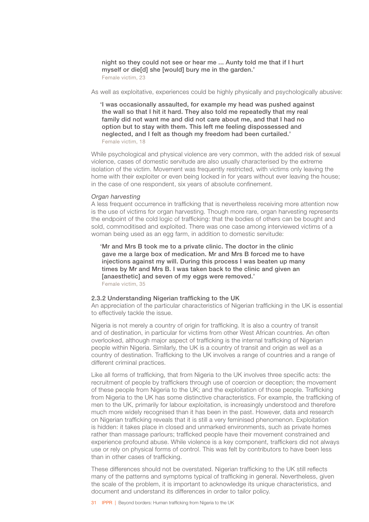night so they could not see or hear me ... Aunty told me that if I hurt myself or die[d] she [would] bury me in the garden.' Female victim, 23

As well as exploitative, experiences could be highly physically and psychologically abusive:

'I was occasionally assaulted, for example my head was pushed against the wall so that I hit it hard. They also told me repeatedly that my real family did not want me and did not care about me, and that I had no option but to stay with them. This left me feeling dispossessed and neglected, and I felt as though my freedom had been curtailed.' Female victim, 18

While psychological and physical violence are very common, with the added risk of sexual violence, cases of domestic servitude are also usually characterised by the extreme isolation of the victim. Movement was frequently restricted, with victims only leaving the home with their exploiter or even being locked in for years without ever leaving the house; in the case of one respondent, six years of absolute confinement.

### *Organ harvesting*

A less frequent occurrence in trafficking that is nevertheless receiving more attention now is the use of victims for organ harvesting. Though more rare, organ harvesting represents the endpoint of the cold logic of trafficking: that the bodies of others can be bought and sold, commoditised and exploited. There was one case among interviewed victims of a woman being used as an egg farm, in addition to domestic servitude:

'Mr and Mrs B took me to a private clinic. The doctor in the clinic gave me a large box of medication. Mr and Mrs B forced me to have injections against my will. During this process I was beaten up many times by Mr and Mrs B. I was taken back to the clinic and given an [anaesthetic] and seven of my eggs were removed.' Female victim, 35

### 2.3.2 Understanding Nigerian trafficking to the UK

An appreciation of the particular characteristics of Nigerian trafficking in the UK is essential to effectively tackle the issue.

Nigeria is not merely a country of origin for trafficking. It is also a country of transit and of destination, in particular for victims from other West African countries. An often overlooked, although major aspect of trafficking is the internal trafficking of Nigerian people within Nigeria. Similarly, the UK is a country of transit and origin as well as a country of destination. Trafficking to the UK involves a range of countries and a range of different criminal practices.

Like all forms of trafficking, that from Nigeria to the UK involves three specific acts: the recruitment of people by traffickers through use of coercion or deception; the movement of these people from Nigeria to the UK; and the exploitation of those people. Trafficking from Nigeria to the UK has some distinctive characteristics. For example, the trafficking of men to the UK, primarily for labour exploitation, is increasingly understood and therefore much more widely recognised than it has been in the past. However, data and research on Nigerian trafficking reveals that it is still a very feminised phenomenon. Exploitation is hidden: it takes place in closed and unmarked environments, such as private homes rather than massage parlours; trafficked people have their movement constrained and experience profound abuse. While violence is a key component, traffickers did not always use or rely on physical forms of control. This was felt by contributors to have been less than in other cases of trafficking.

These differences should not be overstated. Nigerian trafficking to the UK still reflects many of the patterns and symptoms typical of trafficking in general. Nevertheless, given the scale of the problem, it is important to acknowledge its unique characteristics, and document and understand its differences in order to tailor policy.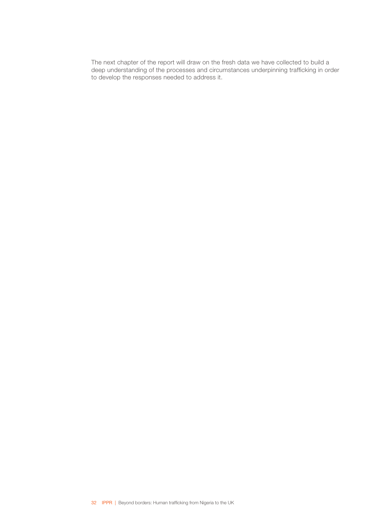The next chapter of the report will draw on the fresh data we have collected to build a deep understanding of the processes and circumstances underpinning trafficking in order to develop the responses needed to address it.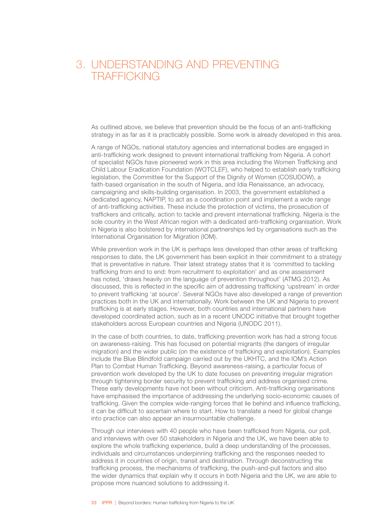## <span id="page-34-0"></span>3. UNDERSTANDING AND PREVENTING TRAFFICKING

As outlined above, we believe that prevention should be the focus of an anti-trafficking strategy in as far as it is practicably possible. Some work is already developed in this area.

A range of NGOs, national statutory agencies and international bodies are engaged in anti-trafficking work designed to prevent international trafficking from Nigeria. A cohort of specialist NGOs have pioneered work in this area including the Women Trafficking and Child Labour Eradication Foundation (WOTCLEF), who helped to establish early trafficking legislation, the Committee for the Support of the Dignity of Women (COSUDOW), a faith-based organisation in the south of Nigeria, and Idia Renaissance, an advocacy, campaigning and skills-building organisation. In 2003, the government established a dedicated agency, NAPTIP, to act as a coordination point and implement a wide range of anti-trafficking activities. These include the protection of victims, the prosecution of traffickers and critically, action to tackle and prevent international trafficking. Nigeria is the sole country in the West African region with a dedicated anti-trafficking organisation. Work in Nigeria is also bolstered by international partnerships led by organisations such as the International Organisation for Migration (IOM).

While prevention work in the UK is perhaps less developed than other areas of trafficking responses to date, the UK government has been explicit in their commitment to a strategy that is preventative in nature. Their latest strategy states that it is 'committed to tackling trafficking from end to end: from recruitment to exploitation' and as one assessment has noted, 'draws heavily on the language of prevention throughout' (ATMG 2012). As discussed, this is reflected in the specific aim of addressing trafficking 'upstream' in order to prevent trafficking 'at source'. Several NGOs have also developed a range of prevention practices both in the UK and internationally. Work between the UK and Nigeria to prevent trafficking is at early stages. However, both countries and international partners have developed coordinated action, such as in a recent UNODC initiative that brought together stakeholders across European countries and Nigeria (UNODC 2011).

In the case of both countries, to date, trafficking prevention work has had a strong focus on awareness-raising. This has focused on potential migrants (the dangers of irregular migration) and the wider public (on the existence of trafficking and exploitation). Examples include the Blue Blindfold campaign carried out by the UKHTC, and the IOM's Action Plan to Combat Human Trafficking. Beyond awareness-raising, a particular focus of prevention work developed by the UK to date focuses on preventing irregular migration through tightening border security to prevent trafficking and address organised crime. These early developments have not been without criticism. Anti-trafficking organisations have emphasised the importance of addressing the underlying socio-economic causes of trafficking. Given the complex wide-ranging forces that lie behind and influence trafficking, it can be difficult to ascertain where to start. How to translate a need for global change into practice can also appear an insurmountable challenge.

Through our interviews with 40 people who have been trafficked from Nigeria, our poll, and interviews with over 50 stakeholders in Nigeria and the UK, we have been able to explore the whole trafficking experience, build a deep understanding of the processes, individuals and circumstances underpinning trafficking and the responses needed to address it in countries of origin, transit and destination. Through deconstructing the trafficking process, the mechanisms of trafficking, the push-and-pull factors and also the wider dynamics that explain why it occurs in both Nigeria and the UK, we are able to propose more nuanced solutions to addressing it.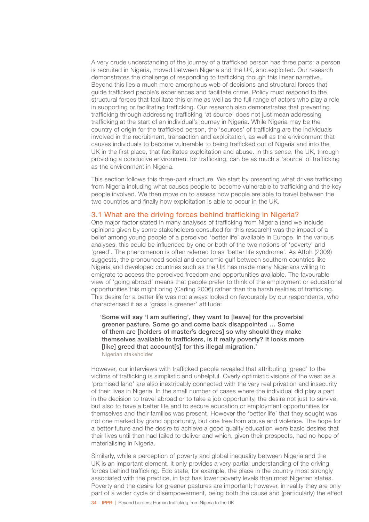<span id="page-35-0"></span>A very crude understanding of the journey of a trafficked person has three parts: a person is recruited in Nigeria, moved between Nigeria and the UK, and exploited. Our research demonstrates the challenge of responding to trafficking though this linear narrative. Beyond this lies a much more amorphous web of decisions and structural forces that guide trafficked people's experiences and facilitate crime. Policy must respond to the structural forces that facilitate this crime as well as the full range of actors who play a role in supporting or facilitating trafficking. Our research also demonstrates that preventing trafficking through addressing trafficking 'at source' does not just mean addressing trafficking at the start of an individual's journey in Nigeria. While Nigeria may be the country of origin for the trafficked person, the 'sources' of trafficking are the individuals involved in the recruitment, transaction and exploitation, as well as the environment that causes individuals to become vulnerable to being trafficked out of Nigeria and into the UK in the first place, that facilitates exploitation and abuse. In this sense, the UK, through providing a conducive environment for trafficking, can be as much a 'source' of trafficking as the environment in Nigeria.

This section follows this three-part structure. We start by presenting what drives trafficking from Nigeria including what causes people to become vulnerable to trafficking and the key people involved. We then move on to assess how people are able to travel between the two countries and finally how exploitation is able to occur in the UK.

### 3.1 What are the driving forces behind trafficking in Nigeria?

One major factor stated in many analyses of trafficking from Nigeria (and we include opinions given by some stakeholders consulted for this research) was the impact of a belief among young people of a perceived 'better life' available in Europe. In the various analyses, this could be influenced by one or both of the two notions of 'poverty' and 'greed'. The phenomenon is often referred to as 'better life syndrome'. As Attoh (2009) suggests, the pronounced social and economic gulf between southern countries like Nigeria and developed countries such as the UK has made many Nigerians willing to emigrate to access the perceived freedom and opportunities available. The favourable view of 'going abroad' means that people prefer to think of the employment or educational opportunities this might bring (Carling 2006) rather than the harsh realities of trafficking. This desire for a better life was not always looked on favourably by our respondents, who characterised it as a 'grass is greener' attitude:

'Some will say 'I am suffering', they want to [leave] for the proverbial greener pasture. Some go and come back disappointed … Some of them are [holders of master's degrees] so why should they make themselves available to traffickers, is it really poverty? It looks more [like] greed that account[s] for this illegal migration.' Nigerian stakeholder

However, our interviews with trafficked people revealed that attributing 'greed' to the victims of trafficking is simplistic and unhelpful. Overly optimistic visions of the west as a 'promised land' are also inextricably connected with the very real privation and insecurity of their lives in Nigeria. In the small number of cases where the individual did play a part in the decision to travel abroad or to take a job opportunity, the desire not just to survive, but also to have a better life and to secure education or employment opportunities for themselves and their families was present. However the 'better life' that they sought was not one marked by grand opportunity, but one free from abuse and violence. The hope for a better future and the desire to achieve a good quality education were basic desires that their lives until then had failed to deliver and which, given their prospects, had no hope of materialising in Nigeria.

Similarly, while a perception of poverty and global inequality between Nigeria and the UK is an important element, it only provides a very partial understanding of the driving forces behind trafficking. Edo state, for example, the place in the country most strongly associated with the practice, in fact has lower poverty levels than most Nigerian states. Poverty and the desire for greener pastures are important; however, in reality they are only part of a wider cycle of disempowerment, being both the cause and (particularly) the effect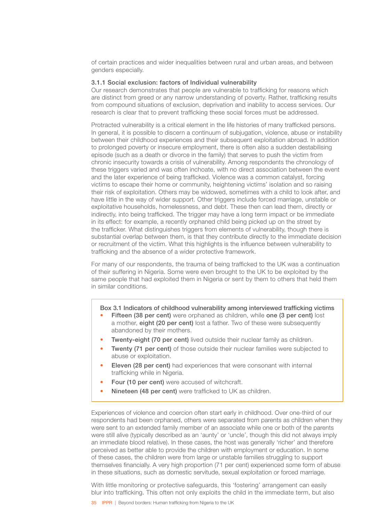of certain practices and wider inequalities between rural and urban areas, and between genders especially.

### 3.1.1 Social exclusion: factors of Individual vulnerability

Our research demonstrates that people are vulnerable to trafficking for reasons which are distinct from greed or any narrow understanding of poverty. Rather, trafficking results from compound situations of exclusion, deprivation and inability to access services. Our research is clear that to prevent trafficking these social forces must be addressed.

Protracted vulnerability is a critical element in the life histories of many trafficked persons. In general, it is possible to discern a continuum of subjugation, violence, abuse or instability between their childhood experiences and their subsequent exploitation abroad. In addition to prolonged poverty or insecure employment, there is often also a sudden destabilising episode (such as a death or divorce in the family) that serves to push the victim from chronic insecurity towards a crisis of vulnerability. Among respondents the chronology of these triggers varied and was often inchoate, with no direct association between the event and the later experience of being trafficked. Violence was a common catalyst, forcing victims to escape their home or community, heightening victims' isolation and so raising their risk of exploitation. Others may be widowed, sometimes with a child to look after, and have little in the way of wider support. Other triggers include forced marriage, unstable or exploitative households, homelessness, and debt. These then can lead them, directly or indirectly, into being trafficked. The trigger may have a long term impact or be immediate in its effect: for example, a recently orphaned child being picked up on the street by the trafficker. What distinguishes triggers from elements of vulnerability, though there is substantial overlap between them, is that they contribute directly to the immediate decision or recruitment of the victim. What this highlights is the influence between vulnerability to trafficking and the absence of a wider protective framework.

For many of our respondents, the trauma of being trafficked to the UK was a continuation of their suffering in Nigeria. Some were even brought to the UK to be exploited by the same people that had exploited them in Nigeria or sent by them to others that held them in similar conditions.

Box 3.1 Indicators of childhood vulnerability among interviewed trafficking victims

- Fifteen (38 per cent) were orphaned as children, while one (3 per cent) lost a mother, eight (20 per cent) lost a father. Two of these were subsequently abandoned by their mothers.
- **Twenty-eight (70 per cent)** lived outside their nuclear family as children.
- Twenty (71 per cent) of those outside their nuclear families were subjected to abuse or exploitation.
- **Eleven (28 per cent)** had experiences that were consonant with internal trafficking while in Nigeria.
- Four (10 per cent) were accused of witchcraft.
- Nineteen (48 per cent) were trafficked to UK as children.

Experiences of violence and coercion often start early in childhood. Over one-third of our respondents had been orphaned, others were separated from parents as children when they were sent to an extended family member of an associate while one or both of the parents were still alive (typically described as an 'aunty' or 'uncle', though this did not always imply an immediate blood relative). In these cases, the host was generally 'richer' and therefore perceived as better able to provide the children with employment or education. In some of these cases, the children were from large or unstable families struggling to support themselves financially. A very high proportion (71 per cent) experienced some form of abuse in these situations, such as domestic servitude, sexual exploitation or forced marriage.

With little monitoring or protective safeguards, this 'fostering' arrangement can easily blur into trafficking. This often not only exploits the child in the immediate term, but also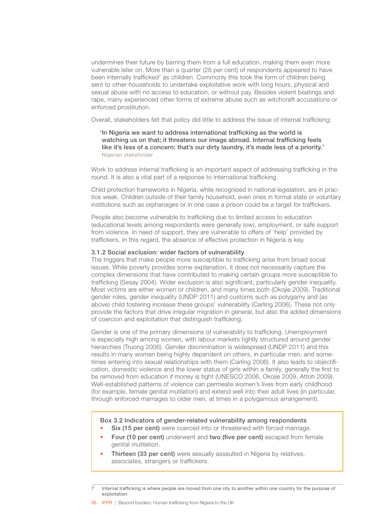undermines their future by barring them from a full education, making them even more vulnerable later on. More than a quarter (28 per cent) of respondents appeared to have been internally trafficked<sup>7</sup> as children. Commonly this took the form of children being sent to other households to undertake exploitative work with long hours, physical and sexual abuse with no access to education, or without pay. Besides violent beatings and rape, many experienced other forms of extreme abuse such as witchcraft accusations or enforced prostitution.

Overall, stakeholders felt that policy did little to address the issue of internal trafficking:

'In Nigeria we want to address international trafficking as the world is watching us on that; it threatens our image abroad. Internal trafficking feels like it's less of a concern: that's our dirty laundry, it's made less of a priority.' Nigerian stakeholder

Work to address internal trafficking is an important aspect of addressing trafficking in the round. It is also a vital part of a response to international trafficking.

Child protection frameworks in Nigeria, while recognised in national legislation, are in practice weak. Children outside of their family household, even ones in formal state or voluntary institutions such as orphanages or in one case a prison could be a target for traffickers.

People also become vulnerable to trafficking due to limited access to education (educational levels among respondents were generally low), employment, or safe support from violence. In need of support, they are vulnerable to offers of 'help' provided by traffickers. In this regard, the absence of effective protection in Nigeria is key.

#### 3.1.2 Social exclusion: wider factors of vulnerability

The triggers that make people more susceptible to trafficking arise from broad social issues. While poverty provides some explanation, it does not necessarily capture the complex dimensions that have contributed to making certain groups more susceptible to trafficking (Sesay 2004). Wider exclusion is also significant, particularly gender inequality. Most victims are either women or children, and many times both (Okojie 2009). Traditional gender roles, gender inequality (UNDP 2011) and customs such as polygamy and (as above) child fostering increase these groups' vulnerability (Carling 2006). These not only provide the factors that drive irregular migration in general, but also the added dimensions of coercion and exploitation that distinguish trafficking.

Gender is one of the primary dimensions of vulnerability to trafficking. Unemployment is especially high among women, with labour markets tightly structured around gender hierarchies (Truong 2006). Gender discrimination is widespread (UNDP 2011) and this results in many women being highly dependent on others, in particular men, and sometimes entering into sexual relationships with them (Carling 2006). It also leads to objectification, domestic violence and the lower status of girls within a family, generally the first to be removed from education if money is tight (UNESCO 2006, Okojie 2009, Attoh 2009). Well-established patterns of violence can permeate women's lives from early childhood (for example, female genital mutilation) and extend well into their adult lives (in particular, through enforced marriages to older men, at times in a polygamous arrangement).

#### Box 3.2 Indicators of gender-related vulnerability among respondents

- Six (15 per cent) were coerced into or threatened with forced marriage.
- Four (10 per cent) underwent and two (five per cent) escaped from female genital mutilation.
- **Thirteen (33 per cent)** were sexually assaulted in Nigeria by relatives, associates, strangers or traffickers.

Internal trafficking is where people are moved from one city to another within one country for the purpose of exploitation.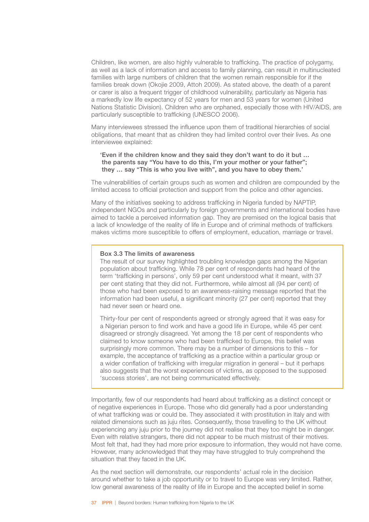Children, like women, are also highly vulnerable to trafficking. The practice of polygamy, as well as a lack of information and access to family planning, can result in multinucleated families with large numbers of children that the women remain responsible for if the families break down (Okojie 2009, Attoh 2009). As stated above, the death of a parent or carer is also a frequent trigger of childhood vulnerability, particularly as Nigeria has a markedly low life expectancy of 52 years for men and 53 years for women (United Nations Statistic Division). Children who are orphaned, especially those with HIV/AIDS, are particularly susceptible to trafficking (UNESCO 2006).

Many interviewees stressed the influence upon them of traditional hierarchies of social obligations, that meant that as children they had limited control over their lives. As one interviewee explained:

# 'Even if the children know and they said they don't want to do it but … the parents say "You have to do this, I'm your mother or your father"; they … say "This is who you live with", and you have to obey them.'

The vulnerabilities of certain groups such as women and children are compounded by the limited access to official protection and support from the police and other agencies.

Many of the initiatives seeking to address trafficking in Nigeria funded by NAPTIP, independent NGOs and particularly by foreign governments and international bodies have aimed to tackle a perceived information gap. They are premised on the logical basis that a lack of knowledge of the reality of life in Europe and of criminal methods of traffickers makes victims more susceptible to offers of employment, education, marriage or travel.

# Box 3.3 The limits of awareness

The result of our survey highlighted troubling knowledge gaps among the Nigerian population about trafficking. While 78 per cent of respondents had heard of the term 'trafficking in persons', only 59 per cent understood what it meant, with 37 per cent stating that they did not. Furthermore, while almost all (94 per cent) of those who had been exposed to an awareness-raising message reported that the information had been useful, a significant minority (27 per cent) reported that they had never seen or heard one.

Thirty-four per cent of respondents agreed or strongly agreed that it was easy for a Nigerian person to find work and have a good life in Europe, while 45 per cent disagreed or strongly disagreed. Yet among the 18 per cent of respondents who claimed to know someone who had been trafficked to Europe, this belief was surprisingly more common. There may be a number of dimensions to this – for example, the acceptance of trafficking as a practice within a particular group or a wider conflation of trafficking with irregular migration in general – but it perhaps also suggests that the worst experiences of victims, as opposed to the supposed 'success stories', are not being communicated effectively.

Importantly, few of our respondents had heard about trafficking as a distinct concept or of negative experiences in Europe. Those who did generally had a poor understanding of what trafficking was or could be. They associated it with prostitution in Italy and with related dimensions such as juju rites. Consequently, those travelling to the UK without experiencing any juju prior to the journey did not realise that they too might be in danger. Even with relative strangers, there did not appear to be much mistrust of their motives. Most felt that, had they had more prior exposure to information, they would not have come. However, many acknowledged that they may have struggled to truly comprehend the situation that they faced in the UK.

As the next section will demonstrate, our respondents' actual role in the decision around whether to take a job opportunity or to travel to Europe was very limited. Rather, low general awareness of the reality of life in Europe and the accepted belief in some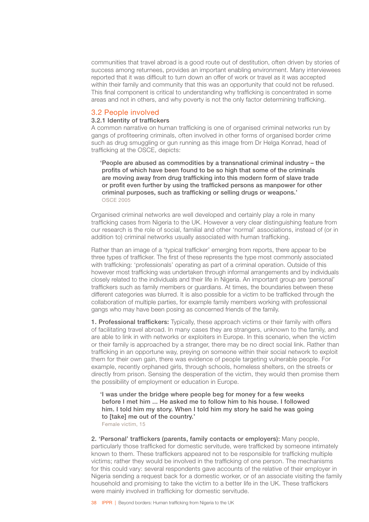communities that travel abroad is a good route out of destitution, often driven by stories of success among returnees, provides an important enabling environment. Many interviewees reported that it was difficult to turn down an offer of work or travel as it was accepted within their family and community that this was an opportunity that could not be refused. This final component is critical to understanding why trafficking is concentrated in some areas and not in others, and why poverty is not the only factor determining trafficking.

# 3.2 People involved

# 3.2.1 Identity of traffickers

A common narrative on human trafficking is one of organised criminal networks run by gangs of profiteering criminals, often involved in other forms of organised border crime such as drug smuggling or gun running as this image from Dr Helga Konrad, head of trafficking at the OSCE, depicts:

'People are abused as commodities by a transnational criminal industry – the profits of which have been found to be so high that some of the criminals are moving away from drug trafficking into this modern form of slave trade or profit even further by using the trafficked persons as manpower for other criminal purposes, such as trafficking or selling drugs or weapons.' OSCE 2005

Organised criminal networks are well developed and certainly play a role in many trafficking cases from Nigeria to the UK. However a very clear distinguishing feature from our research is the role of social, familial and other 'normal' associations, instead of (or in addition to) criminal networks usually associated with human trafficking.

Rather than an image of a 'typical trafficker' emerging from reports, there appear to be three types of trafficker. The first of these represents the type most commonly associated with trafficking: 'professionals' operating as part of a criminal operation. Outside of this however most trafficking was undertaken through informal arrangements and by individuals closely related to the individuals and their life in Nigeria. An important group are 'personal' traffickers such as family members or guardians. At times, the boundaries between these different categories was blurred. It is also possible for a victim to be trafficked through the collaboration of multiple parties, for example family members working with professional gangs who may have been posing as concerned friends of the family.

1. Professional traffickers: Typically, these approach victims or their family with offers of facilitating travel abroad. In many cases they are strangers, unknown to the family, and are able to link in with networks or exploiters in Europe. In this scenario, when the victim or their family is approached by a stranger, there may be no direct social link. Rather than trafficking in an opportune way, preying on someone within their social network to exploit them for their own gain, there was evidence of people targeting vulnerable people. For example, recently orphaned girls, through schools, homeless shelters, on the streets or directly from prison. Sensing the desperation of the victim, they would then promise them the possibility of employment or education in Europe.

'I was under the bridge where people beg for money for a few weeks before I met him ... He asked me to follow him to his house. I followed him. I told him my story. When I told him my story he said he was going to [take] me out of the country.'

Female victim, 15

2. 'Personal' traffickers (parents, family contacts or employers): Many people, particularly those trafficked for domestic servitude, were trafficked by someone intimately known to them. These traffickers appeared not to be responsible for trafficking multiple victims; rather they would be involved in the trafficking of one person. The mechanisms for this could vary: several respondents gave accounts of the relative of their employer in Nigeria sending a request back for a domestic worker, or of an associate visiting the family household and promising to take the victim to a better life in the UK. These traffickers were mainly involved in trafficking for domestic servitude.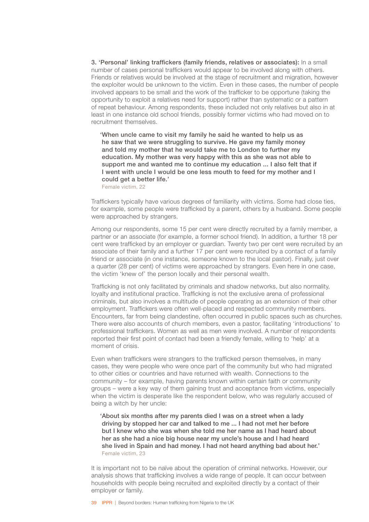3. 'Personal' linking traffickers (family friends, relatives or associates): In a small number of cases personal traffickers would appear to be involved along with others. Friends or relatives would be involved at the stage of recruitment and migration, however the exploiter would be unknown to the victim. Even in these cases, the number of people involved appears to be small and the work of the trafficker to be opportune (taking the opportunity to exploit a relatives need for support) rather than systematic or a pattern of repeat behaviour. Among respondents, these included not only relatives but also in at least in one instance old school friends, possibly former victims who had moved on to recruitment themselves.

'When uncle came to visit my family he said he wanted to help us as he saw that we were struggling to survive. He gave my family money and told my mother that he would take me to London to further my education. My mother was very happy with this as she was not able to support me and wanted me to continue my education ... I also felt that if I went with uncle I would be one less mouth to feed for my mother and I could get a better life.'

Female victim, 22

Traffickers typically have various degrees of familiarity with victims. Some had close ties, for example, some people were trafficked by a parent, others by a husband. Some people were approached by strangers.

Among our respondents, some 15 per cent were directly recruited by a family member, a partner or an associate (for example, a former school friend). In addition, a further 18 per cent were trafficked by an employer or guardian. Twenty two per cent were recruited by an associate of their family and a further 17 per cent were recruited by a contact of a family friend or associate (in one instance, someone known to the local pastor). Finally, just over a quarter (28 per cent) of victims were approached by strangers. Even here in one case, the victim 'knew of' the person locally and their personal wealth.

Trafficking is not only facilitated by criminals and shadow networks, but also normality, loyalty and institutional practice. Trafficking is not the exclusive arena of professional criminals, but also involves a multitude of people operating as an extension of their other employment. Traffickers were often well-placed and respected community members. Encounters, far from being clandestine, often occurred in public spaces such as churches. There were also accounts of church members, even a pastor, facilitating 'introductions' to professional traffickers. Women as well as men were involved. A number of respondents reported their first point of contact had been a friendly female, willing to 'help' at a moment of crisis.

Even when traffickers were strangers to the trafficked person themselves, in many cases, they were people who were once part of the community but who had migrated to other cities or countries and have returned with wealth. Connections to the community – for example, having parents known within certain faith or community groups – were a key way of them gaining trust and acceptance from victims, especially when the victim is desperate like the respondent below, who was regularly accused of being a witch by her uncle:

'About six months after my parents died I was on a street when a lady driving by stopped her car and talked to me ... I had not met her before but I knew who she was when she told me her name as I had heard about her as she had a nice big house near my uncle's house and I had heard she lived in Spain and had money. I had not heard anything bad about her.' Female victim, 23

It is important not to be naïve about the operation of criminal networks. However, our analysis shows that trafficking involves a wide range of people. It can occur between households with people being recruited and exploited directly by a contact of their employer or family.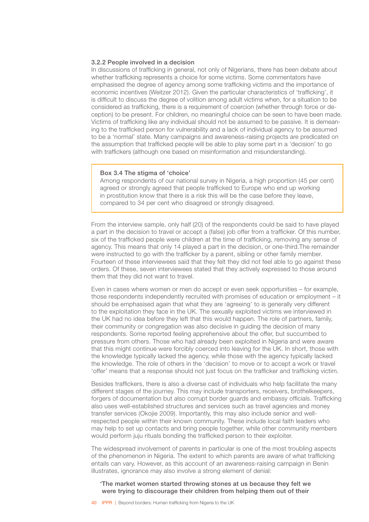#### 3.2.2 People involved in a decision

In discussions of trafficking in general, not only of Nigerians, there has been debate about whether trafficking represents a choice for some victims. Some commentators have emphasised the degree of agency among some trafficking victims and the importance of economic incentives (Weitzer 2012). Given the particular characteristics of 'trafficking', it is difficult to discuss the degree of volition among adult victims when, for a situation to be considered as trafficking, there is a requirement of coercion (whether through force or deception) to be present. For children, no meaningful choice can be seen to have been made. Victims of trafficking like any individual should not be assumed to be passive. It is demeaning to the trafficked person for vulnerability and a lack of individual agency to be assumed to be a 'normal' state. Many campaigns and awareness-raising projects are predicated on the assumption that trafficked people will be able to play some part in a 'decision' to go with traffickers (although one based on misinformation and misunderstanding).

### Box 3.4 The stigma of 'choice'

Among respondents of our national survey in Nigeria, a high proportion (45 per cent) agreed or strongly agreed that people trafficked to Europe who end up working in prostitution know that there is a risk this will be the case before they leave, compared to 34 per cent who disagreed or strongly disagreed.

From the interview sample, only half (20) of the respondents could be said to have played a part in the decision to travel or accept a (false) job offer from a trafficker. Of this number, six of the trafficked people were children at the time of trafficking, removing any sense of agency. This means that only 14 played a part in the decision, or one-third.The remainder were instructed to go with the trafficker by a parent, sibling or other family member. Fourteen of these interviewees said that they felt they did not feel able to go against these orders. Of these, seven interviewees stated that they actively expressed to those around them that they did not want to travel.

Even in cases where women or men do accept or even seek opportunities – for example, those respondents independently recruited with promises of education or employment – it should be emphasised again that what they are 'agreeing' to is generally very different to the exploitation they face in the UK. The sexually exploited victims we interviewed in the UK had no idea before they left that this would happen. The role of partners, family, their community or congregation was also decisive in guiding the decision of many respondents. Some reported feeling apprehensive about the offer, but succumbed to pressure from others. Those who had already been exploited in Nigeria and were aware that this might continue were forcibly coerced into leaving for the UK. In short, those with the knowledge typically lacked the agency, while those with the agency typically lacked the knowledge. The role of others in the 'decision' to move or to accept a work or travel 'offer' means that a response should not just focus on the trafficker and trafficking victim.

Besides traffickers, there is also a diverse cast of individuals who help facilitate the many different stages of the journey. This may include transporters, receivers, brothelkeepers, forgers of documentation but also corrupt border guards and embassy officials. Trafficking also uses well-established structures and services such as travel agencies and money transfer services (Okojie 2009). Importantly, this may also include senior and wellrespected people within their known community. These include local faith leaders who may help to set up contacts and bring people together, while other community members would perform juju rituals bonding the trafficked person to their exploiter.

The widespread involvement of parents in particular is one of the most troubling aspects of the phenomenon in Nigeria. The extent to which parents are aware of what trafficking entails can vary. However, as this account of an awareness-raising campaign in Benin illustrates, ignorance may also involve a strong element of denial:

### 'The market women started throwing stones at us because they felt we were trying to discourage their children from helping them out of their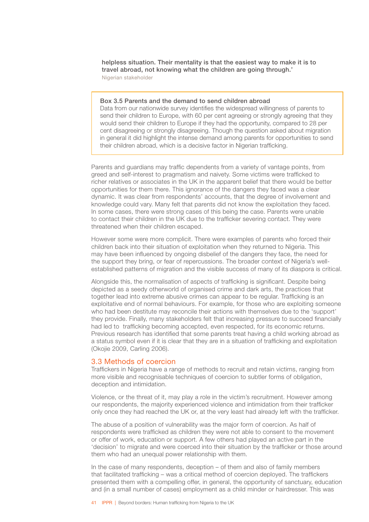helpless situation. Their mentality is that the easiest way to make it is to travel abroad, not knowing what the children are going through.' Nigerian stakeholder

#### Box 3.5 Parents and the demand to send children abroad

Data from our nationwide survey identifies the widespread willingness of parents to send their children to Europe, with 60 per cent agreeing or strongly agreeing that they would send their children to Europe if they had the opportunity, compared to 28 per cent disagreeing or strongly disagreeing. Though the question asked about migration in general it did highlight the intense demand among parents for opportunities to send their children abroad, which is a decisive factor in Nigerian trafficking.

Parents and guardians may traffic dependents from a variety of vantage points, from greed and self-interest to pragmatism and naivety. Some victims were trafficked to richer relatives or associates in the UK in the apparent belief that there would be better opportunities for them there. This ignorance of the dangers they faced was a clear dynamic. It was clear from respondents' accounts, that the degree of involvement and knowledge could vary. Many felt that parents did not know the exploitation they faced. In some cases, there were strong cases of this being the case. Parents were unable to contact their children in the UK due to the trafficker severing contact. They were threatened when their children escaped.

However some were more complicit. There were examples of parents who forced their children back into their situation of exploitation when they returned to Nigeria. This may have been influenced by ongoing disbelief of the dangers they face, the need for the support they bring, or fear of repercussions. The broader context of Nigeria's wellestablished patterns of migration and the visible success of many of its diaspora is critical.

Alongside this, the normalisation of aspects of trafficking is significant. Despite being depicted as a seedy otherworld of organised crime and dark arts, the practices that together lead into extreme abusive crimes can appear to be regular. Trafficking is an exploitative end of normal behaviours. For example, for those who are exploiting someone who had been destitute may reconcile their actions with themselves due to the 'support' they provide. Finally, many stakeholders felt that increasing pressure to succeed financially had led to trafficking becoming accepted, even respected, for its economic returns. Previous research has identified that some parents treat having a child working abroad as a status symbol even if it is clear that they are in a situation of trafficking and exploitation (Okojie 2009, Carling 2006).

#### 3.3 Methods of coercion

Traffickers in Nigeria have a range of methods to recruit and retain victims, ranging from more visible and recognisable techniques of coercion to subtler forms of obligation, deception and intimidation.

Violence, or the threat of it, may play a role in the victim's recruitment. However among our respondents, the majority experienced violence and intimidation from their trafficker only once they had reached the UK or, at the very least had already left with the trafficker.

The abuse of a position of vulnerability was the major form of coercion. As half of respondents were trafficked as children they were not able to consent to the movement or offer of work, education or support. A few others had played an active part in the 'decision' to migrate and were coerced into their situation by the trafficker or those around them who had an unequal power relationship with them.

In the case of many respondents, deception – of them and also of family members that facilitated trafficking – was a critical method of coercion deployed. The traffickers presented them with a compelling offer, in general, the opportunity of sanctuary, education and (in a small number of cases) employment as a child minder or hairdresser. This was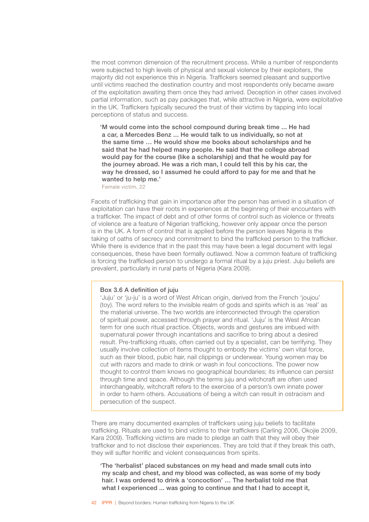the most common dimension of the recruitment process. While a number of respondents were subjected to high levels of physical and sexual violence by their exploiters, the majority did not experience this in Nigeria. Traffickers seemed pleasant and supportive until victims reached the destination country and most respondents only became aware of the exploitation awaiting them once they had arrived. Deception in other cases involved partial information, such as pay packages that, while attractive in Nigeria, were exploitative in the UK. Traffickers typically secured the trust of their victims by tapping into local perceptions of status and success.

'M would come into the school compound during break time ... He had a car, a Mercedes Benz ... He would talk to us individually, so not at the same time … He would show me books about scholarships and he said that he had helped many people. He said that the college abroad would pay for the course (like a scholarship) and that he would pay for the journey abroad. He was a rich man, I could tell this by his car, the way he dressed, so I assumed he could afford to pay for me and that he wanted to help me.'

Female victim, 22

Facets of trafficking that gain in importance after the person has arrived in a situation of exploitation can have their roots in experiences at the beginning of their encounters with a trafficker. The impact of debt and of other forms of control such as violence or threats of violence are a feature of Nigerian trafficking, however only appear once the person is in the UK. A form of control that is applied before the person leaves Nigeria is the taking of oaths of secrecy and commitment to bind the trafficked person to the trafficker. While there is evidence that in the past this may have been a legal document with legal consequences, these have been formally outlawed. Now a common feature of trafficking is forcing the trafficked person to undergo a formal ritual by a juju priest. Juju beliefs are prevalent, particularly in rural parts of Nigeria (Kara 2009).

#### Box 3.6 A definition of juju

'Juju' or 'ju-ju' is a word of West African origin, derived from the French 'joujou' (toy). The word refers to the invisible realm of gods and spirits which is as 'real' as the material universe. The two worlds are interconnected through the operation of spiritual power, accessed through prayer and ritual. 'Juju' is the West African term for one such ritual practice. Objects, words and gestures are imbued with supernatural power through incantations and sacrifice to bring about a desired result. Pre-trafficking rituals, often carried out by a specialist, can be terrifying. They usually involve collection of items thought to embody the victims' own vital force, such as their blood, pubic hair, nail clippings or underwear. Young women may be cut with razors and made to drink or wash in foul concoctions. The power now thought to control them knows no geographical boundaries; its influence can persist through time and space. Although the terms juju and witchcraft are often used interchangeably, witchcraft refers to the exercise of a person's own innate power in order to harm others. Accusations of being a witch can result in ostracism and persecution of the suspect.

There are many documented examples of traffickers using juju beliefs to facilitate trafficking. Rituals are used to bind victims to their traffickers (Carling 2006, Okojie 2009, Kara 2009). Trafficking victims are made to pledge an oath that they will obey their trafficker and to not disclose their experiences. They are told that if they break this oath, they will suffer horrific and violent consequences from spirits.

'The 'herbalist' placed substances on my head and made small cuts into my scalp and chest, and my blood was collected, as was some of my body hair. I was ordered to drink a 'concoction' … The herbalist told me that what I experienced ... was going to continue and that I had to accept it.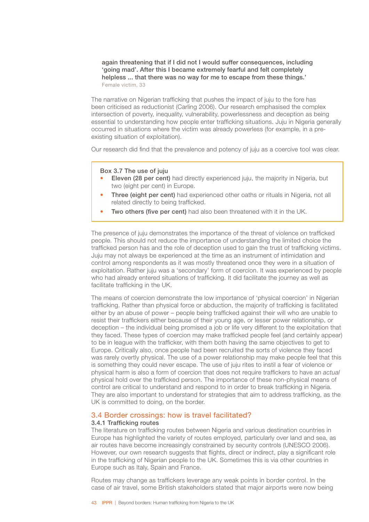again threatening that if I did not I would suffer consequences, including 'going mad'. After this I became extremely fearful and felt completely helpless ... that there was no way for me to escape from these things.' Female victim, 33

The narrative on Nigerian trafficking that pushes the impact of juju to the fore has been criticised as reductionist (Carling 2006). Our research emphasised the complex intersection of poverty, inequality, vulnerability, powerlessness and deception as being essential to understanding how people enter trafficking situations. Juju in Nigeria generally occurred in situations where the victim was already powerless (for example, in a preexisting situation of exploitation).

Our research did find that the prevalence and potency of juju as a coercive tool was clear.

Box 3.7 The use of juju

- **Eleven (28 per cent)** had directly experienced juju, the majority in Nigeria, but two (eight per cent) in Europe.
- **Three (eight per cent)** had experienced other oaths or rituals in Nigeria, not all related directly to being trafficked.
- Two others (five per cent) had also been threatened with it in the UK.

The presence of juju demonstrates the importance of the threat of violence on trafficked people. This should not reduce the importance of understanding the limited choice the trafficked person has and the role of deception used to gain the trust of trafficking victims. Juju may not always be experienced at the time as an instrument of intimidation and control among respondents as it was mostly threatened once they were in a situation of exploitation. Rather juju was a 'secondary' form of coercion. It was experienced by people who had already entered situations of trafficking. It did facilitate the journey as well as facilitate trafficking in the UK.

The means of coercion demonstrate the low importance of 'physical coercion' in Nigerian trafficking. Rather than physical force or abduction, the majority of trafficking is facilitated either by an abuse of power – people being trafficked against their will who are unable to resist their traffickers either because of their young age, or lesser power relationship, or deception – the individual being promised a job or life very different to the exploitation that they faced. These types of coercion may make trafficked people feel (and certainly appear) to be in league with the trafficker, with them both having the same objectives to get to Europe. Critically also, once people had been recruited the sorts of violence they faced was rarely overtly physical. The use of a power relationship may make people feel that this is something they could never escape. The use of juju rites to instil a fear of violence or physical harm is also a form of coercion that does not require traffickers to have an *actual* physical hold over the trafficked person. The importance of these non-physical means of control are critical to understand and respond to in order to break trafficking in Nigeria. They are also important to understand for strategies that aim to address trafficking, as the UK is committed to doing, on the border.

# 3.4 Border crossings: how is travel facilitated?

#### 3.4.1 Trafficking routes

The literature on trafficking routes between Nigeria and various destination countries in Europe has highlighted the variety of routes employed, particularly over land and sea, as air routes have become increasingly constrained by security controls (UNESCO 2006). However, our own research suggests that flights, direct or indirect, play a significant role in the trafficking of Nigerian people to the UK. Sometimes this is via other countries in Europe such as Italy, Spain and France.

Routes may change as traffickers leverage any weak points in border control. In the case of air travel, some British stakeholders stated that major airports were now being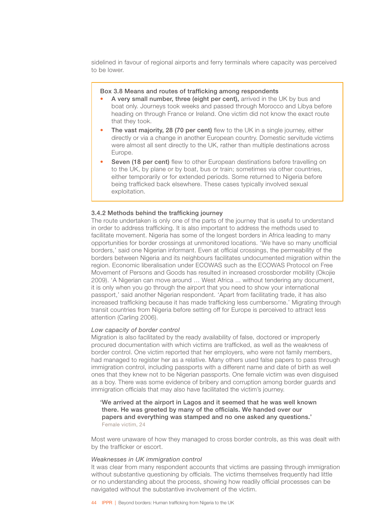sidelined in favour of regional airports and ferry terminals where capacity was perceived to be lower.

# Box 3.8 Means and routes of trafficking among respondents

- A very small number, three (eight per cent), arrived in the UK by bus and boat only. Journeys took weeks and passed through Morocco and Libya before heading on through France or Ireland. One victim did not know the exact route that they took.
- The vast majority, 28 (70 per cent) flew to the UK in a single journey, either directly or via a change in another European country. Domestic servitude victims were almost all sent directly to the UK, rather than multiple destinations across Europe.
- Seven (18 per cent) flew to other European destinations before travelling on to the UK, by plane or by boat, bus or train; sometimes via other countries, either temporarily or for extended periods. Some returned to Nigeria before being trafficked back elsewhere. These cases typically involved sexual exploitation.

# 3.4.2 Methods behind the trafficking journey

The route undertaken is only one of the parts of the journey that is useful to understand in order to address trafficking. It is also important to address the methods used to facilitate movement. Nigeria has some of the longest borders in Africa leading to many opportunities for border crossings at unmonitored locations. 'We have so many unofficial borders,' said one Nigerian informant. Even at official crossings, the permeability of the borders between Nigeria and its neighbours facilitates undocumented migration within the region. Economic liberalisation under ECOWAS such as the ECOWAS Protocol on Free Movement of Persons and Goods has resulted in increased crossborder mobility (Okojie 2009). 'A Nigerian can move around … West Africa ... without tendering any document, it is only when you go through the airport that you need to show your international passport,' said another Nigerian respondent. 'Apart from facilitating trade, it has also increased trafficking because it has made trafficking less cumbersome.' Migrating through transit countries from Nigeria before setting off for Europe is perceived to attract less attention (Carling 2006).

#### *Low capacity of border control*

Migration is also facilitated by the ready availability of false, doctored or improperly procured documentation with which victims are trafficked, as well as the weakness of border control. One victim reported that her employers, who were not family members, had managed to register her as a relative. Many others used false papers to pass through immigration control, including passports with a different name and date of birth as well ones that they knew not to be Nigerian passports. One female victim was even disguised as a boy. There was some evidence of bribery and corruption among border guards and immigration officials that may also have facilitated the victim's journey.

'We arrived at the airport in Lagos and it seemed that he was well known there. He was greeted by many of the officials. We handed over our papers and everything was stamped and no one asked any questions.' Female victim, 24

Most were unaware of how they managed to cross border controls, as this was dealt with by the trafficker or escort.

#### *Weaknesses in UK immigration control*

It was clear from many respondent accounts that victims are passing through immigration without substantive questioning by officials. The victims themselves frequently had little or no understanding about the process, showing how readily official processes can be navigated without the substantive involvement of the victim.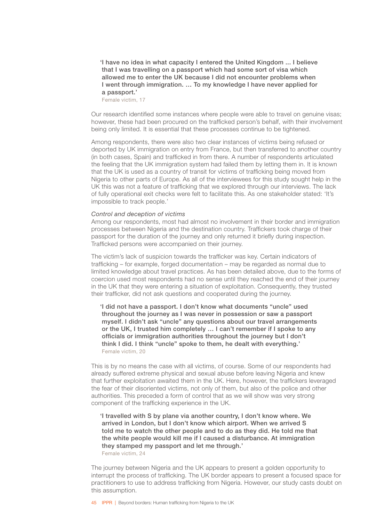'I have no idea in what capacity I entered the United Kingdom ... I believe that I was travelling on a passport which had some sort of visa which allowed me to enter the UK because I did not encounter problems when I went through immigration. … To my knowledge I have never applied for a passport.'

Female victim, 17

Our research identified some instances where people were able to travel on genuine visas; however, these had been procured on the trafficked person's behalf, with their involvement being only limited. It is essential that these processes continue to be tightened.

Among respondents, there were also two clear instances of victims being refused or deported by UK immigration on entry from France, but then transferred to another country (in both cases, Spain) and trafficked in from there. A number of respondents articulated the feeling that the UK immigration system had failed them by letting them in. It is known that the UK is used as a country of transit for victims of trafficking being moved from Nigeria to other parts of Europe. As all of the interviewees for this study sought help in the UK this was not a feature of trafficking that we explored through our interviews. The lack of fully operational exit checks were felt to facilitate this. As one stakeholder stated: 'It's impossible to track people.'

# *Control and deception of victims*

Among our respondents, most had almost no involvement in their border and immigration processes between Nigeria and the destination country. Traffickers took charge of their passport for the duration of the journey and only returned it briefly during inspection. Trafficked persons were accompanied on their journey.

The victim's lack of suspicion towards the trafficker was key. Certain indicators of trafficking – for example, forged documentation – may be regarded as normal due to limited knowledge about travel practices. As has been detailed above, due to the forms of coercion used most respondents had no sense until they reached the end of their journey in the UK that they were entering a situation of exploitation. Consequently, they trusted their trafficker, did not ask questions and cooperated during the journey.

'I did not have a passport. I don't know what documents "uncle" used throughout the journey as I was never in possession or saw a passport myself. I didn't ask "uncle" any questions about our travel arrangements or the UK, I trusted him completely … I can't remember if I spoke to any officials or immigration authorities throughout the journey but I don't think I did. I think "uncle" spoke to them, he dealt with everything.' Female victim, 20

This is by no means the case with all victims, of course. Some of our respondents had already suffered extreme physical and sexual abuse before leaving Nigeria and knew that further exploitation awaited them in the UK. Here, however, the traffickers leveraged the fear of their disoriented victims, not only of them, but also of the police and other authorities. This preceded a form of control that as we will show was very strong component of the trafficking experience in the UK.

'I travelled with S by plane via another country, I don't know where. We arrived in London, but I don't know which airport. When we arrived S told me to watch the other people and to do as they did. He told me that the white people would kill me if I caused a disturbance. At immigration they stamped my passport and let me through.' Female victim, 24

The journey between Nigeria and the UK appears to present a golden opportunity to interrupt the process of trafficking. The UK border appears to present a focused space for practitioners to use to address trafficking from Nigeria. However, our study casts doubt on this assumption.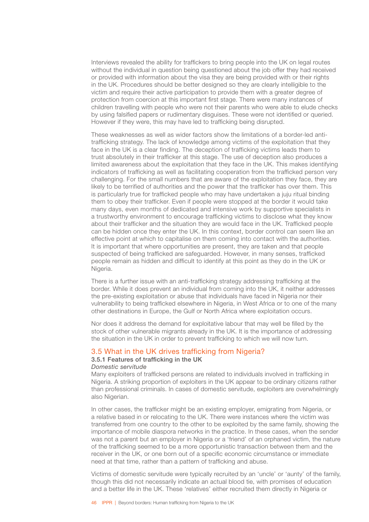Interviews revealed the ability for traffickers to bring people into the UK on legal routes without the individual in question being questioned about the job offer they had received or provided with information about the visa they are being provided with or their rights in the UK. Procedures should be better designed so they are clearly intelligible to the victim and require their active participation to provide them with a greater degree of protection from coercion at this important first stage. There were many instances of children travelling with people who were not their parents who were able to elude checks by using falsified papers or rudimentary disguises. These were not identified or queried. However if they were, this may have led to trafficking being disrupted.

These weaknesses as well as wider factors show the limitations of a border-led antitrafficking strategy. The lack of knowledge among victims of the exploitation that they face in the UK is a clear finding. The deception of trafficking victims leads them to trust absolutely in their trafficker at this stage. The use of deception also produces a limited awareness about the exploitation that they face in the UK. This makes identifying indicators of trafficking as well as facilitating cooperation from the trafficked person very challenging. For the small numbers that are aware of the exploitation they face, they are likely to be terrified of authorities and the power that the trafficker has over them. This is particularly true for trafficked people who may have undertaken a juju ritual binding them to obey their trafficker. Even if people were stopped at the border it would take many days, even months of dedicated and intensive work by supportive specialists in a trustworthy environment to encourage trafficking victims to disclose what they know about their trafficker and the situation they are would face in the UK. Trafficked people can be hidden once they enter the UK. In this context, border control can seem like an effective point at which to capitalise on them coming into contact with the authorities. It is important that where opportunities are present, they are taken and that people suspected of being trafficked are safeguarded. However, in many senses, trafficked people remain as hidden and difficult to identify at this point as they do in the UK or Nigeria.

There is a further issue with an anti-trafficking strategy addressing trafficking at the border. While it does prevent an individual from coming into the UK, it neither addresses the pre-existing exploitation or abuse that individuals have faced in Nigeria nor their vulnerability to being trafficked elsewhere in Nigeria, in West Africa or to one of the many other destinations in Europe, the Gulf or North Africa where exploitation occurs.

Nor does it address the demand for exploitative labour that may well be filled by the stock of other vulnerable migrants already in the UK. It is the importance of addressing the situation in the UK in order to prevent trafficking to which we will now turn.

# 3.5 What in the UK drives trafficking from Nigeria?

# 3.5.1 Features of trafficking in the UK

#### *Domestic servitude*

Many exploiters of trafficked persons are related to individuals involved in trafficking in Nigeria. A striking proportion of exploiters in the UK appear to be ordinary citizens rather than professional criminals. In cases of domestic servitude, exploiters are overwhelmingly also Nigerian.

In other cases, the trafficker might be an existing employer, emigrating from Nigeria, or a relative based in or relocating to the UK. There were instances where the victim was transferred from one country to the other to be exploited by the same family, showing the importance of mobile diaspora networks in the practice. In these cases, when the sender was not a parent but an employer in Nigeria or a 'friend' of an orphaned victim, the nature of the trafficking seemed to be a more opportunistic transaction between them and the receiver in the UK, or one born out of a specific economic circumstance or immediate need at that time, rather than a pattern of trafficking and abuse.

Victims of domestic servitude were typically recruited by an 'uncle' or 'aunty' of the family, though this did not necessarily indicate an actual blood tie, with promises of education and a better life in the UK. These 'relatives' either recruited them directly in Nigeria or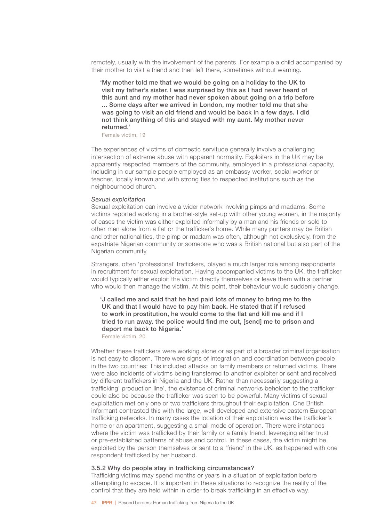remotely, usually with the involvement of the parents. For example a child accompanied by their mother to visit a friend and then left there, sometimes without warning.

'My mother told me that we would be going on a holiday to the UK to visit my father's sister. I was surprised by this as I had never heard of this aunt and my mother had never spoken about going on a trip before ... Some days after we arrived in London, my mother told me that she was going to visit an old friend and would be back in a few days. I did not think anything of this and stayed with my aunt. My mother never returned.'

Female victim, 19

The experiences of victims of domestic servitude generally involve a challenging intersection of extreme abuse with apparent normality. Exploiters in the UK may be apparently respected members of the community, employed in a professional capacity, including in our sample people employed as an embassy worker, social worker or teacher, locally known and with strong ties to respected institutions such as the neighbourhood church.

### *Sexual exploitation*

Sexual exploitation can involve a wider network involving pimps and madams. Some victims reported working in a brothel-style set-up with other young women, in the majority of cases the victim was either exploited informally by a man and his friends or sold to other men alone from a flat or the trafficker's home. While many punters may be British and other nationalities, the pimp or madam was often, although not exclusively, from the expatriate Nigerian community or someone who was a British national but also part of the Nigerian community.

Strangers, often 'professional' traffickers, played a much larger role among respondents in recruitment for sexual exploitation. Having accompanied victims to the UK, the trafficker would typically either exploit the victim directly themselves or leave them with a partner who would then manage the victim. At this point, their behaviour would suddenly change.

'J called me and said that he had paid lots of money to bring me to the UK and that I would have to pay him back. He stated that if I refused to work in prostitution, he would come to the flat and kill me and if I tried to run away, the police would find me out, [send] me to prison and deport me back to Nigeria.'

Female victim, 20

Whether these traffickers were working alone or as part of a broader criminal organisation is not easy to discern. There were signs of integration and coordination between people in the two countries: This included attacks on family members or returned victims. There were also incidents of victims being transferred to another exploiter or sent and received by different traffickers in Nigeria and the UK. Rather than necessarily suggesting a trafficking' production line', the existence of criminal networks beholden to the trafficker could also be because the trafficker was seen to be powerful. Many victims of sexual exploitation met only one or two traffickers throughout their exploitation. One British informant contrasted this with the large, well-developed and extensive eastern European trafficking networks. In many cases the location of their exploitation was the trafficker's home or an apartment, suggesting a small mode of operation. There were instances where the victim was trafficked by their family or a family friend, leveraging either trust or pre-established patterns of abuse and control. In these cases, the victim might be exploited by the person themselves or sent to a 'friend' in the UK, as happened with one respondent trafficked by her husband.

#### 3.5.2 Why do people stay in trafficking circumstances?

Trafficking victims may spend months or years in a situation of exploitation before attempting to escape. It is important in these situations to recognize the reality of the control that they are held within in order to break trafficking in an effective way.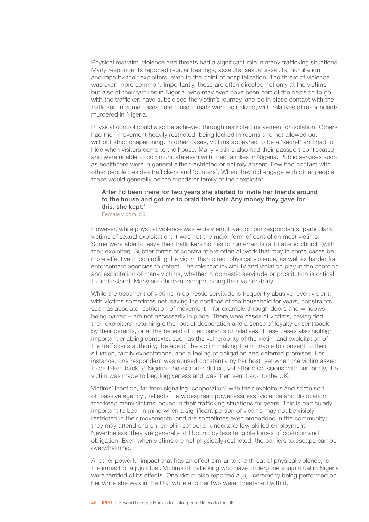Physical restraint, violence and threats had a significant role in many trafficking situations. Many respondents reported regular beatings, assaults, sexual assaults, humiliation and rape by their exploiters, even to the point of hospitalization. The threat of violence was even more common. Importantly, these are often directed not only at the victims but also at their families in Nigeria, who may even have been part of the decision to go with the trafficker, have subsidised the victim's journey, and be in close contact with the trafficker. In some cases here these threats were actualized, with relatives of respondents murdered in Nigeria.

Physical control could also be achieved through restricted movement or isolation. Others had their movement heavily restricted, being locked in rooms and not allowed out without strict chaperoning. In other cases, victims appeared to be a 'secret' and had to hide when visitors came to the house. Many victims also had their passport confiscated and were unable to communicate even with their families in Nigeria. Public services such as healthcare were in general either restricted or entirely absent. Few had contact with other people besides traffickers and 'punters'. When they did engage with other people, these would generally be the friends or family of their exploiter.

# 'After I'd been there for two years she started to invite her friends around to the house and got me to braid their hair. Any money they gave for this, she kept.'

Female victim, 20

However, while physical violence was widely employed on our respondents, particularly victims of sexual exploitation, it was not the major form of control on most victims. Some were able to leave their traffickers homes to run errands or to attend church (with their exploiter). Subtler forms of constraint are often at work that may in some cases be more effective in controlling the victim than direct physical violence, as well as harder for enforcement agencies to detect. The role that invisibility and isolation play in the coercion and exploitation of many victims, whether in domestic servitude or prostitution is critical to understand. Many are children, compounding their vulnerability.

While the treatment of victims in domestic servitude is frequently abusive, even violent, with victims sometimes not leaving the confines of the household for years, constraints such as absolute restriction of movement – for example through doors and windows being barred – are not necessarily in place. There were cases of victims, having fled their exploiters, returning either out of desperation and a sense of loyalty or sent back by their parents, or at the behest of their parents or relatives. These cases also highlight important enabling contexts, such as the vulnerability of the victim and exploitation of the trafficker's authority, the age of the victim making them unable to consent to their situation, family expectations, and a feeling of obligation and deferred promises. For instance, one respondent was abused constantly by her host, yet when the victim asked to be taken back to Nigeria, the exploiter did so, yet after discussions with her family, the victim was made to beg forgiveness and was then sent back to the UK.

Victims' inaction, far from signaling 'cooperation' with their exploiters and some sort of 'passive agency', reflects the widespread powerlessness, violence and dislocation that keep many victims locked in their trafficking situations for years. This is particularly important to bear in mind when a significant portion of victims may not be visibly restricted in their movements, and are sometimes even embedded in the community; they may attend church, enrol in school or undertake low-skilled employment. Nevertheless, they are generally still bound by less tangible forces of coercion and obligation. Even when victims are not physically restricted, the barriers to escape can be overwhelming.

Another powerful impact that has an effect similar to the threat of physical violence, is the impact of a juju ritual. Victims of trafficking who have undergone a juju ritual in Nigeria were terrified of its effects. One victim also reported a juju ceremony being performed on her while she was in the UK, while another two were threatened with it.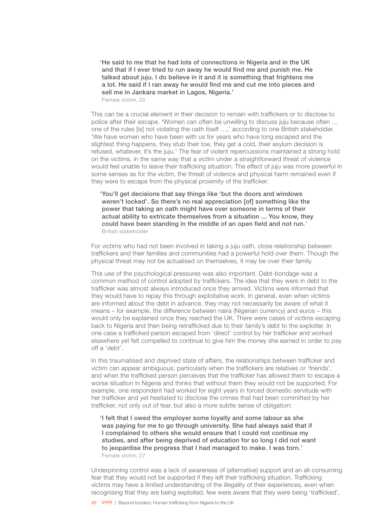'He said to me that he had lots of connections in Nigeria and in the UK and that if I ever tried to run away he would find me and punish me. He talked about juju. I do believe in it and it is something that frightens me a lot. He said if I ran away he would find me and cut me into pieces and sell me in Jankara market in Lagos, Nigeria.'

Female victim, 22

This can be a crucial element in their decision to remain with traffickers or to disclose to police after their escape. 'Women can often be unwilling to discuss juju because often … one of the rules [is] not violating the oath itself …,' according to one British stakeholder. 'We have women who have been with us for years who have long escaped and the slightest thing happens, they stub their toe, they get a cold, their asylum decision is refused, whatever, it's the juju.' The fear of violent repercussions maintained a strong hold on the victims, in the same way that a victim under a straightforward threat of violence would feel unable to leave their trafficking situation. The effect of juju was more powerful in some senses as for the victim, the threat of violence and physical harm remained even if they were to escape from the physical proximity of the trafficker.

'You'll get decisions that say things like 'but the doors and windows weren't locked'. So there's no real appreciation [of] something like the power that taking an oath might have over someone in terms of their actual ability to extricate themselves from a situation ... You know, they could have been standing in the middle of an open field and not run.*'* British stakeholder

For victims who had not been involved in taking a juju oath, close relationship between traffickers and their families and communities had a powerful hold over them. Though the physical threat may not be actualised on themselves, it may be over their family.

This use of the psychological pressures was also important. Debt-bondage was a common method of control adopted by traffickers. The idea that they were in debt to the trafficker was almost always introduced once they arrived. Victims were informed that they would have to repay this through exploitative work. In general, even when victims are informed about the debt in advance, they may not necessarily be aware of what it means – for example, the difference between naira (Nigerian currency) and euros – this would only be explained once they reached the UK. There were cases of victims escaping back to Nigeria and then being retrafficked due to their family's debt to the exploiter. In one case a trafficked person escaped from 'direct' control by her trafficker and worked elsewhere yet felt compelled to continue to give him the money she earned in order to pay off a 'debt'.

In this traumatised and deprived state of affairs, the relationships between trafficker and victim can appear ambiguous; particularly when the traffickers are relatives or 'friends', and when the trafficked person perceives that the trafficker has allowed them to escape a worse situation in Nigeria and thinks that without them they would not be supported. For example, one respondent had worked for eight years in forced domestic servitude with her trafficker and yet hesitated to disclose the crimes that had been committed by her trafficker, not only out of fear, but also a more subtle sense of obligation:

'I felt that I owed the employer some loyalty and some labour as she was paying for me to go through university. She had always said that if I complained to others she would ensure that I could not continue my studies, and after being deprived of education for so long I did not want to jeopardise the progress that I had managed to make. I was torn.' Female victim, 27

Underpinning control was a lack of awareness of (alternative) support and an all-consuming fear that they would not be supported if they left their trafficking situation. Trafficking victims may have a limited understanding of the illegality of their experiences, even when recognising that they are being exploited, few were aware that they were being 'trafficked',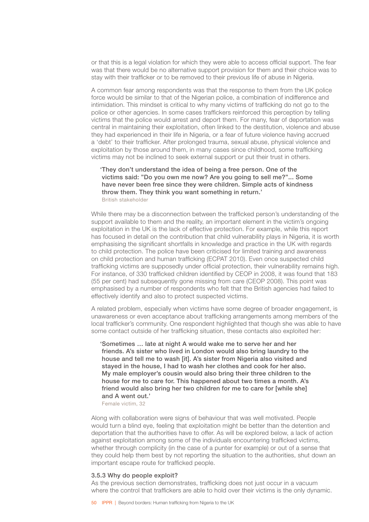or that this is a legal violation for which they were able to access official support. The fear was that there would be no alternative support provision for them and their choice was to stay with their trafficker or to be removed to their previous life of abuse in Nigeria.

A common fear among respondents was that the response to them from the UK police force would be similar to that of the Nigerian police, a combination of indifference and intimidation. This mindset is critical to why many victims of trafficking do not go to the police or other agencies. In some cases traffickers reinforced this perception by telling victims that the police would arrest and deport them. For many, fear of deportation was central in maintaining their exploitation, often linked to the destitution, violence and abuse they had experienced in their life in Nigeria, or a fear of future violence having accrued a 'debt' to their trafficker. After prolonged trauma, sexual abuse, physical violence and exploitation by those around them, in many cases since childhood, some trafficking victims may not be inclined to seek external support or put their trust in others.

'They don't understand the idea of being a free person. One of the victims said: "Do you own me now? Are you going to sell me?"... Some have never been free since they were children. Simple acts of kindness throw them. They think you want something in return.' British stakeholder

While there may be a disconnection between the trafficked person's understanding of the support available to them and the reality, an important element in the victim's ongoing exploitation in the UK is the lack of effective protection. For example, while this report has focused in detail on the contribution that child vulnerability plays in Nigeria, it is worth emphasising the significant shortfalls in knowledge and practice in the UK with regards to child protection. The police have been criticised for limited training and awareness on child protection and human trafficking (ECPAT 2010). Even once suspected child trafficking victims are supposedly under official protection, their vulnerability remains high. For instance, of 330 trafficked children identified by CEOP in 2008, it was found that 183 (55 per cent) had subsequently gone missing from care (CEOP 2008). This point was emphasised by a number of respondents who felt that the British agencies had failed to effectively identify and also to protect suspected victims.

A related problem, especially when victims have some degree of broader engagement, is unawareness or even acceptance about trafficking arrangements among members of the local trafficker's community. One respondent highlighted that though she was able to have some contact outside of her trafficking situation, these contacts also exploited her:

'Sometimes … late at night A would wake me to serve her and her friends. A's sister who lived in London would also bring laundry to the house and tell me to wash [it]. A's sister from Nigeria also visited and stayed in the house, I had to wash her clothes and cook for her also. My male employer's cousin would also bring their three children to the house for me to care for. This happened about two times a month. A's friend would also bring her two children for me to care for [while she] and A went out.'

Female victim, 32

Along with collaboration were signs of behaviour that was well motivated. People would turn a blind eye, feeling that exploitation might be better than the detention and deportation that the authorities have to offer. As will be explored below, a lack of action against exploitation among some of the individuals encountering trafficked victims, whether through complicity (in the case of a punter for example) or out of a sense that they could help them best by not reporting the situation to the authorities, shut down an important escape route for trafficked people.

#### 3.5.3 Why do people exploit?

As the previous section demonstrates, trafficking does not just occur in a vacuum where the control that traffickers are able to hold over their victims is the only dynamic.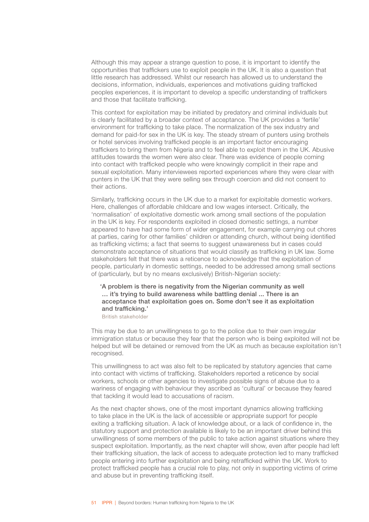Although this may appear a strange question to pose, it is important to identify the opportunities that traffickers use to exploit people in the UK. It is also a question that little research has addressed. Whilst our research has allowed us to understand the decisions, information, individuals, experiences and motivations guiding trafficked peoples experiences, it is important to develop a specific understanding of traffickers and those that facilitate trafficking.

This context for exploitation may be initiated by predatory and criminal individuals but is clearly facilitated by a broader context of acceptance. The UK provides a 'fertile' environment for trafficking to take place. The normalization of the sex industry and demand for paid-for sex in the UK is key. The steady stream of punters using brothels or hotel services involving trafficked people is an important factor encouraging traffickers to bring them from Nigeria and to feel able to exploit them in the UK. Abusive attitudes towards the women were also clear. There was evidence of people coming into contact with trafficked people who were knowingly complicit in their rape and sexual exploitation. Many interviewees reported experiences where they were clear with punters in the UK that they were selling sex through coercion and did not consent to their actions.

Similarly, trafficking occurs in the UK due to a market for exploitable domestic workers. Here, challenges of affordable childcare and low wages intersect. Critically, the 'normalisation' of exploitative domestic work among small sections of the population in the UK is key. For respondents exploited in closed domestic settings, a number appeared to have had some form of wider engagement, for example carrying out chores at parties, caring for other families' children or attending church, without being identified as trafficking victims; a fact that seems to suggest unawareness but in cases could demonstrate acceptance of situations that would classify as trafficking in UK law. Some stakeholders felt that there was a reticence to acknowledge that the exploitation of people, particularly in domestic settings, needed to be addressed among small sections of (particularly, but by no means exclusively) British-Nigerian society:

'A problem is there is negativity from the Nigerian community as well … it's trying to build awareness while battling denial ... There is an acceptance that exploitation goes on. Some don't see it as exploitation and trafficking.'

British stakeholder

This may be due to an unwillingness to go to the police due to their own irregular immigration status or because they fear that the person who is being exploited will not be helped but will be detained or removed from the UK as much as because exploitation isn't recognised.

This unwillingness to act was also felt to be replicated by statutory agencies that came into contact with victims of trafficking. Stakeholders reported a reticence by social workers, schools or other agencies to investigate possible signs of abuse due to a wariness of engaging with behaviour they ascribed as 'cultural' or because they feared that tackling it would lead to accusations of racism.

As the next chapter shows, one of the most important dynamics allowing trafficking to take place in the UK is the lack of accessible or appropriate support for people exiting a trafficking situation. A lack of knowledge about, or a lack of confidence in, the statutory support and protection available is likely to be an important driver behind this unwillingness of some members of the public to take action against situations where they suspect exploitation. Importantly, as the next chapter will show, even after people had left their trafficking situation, the lack of access to adequate protection led to many trafficked people entering into further exploitation and being retrafficked within the UK. Work to protect trafficked people has a crucial role to play, not only in supporting victims of crime and abuse but in preventing trafficking itself.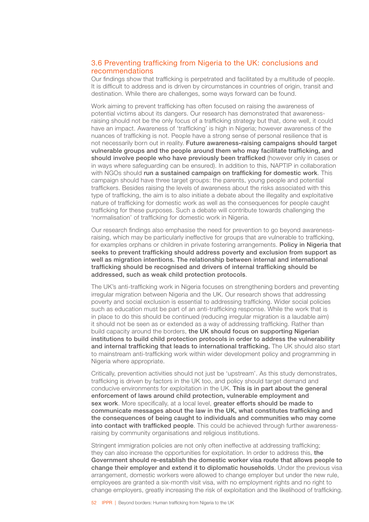# 3.6 Preventing trafficking from Nigeria to the UK: conclusions and recommendations

Our findings show that trafficking is perpetrated and facilitated by a multitude of people. It is difficult to address and is driven by circumstances in countries of origin, transit and destination. While there are challenges, some ways forward can be found.

Work aiming to prevent trafficking has often focused on raising the awareness of potential victims about its dangers. Our research has demonstrated that awarenessraising should not be the only focus of a trafficking strategy but that, done well, it could have an impact. Awareness of 'trafficking' is high in Nigeria; however awareness of the nuances of trafficking is not. People have a strong sense of personal resilience that is not necessarily born out in reality. Future awareness-raising campaigns should target vulnerable groups and the people around them who may facilitate trafficking, and should involve people who have previously been trafficked (however only in cases or in ways where safeguarding can be ensured). In addition to this, NAPTIP in collaboration with NGOs should run a sustained campaign on trafficking for domestic work. This campaign should have three target groups: the parents, young people and potential traffickers. Besides raising the levels of awareness about the risks associated with this type of trafficking, the aim is to also initiate a debate about the illegality and exploitative nature of trafficking for domestic work as well as the consequences for people caught trafficking for these purposes. Such a debate will contribute towards challenging the 'normalisation' of trafficking for domestic work in Nigeria.

Our research findings also emphasise the need for prevention to go beyond awarenessraising, which may be particularly ineffective for groups that are vulnerable to trafficking, for examples orphans or children in private fostering arrangements. Policy in Nigeria that seeks to prevent trafficking should address poverty and exclusion from support as well as migration intentions. The relationship between internal and international trafficking should be recognised and drivers of internal trafficking should be addressed, such as weak child protection protocols.

The UK's anti-trafficking work in Nigeria focuses on strengthening borders and preventing irregular migration between Nigeria and the UK. Our research shows that addressing poverty and social exclusion is essential to addressing trafficking. Wider social policies such as education must be part of an anti-trafficking response. While the work that is in place to do this should be continued (reducing irregular migration is a laudable aim) it should not be seen as or extended as a way of addressing trafficking. Rather than build capacity around the borders, the UK should focus on supporting Nigerian institutions to build child protection protocols in order to address the vulnerability and internal trafficking that leads to international trafficking. The UK should also start to mainstream anti-trafficking work within wider development policy and programming in Nigeria where appropriate.

Critically, prevention activities should not just be 'upstream'. As this study demonstrates, trafficking is driven by factors in the UK too, and policy should target demand and conducive environments for exploitation in the UK. This is in part about the general enforcement of laws around child protection, vulnerable employment and sex work. More specifically, at a local level, greater efforts should be made to communicate messages about the law in the UK, what constitutes trafficking and the consequences of being caught to individuals and communities who may come into contact with trafficked people. This could be achieved through further awarenessraising by community organisations and religious institutions.

Stringent immigration policies are not only often ineffective at addressing trafficking; they can also increase the opportunities for exploitation. In order to address this, the Government should re-establish the domestic worker visa route that allows people to change their employer and extend it to diplomatic households. Under the previous visa arrangement, domestic workers were allowed to change employer but under the new rule, employees are granted a six-month visit visa, with no employment rights and no right to change employers, greatly increasing the risk of exploitation and the likelihood of trafficking.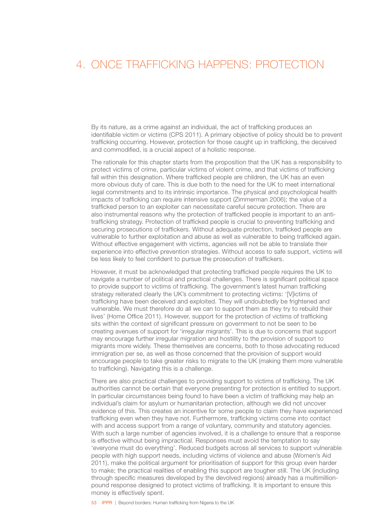# 4. ONCE TRAFFICKING HAPPENS: PROTECTION

By its nature, as a crime against an individual, the act of trafficking produces an identifiable victim or victims (CPS 2011). A primary objective of policy should be to prevent trafficking occurring. However, protection for those caught up in trafficking, the deceived and commodified, is a crucial aspect of a holistic response.

The rationale for this chapter starts from the proposition that the UK has a responsibility to protect victims of crime, particular victims of violent crime, and that victims of trafficking fall within this designation. Where trafficked people are children, the UK has an even more obvious duty of care. This is due both to the need for the UK to meet international legal commitments and to its intrinsic importance. The physical and psychological health impacts of trafficking can require intensive support (Zimmerman 2006); the value of a trafficked person to an exploiter can necessitate careful secure protection. There are also instrumental reasons why the protection of trafficked people is important to an antitrafficking strategy. Protection of trafficked people is crucial to preventing trafficking and securing prosecutions of traffickers. Without adequate protection, trafficked people are vulnerable to further exploitation and abuse as well as vulnerable to being trafficked again. Without effective engagement with victims, agencies will not be able to translate their experience into effective prevention strategies. Without access to safe support, victims will be less likely to feel confident to pursue the prosecution of traffickers.

However, it must be acknowledged that protecting trafficked people requires the UK to navigate a number of political and practical challenges. There is significant political space to provide support to victims of trafficking. The government's latest human trafficking strategy reiterated clearly the UK's commitment to protecting victims: '[V]ictims of trafficking have been deceived and exploited. They will undoubtedly be frightened and vulnerable. We must therefore do all we can to support them as they try to rebuild their lives' (Home Office 2011). However, support for the protection of victims of trafficking sits within the context of significant pressure on government to not be seen to be creating avenues of support for 'irregular migrants'. This is due to concerns that support may encourage further irregular migration and hostility to the provision of support to migrants more widely. These themselves are concerns, both to those advocating reduced immigration per se, as well as those concerned that the provision of support would encourage people to take greater risks to migrate to the UK (making them more vulnerable to trafficking). Navigating this is a challenge.

There are also practical challenges to providing support to victims of trafficking. The UK authorities cannot be certain that everyone presenting for protection is entitled to support. In particular circumstances being found to have been a victim of trafficking may help an individual's claim for asylum or humanitarian protection, although we did not uncover evidence of this. This creates an incentive for some people to claim they have experienced trafficking even when they have not. Furthermore, trafficking victims come into contact with and access support from a range of voluntary, community and statutory agencies. With such a large number of agencies involved, it is a challenge to ensure that a response is effective without being impractical. Responses must avoid the temptation to say 'everyone must do everything'. Reduced budgets across all services to support vulnerable people with high support needs, including victims of violence and abuse (Women's Aid 2011), make the political argument for prioritisation of support for this group even harder to make; the practical realities of enabling this support are tougher still. The UK (including through specific measures developed by the devolved regions) already has a multimillionpound response designed to protect victims of trafficking. It is important to ensure this money is effectively spent.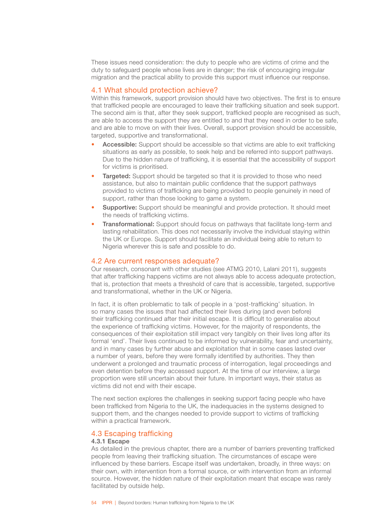These issues need consideration: the duty to people who are victims of crime and the duty to safeguard people whose lives are in danger; the risk of encouraging irregular migration and the practical ability to provide this support must influence our response.

# 4.1 What should protection achieve?

Within this framework, support provision should have two objectives. The first is to ensure that trafficked people are encouraged to leave their trafficking situation and seek support. The second aim is that, after they seek support, trafficked people are recognised as such, are able to access the support they are entitled to and that they need in order to be safe, and are able to move on with their lives. Overall, support provision should be accessible, targeted, supportive and transformational.

- Accessible: Support should be accessible so that victims are able to exit trafficking situations as early as possible, to seek help and be referred into support pathways. Due to the hidden nature of trafficking, it is essential that the accessibility of support for victims is prioritised.
- **Targeted:** Support should be targeted so that it is provided to those who need assistance, but also to maintain public confidence that the support pathways provided to victims of trafficking are being provided to people genuinely in need of support, rather than those looking to game a system.
- **Supportive:** Support should be meaningful and provide protection. It should meet the needs of trafficking victims.
- **Transformational:** Support should focus on pathways that facilitate long-term and lasting rehabilitation. This does not necessarily involve the individual staying within the UK or Europe. Support should facilitate an individual being able to return to Nigeria wherever this is safe and possible to do.

# 4.2 Are current responses adequate?

Our research, consonant with other studies (see ATMG 2010, Lalani 2011), suggests that after trafficking happens victims are not always able to access adequate protection, that is, protection that meets a threshold of care that is accessible, targeted, supportive and transformational, whether in the UK or Nigeria.

In fact, it is often problematic to talk of people in a 'post-trafficking' situation. In so many cases the issues that had affected their lives during (and even before) their trafficking continued after their initial escape. It is difficult to generalise about the experience of trafficking victims. However, for the majority of respondents, the consequences of their exploitation still impact very tangibly on their lives long after its formal 'end'. Their lives continued to be informed by vulnerability, fear and uncertainty, and in many cases by further abuse and exploitation that in some cases lasted over a number of years, before they were formally identified by authorities. They then underwent a prolonged and traumatic process of interrogation, legal proceedings and even detention before they accessed support. At the time of our interview, a large proportion were still uncertain about their future. In important ways, their status as victims did not end with their escape.

The next section explores the challenges in seeking support facing people who have been trafficked from Nigeria to the UK, the inadequacies in the systems designed to support them, and the changes needed to provide support to victims of trafficking within a practical framework.

# 4.3 Escaping trafficking

# 4.3.1 Escape

As detailed in the previous chapter, there are a number of barriers preventing trafficked people from leaving their trafficking situation. The circumstances of escape were influenced by these barriers. Escape itself was undertaken, broadly, in three ways: on their own, with intervention from a formal source, or with intervention from an informal source. However, the hidden nature of their exploitation meant that escape was rarely facilitated by outside help.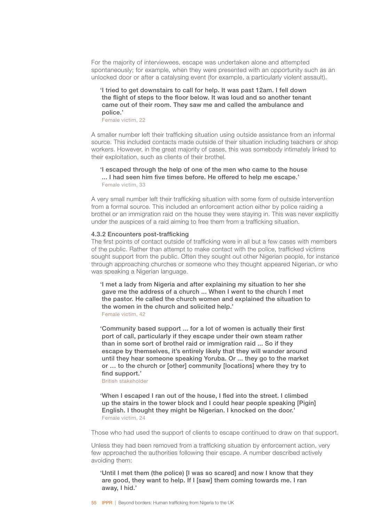For the majority of interviewees, escape was undertaken alone and attempted spontaneously; for example, when they were presented with an opportunity such as an unlocked door or after a catalysing event (for example, a particularly violent assault).

# 'I tried to get downstairs to call for help. It was past 12am. I fell down the flight of steps to the floor below. It was loud and so another tenant came out of their room. They saw me and called the ambulance and police.'

Female victim, 22

A smaller number left their trafficking situation using outside assistance from an informal source. This included contacts made outside of their situation including teachers or shop workers. However, in the great majority of cases, this was somebody intimately linked to their exploitation, such as clients of their brothel.

# 'I escaped through the help of one of the men who came to the house ... I had seen him five times before. He offered to help me escape.' Female victim, 33

A very small number left their trafficking situation with some form of outside intervention from a formal source. This included an enforcement action either by police raiding a brothel or an immigration raid on the house they were staying in. This was never explicitly under the auspices of a raid aiming to free them from a trafficking situation.

#### 4.3.2 Encounters post-trafficking

The first points of contact outside of trafficking were in all but a few cases with members of the public. Rather than attempt to make contact with the police, trafficked victims sought support from the public. Often they sought out other Nigerian people, for instance through approaching churches or someone who they thought appeared Nigerian, or who was speaking a Nigerian language.

'I met a lady from Nigeria and after explaining my situation to her she gave me the address of a church ... When I went to the church I met the pastor. He called the church women and explained the situation to the women in the church and solicited help.' Female victim, 42

'Community based support ... for a lot of women is actually their first port of call, particularly if they escape under their own steam rather than in some sort of brothel raid or immigration raid ... So if they escape by themselves, it's entirely likely that they will wander around until they hear someone speaking Yoruba. Or ... they go to the market or … to the church or [other] community [locations] where they try to find support.'

British stakeholder

'When I escaped I ran out of the house, I fled into the street. I climbed up the stairs in the tower block and I could hear people speaking [Pigin] English. I thought they might be Nigerian. I knocked on the door.' Female victim, 24

Those who had used the support of clients to escape continued to draw on that support.

Unless they had been removed from a trafficking situation by enforcement action, very few approached the authorities following their escape. A number described actively avoiding them:

'Until I met them (the police) [I was so scared] and now I know that they are good, they want to help. If I [saw] them coming towards me. I ran away, I hid.'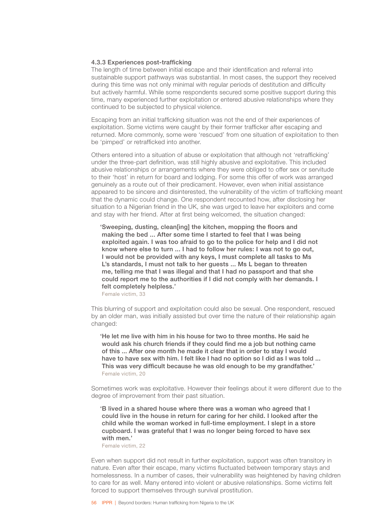#### 4.3.3 Experiences post-trafficking

The length of time between initial escape and their identification and referral into sustainable support pathways was substantial. In most cases, the support they received during this time was not only minimal with regular periods of destitution and difficulty but actively harmful. While some respondents secured some positive support during this time, many experienced further exploitation or entered abusive relationships where they continued to be subjected to physical violence.

Escaping from an initial trafficking situation was not the end of their experiences of exploitation. Some victims were caught by their former trafficker after escaping and returned. More commonly, some were 'rescued' from one situation of exploitation to then be 'pimped' or retrafficked into another.

Others entered into a situation of abuse or exploitation that although not 'retrafficking' under the three-part definition, was still highly abusive and exploitative. This included abusive relationships or arrangements where they were obliged to offer sex or servitude to their 'host' in return for board and lodging. For some this offer of work was arranged genuinely as a route out of their predicament. However, even when initial assistance appeared to be sincere and disinterested, the vulnerability of the victim of trafficking meant that the dynamic could change. One respondent recounted how, after disclosing her situation to a Nigerian friend in the UK, she was urged to leave her exploiters and come and stay with her friend. After at first being welcomed, the situation changed:

'Sweeping, dusting, clean[ing] the kitchen, mopping the floors and making the bed ... After some time I started to feel that I was being exploited again. I was too afraid to go to the police for help and I did not know where else to turn ... I had to follow her rules: I was not to go out, I would not be provided with any keys, I must complete all tasks to Ms L's standards, I must not talk to her guests ... Ms L began to threaten me, telling me that I was illegal and that I had no passport and that she could report me to the authorities if I did not comply with her demands. I felt completely helpless.'

Female victim, 33

This blurring of support and exploitation could also be sexual. One respondent, rescued by an older man, was initially assisted but over time the nature of their relationship again changed:

'He let me live with him in his house for two to three months. He said he would ask his church friends if they could find me a job but nothing came of this ... After one month he made it clear that in order to stay I would have to have sex with him. I felt like I had no option so I did as I was told ... This was very difficult because he was old enough to be my grandfather.' Female victim, 20

Sometimes work was exploitative. However their feelings about it were different due to the degree of improvement from their past situation.

'B lived in a shared house where there was a woman who agreed that I could live in the house in return for caring for her child. I looked after the child while the woman worked in full-time employment. I slept in a store cupboard. I was grateful that I was no longer being forced to have sex with men.'

Female victim, 22

Even when support did not result in further exploitation, support was often transitory in nature. Even after their escape, many victims fluctuated between temporary stays and homelessness. In a number of cases, their vulnerability was heightened by having children to care for as well. Many entered into violent or abusive relationships. Some victims felt forced to support themselves through survival prostitution.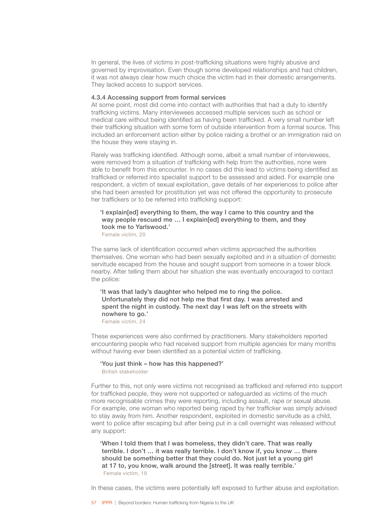In general, the lives of victims in post-trafficking situations were highly abusive and governed by improvisation. Even though some developed relationships and had children, it was not always clear how much choice the victim had in their domestic arrangements. They lacked access to support services.

#### 4.3.4 Accessing support from formal services

At some point, most did come into contact with authorities that had a duty to identify trafficking victims. Many interviewees accessed multiple services such as school or medical care without being identified as having been trafficked. A very small number left their trafficking situation with some form of outside intervention from a formal source. This included an enforcement action either by police raiding a brothel or an immigration raid on the house they were staying in.

Rarely was trafficking identified. Although some, albeit a small number of interviewees, were removed from a situation of trafficking with help from the authorities, none were able to benefit from this encounter. In no cases did this lead to victims being identified as trafficked or referred into specialist support to be assessed and aided. For example one respondent, a victim of sexual exploitation, gave details of her experiences to police after she had been arrested for prostitution yet was not offered the opportunity to prosecute her traffickers or to be referred into trafficking support:

### 'I explain[ed] everything to them, the way I came to this country and the way people rescued me ... I explain[ed] everything to them, and they took me to Yarlswood.' Female victim, 20

The same lack of identification occurred when victims approached the authorities themselves. One woman who had been sexually exploited and in a situation of domestic servitude escaped from the house and sought support from someone in a tower block nearby. After telling them about her situation she was eventually encouraged to contact the police:

'It was that lady's daughter who helped me to ring the police. Unfortunately they did not help me that first day. I was arrested and spent the night in custody. The next day I was left on the streets with nowhere to go.' Female victim, 24

These experiences were also confirmed by practitioners. Many stakeholders reported encountering people who had received support from multiple agencies for many months without having ever been identified as a potential victim of trafficking.

# 'You just think – how has this happened?' British stakeholder

Further to this, not only were victims not recognised as trafficked and referred into support for trafficked people, they were not supported or safeguarded as victims of the much more recognisable crimes they were reporting, including assault, rape or sexual abuse. For example, one woman who reported being raped by her trafficker was simply advised to stay away from him. Another respondent, exploited in domestic servitude as a child, went to police after escaping but after being put in a cell overnight was released without any support:

'When I told them that I was homeless, they didn't care. That was really terrible. I don't … it was really terrible. I don't know if, you know … there should be something better that they could do. Not just let a young girl at 17 to, you know, walk around the [street]. It was really terrible.' Female victim, 19

In these cases, the victims were potentially left exposed to further abuse and exploitation.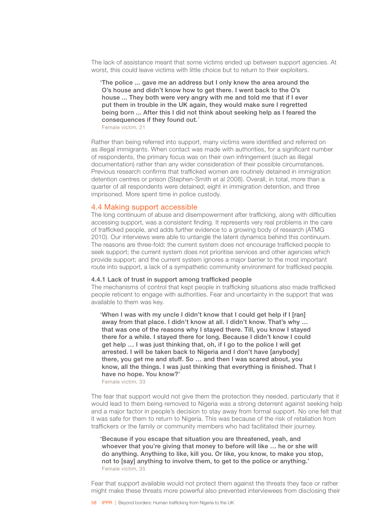The lack of assistance meant that some victims ended up between support agencies. At worst, this could leave victims with little choice but to return to their exploiters.

'The police ... gave me an address but I only knew the area around the O's house and didn't know how to get there. I went back to the O's house ... They both were very angry with me and told me that if I ever put them in trouble in the UK again, they would make sure I regretted being born ... After this I did not think about seeking help as I feared the consequences if they found out.*'*

Female victim, 21

Rather than being referred into support, many victims were identified and referred on as illegal immigrants. When contact was made with authorities, for a significant number of respondents, the primary focus was on their own infringement (such as illegal documentation) rather than any wider consideration of their possible circumstances. Previous research confirms that trafficked women are routinely detained in immigration detention centres or prison (Stephen-Smith et al 2008). Overall, in total, more than a quarter of all respondents were detained; eight in immigration detention, and three imprisoned. More spent time in police custody.

# 4.4 Making support accessible

The long continuum of abuse and disempowerment after trafficking, along with difficulties accessing support, was a consistent finding. It represents very real problems in the care of trafficked people, and adds further evidence to a growing body of research (ATMG 2010). Our interviews were able to untangle the latent dynamics behind this continuum. The reasons are three-fold: the current system does not encourage trafficked people to seek support; the current system does not prioritise services and other agencies which provide support; and the current system ignores a major barrier to the most important route into support, a lack of a sympathetic community environment for trafficked people.

#### 4.4.1 Lack of trust in support among trafficked people

The mechanisms of control that kept people in trafficking situations also made trafficked people reticent to engage with authorities. Fear and uncertainty in the support that was available to them was key.

'When I was with my uncle I didn't know that I could get help if I [ran] away from that place. I didn't know at all. I didn't know. That's why … that was one of the reasons why I stayed there. Till, you know I stayed there for a while. I stayed there for long. Because I didn't know I could get help … I was just thinking that, oh, if I go to the police I will get arrested. I will be taken back to Nigeria and I don't have [anybody] there, you get me and stuff. So … and then I was scared about, you know, all the things. I was just thinking that everything is finished. That I have no hope. You know?'

Female victim, 33

The fear that support would not give them the protection they needed, particularly that it would lead to them being removed to Nigeria was a strong deterrent against seeking help and a major factor in people's decision to stay away from formal support. No one felt that it was safe for them to return to Nigeria. This was because of the risk of retaliation from traffickers or the family or community members who had facilitated their journey.

'Because if you escape that situation you are threatened, yeah, and whoever that you're giving that money to before will like … he or she will do anything. Anything to like, kill you. Or like, you know, to make you stop, not to [say] anything to involve them, to get to the police or anything.' Female victim, 35

Fear that support available would not protect them against the threats they face or rather might make these threats more powerful also prevented interviewees from disclosing their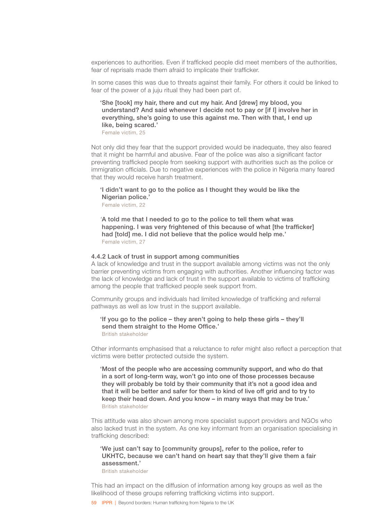experiences to authorities. Even if trafficked people did meet members of the authorities, fear of reprisals made them afraid to implicate their trafficker.

In some cases this was due to threats against their family. For others it could be linked to fear of the power of a juju ritual they had been part of.

'She [took] my hair, there and cut my hair. And [drew] my blood, you understand? And said whenever I decide not to pay or [if I] involve her in everything, she's going to use this against me. Then with that, I end up like, being scared.'

Female victim, 25

Not only did they fear that the support provided would be inadequate, they also feared that it might be harmful and abusive. Fear of the police was also a significant factor preventing trafficked people from seeking support with authorities such as the police or immigration officials. Due to negative experiences with the police in Nigeria many feared that they would receive harsh treatment.

# 'I didn't want to go to the police as I thought they would be like the Nigerian police.'

Female victim, 22

*'*A told me that I needed to go to the police to tell them what was happening. I was very frightened of this because of what [the trafficker] had [told] me. I did not believe that the police would help me.' Female victim, 27

### 4.4.2 Lack of trust in support among communities

A lack of knowledge and trust in the support available among victims was not the only barrier preventing victims from engaging with authorities. Another influencing factor was the lack of knowledge and lack of trust in the support available to victims of trafficking among the people that trafficked people seek support from.

Community groups and individuals had limited knowledge of trafficking and referral pathways as well as low trust in the support available.

#### 'If you go to the police – they aren't going to help these girls – they'll send them straight to the Home Office.' British stakeholder

Other informants emphasised that a reluctance to refer might also reflect a perception that victims were better protected outside the system.

'Most of the people who are accessing community support, and who do that in a sort of long-term way, won't go into one of those processes because they will probably be told by their community that it's not a good idea and that it will be better and safer for them to kind of live off grid and to try to keep their head down. And you know – in many ways that may be true.' British stakeholder

This attitude was also shown among more specialist support providers and NGOs who also lacked trust in the system. As one key informant from an organisation specialising in trafficking described:

# 'We just can't say to [community groups], refer to the police, refer to UKHTC, because we can't hand on heart say that they'll give them a fair assessment.'

British stakeholder

This had an impact on the diffusion of information among key groups as well as the likelihood of these groups referring trafficking victims into support.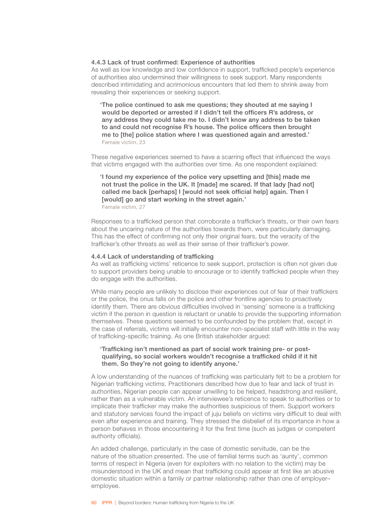### 4.4.3 Lack of trust confirmed: Experience of authorities

As well as low knowledge and low confidence in support, trafficked people's experience of authorities also undermined their willingness to seek support. Many respondents described intimidating and acrimonious encounters that led them to shrink away from revealing their experiences or seeking support.

'The police continued to ask me questions; they shouted at me saying I would be deported or arrested if I didn't tell the officers R's address, or any address they could take me to. I didn't know any address to be taken to and could not recognise R's house. The police officers then brought me to [the] police station where I was questioned again and arrested.' Female victim, 23

These negative experiences seemed to have a scarring effect that influenced the ways that victims engaged with the authorities over time. As one respondent explained:

'I found my experience of the police very upsetting and [this] made me not trust the police in the UK. It [made] me scared. If that lady [had not] called me back [perhaps] I [would not seek official help] again. Then I [would] go and start working in the street again.' Female victim, 27

Responses to a trafficked person that corroborate a trafficker's threats, or their own fears about the uncaring nature of the authorities towards them, were particularly damaging. This has the effect of confirming not only their original fears, but the veracity of the trafficker's other threats as well as their sense of their trafficker's power.

### 4.4.4 Lack of understanding of trafficking

As well as trafficking victims' reticence to seek support, protection is often not given due to support providers being unable to encourage or to identify trafficked people when they do engage with the authorities.

While many people are unlikely to disclose their experiences out of fear of their traffickers or the police, the onus falls on the police and other frontline agencies to proactively identify them. There are obvious difficulties involved in 'sensing' someone is a trafficking victim if the person in question is reluctant or unable to provide the supporting information themselves. These questions seemed to be confounded by the problem that, except in the case of referrals, victims will initially encounter non-specialist staff with little in the way of trafficking-specific training. As one British stakeholder argued:

# 'Trafficking isn't mentioned as part of social work training pre- or postqualifying, so social workers wouldn't recognise a trafficked child if it hit them. So they're not going to identify anyone.'

A low understanding of the nuances of trafficking was particularly felt to be a problem for Nigerian trafficking victims. Practitioners described how due to fear and lack of trust in authorities, Nigerian people can appear unwilling to be helped, headstrong and resilient, rather than as a vulnerable victim. An interviewee's reticence to speak to authorities or to implicate their trafficker may make the authorities suspicious of them. Support workers and statutory services found the impact of juju beliefs on victims very difficult to deal with even after experience and training. They stressed the disbelief of its importance in how a person behaves in those encountering it for the first time (such as judges or competent authority officials).

An added challenge, particularly in the case of domestic servitude, can be the nature of the situation presented. The use of familial terms such as 'aunty', common terms of respect in Nigeria (even for exploiters with no relation to the victim) may be misunderstood in the UK and mean that trafficking could appear at first like an abusive domestic situation within a family or partner relationship rather than one of employer– employee.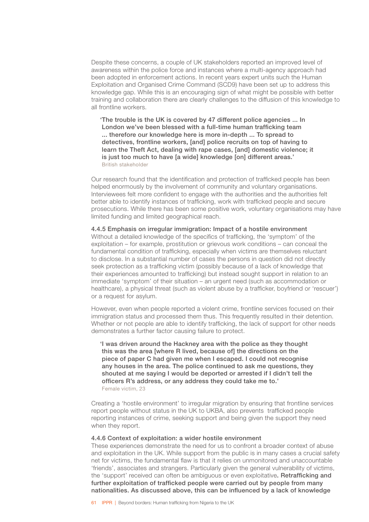Despite these concerns, a couple of UK stakeholders reported an improved level of awareness within the police force and instances where a multi-agency approach had been adopted in enforcement actions. In recent years expert units such the Human Exploitation and Organised Crime Command (SCD9) have been set up to address this knowledge gap. While this is an encouraging sign of what might be possible with better training and collaboration there are clearly challenges to the diffusion of this knowledge to all frontline workers.

'The trouble is the UK is covered by 47 different police agencies ... In London we've been blessed with a full-time human trafficking team ... therefore our knowledge here is more in-depth ... To spread to detectives, frontline workers, [and] police recruits on top of having to learn the Theft Act, dealing with rape cases, [and] domestic violence; it is just too much to have [a wide] knowledge [on] different areas.' British stakeholder

Our research found that the identification and protection of trafficked people has been helped enormously by the involvement of community and voluntary organisations. Interviewees felt more confident to engage with the authorities and the authorities felt better able to identify instances of trafficking, work with trafficked people and secure prosecutions. While there has been some positive work, voluntary organisations may have limited funding and limited geographical reach.

4.4.5 Emphasis on irregular immigration: Impact of a hostile environment Without a detailed knowledge of the specifics of trafficking, the 'symptom' of the exploitation – for example, prostitution or grievous work conditions – can conceal the fundamental condition of trafficking, especially when victims are themselves reluctant to disclose. In a substantial number of cases the persons in question did not directly seek protection as a trafficking victim (possibly because of a lack of knowledge that their experiences amounted to trafficking) but instead sought support in relation to an immediate 'symptom' of their situation – an urgent need (such as accommodation or healthcare), a physical threat (such as violent abuse by a trafficker, boyfriend or 'rescuer') or a request for asylum.

However, even when people reported a violent crime, frontline services focused on their immigration status and processed them thus. This frequently resulted in their detention. Whether or not people are able to identify trafficking, the lack of support for other needs demonstrates a further factor causing failure to protect.

'I was driven around the Hackney area with the police as they thought this was the area [where R lived, because of] the directions on the piece of paper C had given me when I escaped. I could not recognise any houses in the area. The police continued to ask me questions, they shouted at me saying I would be deported or arrested if I didn't tell the officers R's address, or any address they could take me to.' Female victim, 23

Creating a 'hostile environment' to irregular migration by ensuring that frontline services report people without status in the UK to UKBA, also prevents trafficked people reporting instances of crime, seeking support and being given the support they need when they report.

### 4.4.6 Context of exploitation: a wider hostile environment

These experiences demonstrate the need for us to confront a broader context of abuse and exploitation in the UK. While support from the public is in many cases a crucial safety net for victims, the fundamental flaw is that it relies on unmonitored and unaccountable 'friends', associates and strangers. Particularly given the general vulnerability of victims, the 'support' received can often be ambiguous or even exploitative. Retrafficking and further exploitation of trafficked people were carried out by people from many nationalities. As discussed above, this can be influenced by a lack of knowledge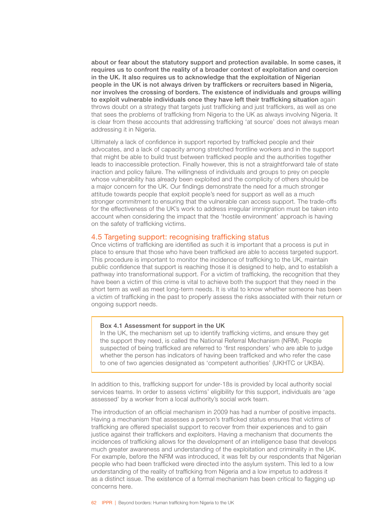about or fear about the statutory support and protection available. In some cases, it requires us to confront the reality of a broader context of exploitation and coercion in the UK. It also requires us to acknowledge that the exploitation of Nigerian people in the UK is not always driven by traffickers or recruiters based in Nigeria, nor involves the crossing of borders. The existence of individuals and groups willing to exploit vulnerable individuals once they have left their trafficking situation again throws doubt on a strategy that targets just trafficking and just traffickers, as well as one that sees the problems of trafficking from Nigeria to the UK as always involving Nigeria. It is clear from these accounts that addressing trafficking 'at source' does not always mean addressing it in Nigeria.

Ultimately a lack of confidence in support reported by trafficked people and their advocates, and a lack of capacity among stretched frontline workers and in the support that might be able to build trust between trafficked people and the authorities together leads to inaccessible protection. Finally however, this is not a straightforward tale of state inaction and policy failure. The willingness of individuals and groups to prey on people whose vulnerability has already been exploited and the complicity of others should be a major concern for the UK. Our findings demonstrate the need for a much stronger attitude towards people that exploit people's need for support as well as a much stronger commitment to ensuring that the vulnerable can access support. The trade-offs for the effectiveness of the UK's work to address irregular immigration must be taken into account when considering the impact that the 'hostile environment' approach is having on the safety of trafficking victims.

# 4.5 Targeting support: recognising trafficking status

Once victims of trafficking are identified as such it is important that a process is put in place to ensure that those who have been trafficked are able to access targeted support. This procedure is important to monitor the incidence of trafficking to the UK, maintain public confidence that support is reaching those it is designed to help, and to establish a pathway into transformational support. For a victim of trafficking, the recognition that they have been a victim of this crime is vital to achieve both the support that they need in the short term as well as meet long-term needs. It is vital to know whether someone has been a victim of trafficking in the past to properly assess the risks associated with their return or ongoing support needs.

#### Box 4.1 Assessment for support in the UK

In the UK, the mechanism set up to identify trafficking victims, and ensure they get the support they need, is called the National Referral Mechanism (NRM). People suspected of being trafficked are referred to 'first responders' who are able to judge whether the person has indicators of having been trafficked and who refer the case to one of two agencies designated as 'competent authorities' (UKHTC or UKBA).

In addition to this, trafficking support for under-18s is provided by local authority social services teams. In order to assess victims' eligibility for this support, individuals are 'age assessed' by a worker from a local authority's social work team.

The introduction of an official mechanism in 2009 has had a number of positive impacts. Having a mechanism that assesses a person's trafficked status ensures that victims of trafficking are offered specialist support to recover from their experiences and to gain justice against their traffickers and exploiters. Having a mechanism that documents the incidences of trafficking allows for the development of an intelligence base that develops much greater awareness and understanding of the exploitation and criminality in the UK. For example, before the NRM was introduced, it was felt by our respondents that Nigerian people who had been trafficked were directed into the asylum system. This led to a low understanding of the reality of trafficking from Nigeria and a low impetus to address it as a distinct issue. The existence of a formal mechanism has been critical to flagging up concerns here.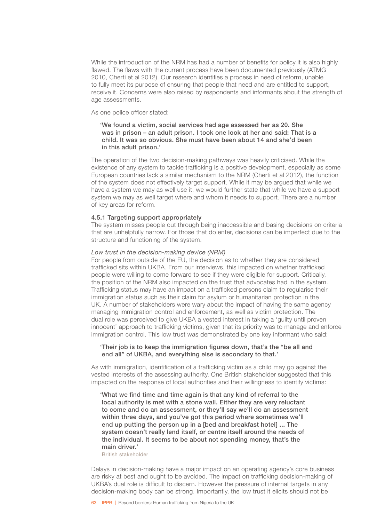While the introduction of the NRM has had a number of benefits for policy it is also highly flawed. The flaws with the current process have been documented previously (ATMG 2010, Cherti et al 2012). Our research identifies a process in need of reform, unable to fully meet its purpose of ensuring that people that need and are entitled to support, receive it. Concerns were also raised by respondents and informants about the strength of age assessments.

As one police officer stated:

# 'We found a victim, social services had age assessed her as 20. She was in prison – an adult prison. I took one look at her and said: That is a child. It was so obvious. She must have been about 14 and she'd been in this adult prison.'

The operation of the two decision-making pathways was heavily criticised. While the existence of any system to tackle trafficking is a positive development, especially as some European countries lack a similar mechanism to the NRM (Cherti et al 2012), the function of the system does not effectively target support. While it may be argued that while we have a system we may as well use it, we would further state that while we have a support system we may as well target where and whom it needs to support. There are a number of key areas for reform.

# 4.5.1 Targeting support appropriately

The system misses people out through being inaccessible and basing decisions on criteria that are unhelpfully narrow. For those that do enter, decisions can be imperfect due to the structure and functioning of the system.

### *Low trust in the decision-making device (NRM)*

For people from outside of the EU, the decision as to whether they are considered trafficked sits within UKBA. From our interviews, this impacted on whether trafficked people were willing to come forward to see if they were eligible for support. Critically, the position of the NRM also impacted on the trust that advocates had in the system. Trafficking status may have an impact on a trafficked persons claim to regularise their immigration status such as their claim for asylum or humanitarian protection in the UK. A number of stakeholders were wary about the impact of having the same agency managing immigration control and enforcement, as well as victim protection. The dual role was perceived to give UKBA a vested interest in taking a 'guilty until proven innocent' approach to trafficking victims, given that its priority was to manage and enforce immigration control. This low trust was demonstrated by one key informant who said:

# 'Their job is to keep the immigration figures down, that's the "be all and end all" of UKBA, and everything else is secondary to that.'

As with immigration, identification of a trafficking victim as a child may go against the vested interests of the assessing authority. One British stakeholder suggested that this impacted on the response of local authorities and their willingness to identify victims:

'What we find time and time again is that any kind of referral to the local authority is met with a stone wall. Either they are very reluctant to come and do an assessment, or they'll say we'll do an assessment within three days, and you've got this period where sometimes we'll end up putting the person up in a [bed and breakfast hotel] ... The system doesn't really lend itself, or centre itself around the needs of the individual. It seems to be about not spending money, that's the main driver.'

British stakeholder

Delays in decision-making have a major impact on an operating agency's core business are risky at best and ought to be avoided. The impact on trafficking decision-making of UKBA's dual role is difficult to discern. However the pressure of internal targets in any decision-making body can be strong. Importantly, the low trust it elicits should not be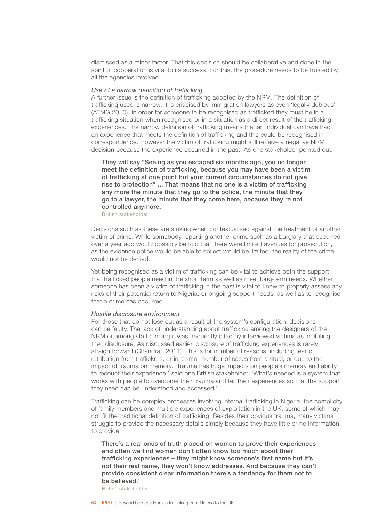dismissed as a minor factor. That this decision should be collaborative and done in the spirit of cooperation is vital to its success. For this, the procedure needs to be trusted by all the agencies involved.

#### *Use of a narrow definition of trafficking*

A further issue is the definition of trafficking adopted by the NRM. The definition of trafficking used is narrow. It is criticised by immigration lawyers as even 'legally dubious' (ATMG 2010). In order for someone to be recognised as trafficked they must be in a trafficking situation when recognised or in a situation as a direct result of the trafficking experiences. The narrow definition of trafficking means that an individual can have had an experience that meets the definition of trafficking and this could be recognised in correspondence. However the victim of trafficking might still receive a negative NRM decision because the experience occurred in the past. As one stakeholder pointed out:

'They will say "Seeing as you escaped six months ago, you no longer meet the definition of trafficking, because you may have been a victim of trafficking at one point but your current circumstances do not give rise to protection" ... That means that no one is a victim of trafficking any more the minute that they go to the police, the minute that they go to a lawyer, the minute that they come here, because they're not controlled anymore.'

British stakeholder

Decisions such as these are striking when contextualised against the treatment of another victim of crime. While somebody reporting another crime such as a burglary that occurred over a year ago would possibly be told that there were limited avenues for prosecution, as the evidence police would be able to collect would be limited, the reality of the crime would not be denied.

Yet being recognised as a victim of trafficking can be vital to achieve both the support that trafficked people need in the short term as well as meet long-term needs. Whether someone has been a victim of trafficking in the past is vital to know to properly assess any risks of their potential return to Nigeria, or ongoing support needs, as well as to recognise that a crime has occurred.

# *Hostile disclosure environment*

For those that do not lose out as a result of the system's configuration, decisions can be faulty. The lack of understanding about trafficking among the designers of the NRM or among staff running it was frequently cited by interviewed victims as inhibiting their disclosure. As discussed earlier, disclosure of trafficking experiences is rarely straightforward (Chandran 2011). This is for number of reasons, including fear of retribution from traffickers, or in a small number of cases from a ritual, or due to the impact of trauma on memory. 'Trauma has huge impacts on people's memory and ability to recount their experience,' said one British stakeholder. 'What's needed is a system that works with people to overcome their trauma and tell their experiences so that the support they need can be understood and accessed.'

Trafficking can be complex processes involving internal trafficking in Nigeria, the complicity of family members and multiple experiences of exploitation in the UK, some of which may not fit the traditional definition of trafficking. Besides their obvious trauma, many victims struggle to provide the necessary details simply because they have little or no information to provide.

'There's a real onus of truth placed on women to prove their experiences and often we find women don't often know too much about their trafficking experiences – they might know someone's first name but it's not their real name, they won't know addresses. And because they can't provide consistent clear information there's a tendency for them not to be believed.'

British stakeholder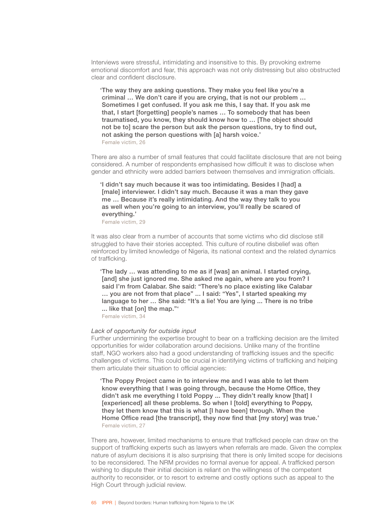Interviews were stressful, intimidating and insensitive to this. By provoking extreme emotional discomfort and fear, this approach was not only distressing but also obstructed clear and confident disclosure.

'The way they are asking questions. They make you feel like you're a criminal … We don't care if you are crying, that is not our problem … Sometimes I get confused. If you ask me this, I say that. If you ask me that, I start [forgetting] people's names … To somebody that has been traumatised, you know, they should know how to … [The object should not be to] scare the person but ask the person questions, try to find out, not asking the person questions with [a] harsh voice.' Female victim, 26

There are also a number of small features that could facilitate disclosure that are not being considered. A number of respondents emphasised how difficult it was to disclose when gender and ethnicity were added barriers between themselves and immigration officials.

'I didn't say much because it was too intimidating. Besides I [had] a [male] interviewer. I didn't say much. Because it was a man they gave me … Because it's really intimidating. And the way they talk to you as well when you're going to an interview, you'll really be scared of everything.'

Female victim, 29

It was also clear from a number of accounts that some victims who did disclose still struggled to have their stories accepted. This culture of routine disbelief was often reinforced by limited knowledge of Nigeria, its national context and the related dynamics of trafficking.

'The lady … was attending to me as if [was] an animal. I started crying, [and] she just ignored me. She asked me again, where are you from? I said I'm from Calabar. She said: "There's no place existing like Calabar … you are not from that place" ... I said: "Yes", I started speaking my language to her … She said: "It's a lie! You are lying ... There is no tribe ... like that [on] the map."'

Female victim, 34

### *Lack of opportunity for outside input*

Further undermining the expertise brought to bear on a trafficking decision are the limited opportunities for wider collaboration around decisions. Unlike many of the frontline staff, NGO workers also had a good understanding of trafficking issues and the specific challenges of victims. This could be crucial in identifying victims of trafficking and helping them articulate their situation to official agencies:

'The Poppy Project came in to interview me and I was able to let them know everything that I was going through, because the Home Office, they didn't ask me everything I told Poppy ... They didn't really know [that] I [experienced] all these problems. So when I [told] everything to Poppy, they let them know that this is what [I have been] through. When the Home Office read [the transcript], they now find that [my story] was true.' Female victim, 27

There are, however, limited mechanisms to ensure that trafficked people can draw on the support of trafficking experts such as lawyers when referrals are made. Given the complex nature of asylum decisions it is also surprising that there is only limited scope for decisions to be reconsidered. The NRM provides no formal avenue for appeal. A trafficked person wishing to dispute their initial decision is reliant on the willingness of the competent authority to reconsider, or to resort to extreme and costly options such as appeal to the High Court through judicial review.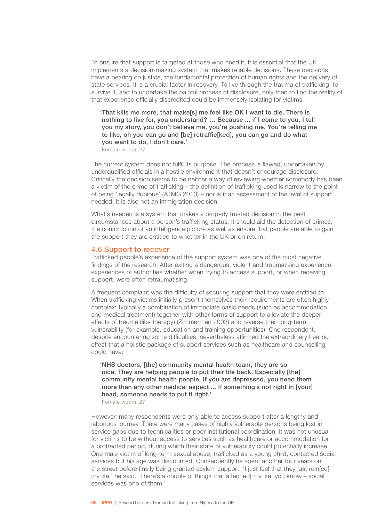To ensure that support is targeted at those who need it, it is essential that the UK implements a decision-making system that makes reliable decisions. These decisions have a bearing on justice, the fundamental protection of human rights and the delivery of state services. It is a crucial factor in recovery. To live through the trauma of trafficking, to survive it, and to undertake the painful process of disclosure, only then to find the reality of that experience officially discredited could be immensely isolating for victims.

'That kills me more, that make[s] me feel like OK I want to die. There is nothing to live for, you understand? … Because ... if I come to you, I tell you my story, you don't believe me, you're pushing me. You're telling me to like, oh you can go and [be] retraffic[ked], you can go and do what you want to do, I don't care.'

Female victim, 27

The current system does not fulfil its purpose. The process is flawed, undertaken by underqualified officials in a hostile environment that doesn't encourage disclosure. Critically the decision seems to be neither a way of reviewing whether somebody has been a victim of the crime of trafficking – the definition of trafficking used is narrow to the point of being 'legally dubious' (ATMG 2010) – nor is it an assessment of the level of support needed. It is also not an immigration decision.

What's needed is a system that makes a properly trusted decision in the best circumstances about a person's trafficking status. It should aid the detection of crimes, the construction of an intelligence picture as well as ensure that people are able to gain the support they are entitled to whether in the UK or on return.

# 4.6 Support to recover

Trafficked people's experience of the support system was one of the most negative findings of the research. After exiting a dangerous, violent and traumatising experience, experiences of authorities whether when trying to access support, or when receiving support, were often retraumatising.

A frequent complaint was the difficulty of securing support that they were entitled to. When trafficking victims initially present themselves their requirements are often highly complex: typically a combination of immediate basic needs (such as accommodation and medical treatment) together with other forms of support to alleviate the deeper effects of trauma (like therapy) (Zimmerman 2003) and reverse their long-term vulnerability (for example, education and training opportunities). One respondent, despite encountering some difficulties, nevertheless affirmed the extraordinary healing effect that a holistic package of support services such as healthcare and counselling could have:

'NHS doctors, [the] community mental health team, they are so nice. They are helping people to put their life back. Especially [the] community mental health people. If you are depressed, you need them more than any other medical aspect ... If something's not right in [your] head, someone needs to put it right.'

Female victim, 27

However, many respondents were only able to access support after a lengthy and laborious journey. There were many cases of highly vulnerable persons being lost in service gaps due to technicalities or poor institutional coordination. It was not unusual for victims to be without access to services such as healthcare or accommodation for a protracted period, during which their state of vulnerability could potentially increase. One male victim of long-term sexual abuse, trafficked as a young child, contacted social services but his age was discounted. Consequently he spent another four years on the street before finally being granted asylum support. 'I just feel that they just ruin[ed] my life,' he said. 'There's a couple of things that affect[ed] my life, you know – social services was one of them.'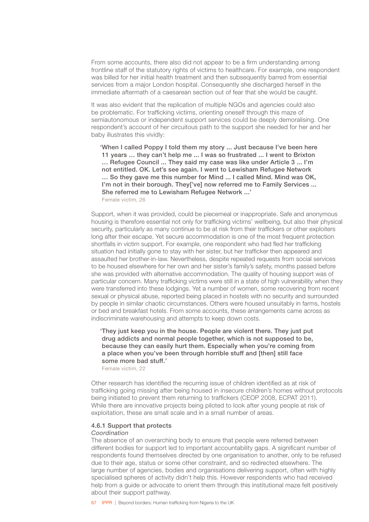From some accounts, there also did not appear to be a firm understanding among frontline staff of the statutory rights of victims to healthcare. For example, one respondent was billed for her initial health treatment and then subsequently barred from essential services from a major London hospital. Consequently she discharged herself in the immediate aftermath of a caesarean section out of fear that she would be caught.

It was also evident that the replication of multiple NGOs and agencies could also be problematic. For trafficking victims, orienting oneself through this maze of semiautonomous or independent support services could be deeply demoralising. One respondent's account of her circuitous path to the support she needed for her and her baby illustrates this vividly:

'When I called Poppy I told them my story ... Just because I've been here 11 years … they can't help me ... I was so frustrated ... I went to Brixton … Refugee Council ... They said my case was like under Article 3 ... I'm not entitled. OK. Let's see again. I went to Lewisham Refugee Network … So they gave me this number for Mind ... I called Mind. Mind was OK, I'm not in their borough. They['ve] now referred me to Family Services ... She referred me to Lewisham Refugee Network ...' Female victim, 26

Support, when it was provided, could be piecemeal or inappropriate. Safe and anonymous housing is therefore essential not only for trafficking victims' wellbeing, but also their physical security, particularly as many continue to be at risk from their traffickers or other exploiters long after their escape. Yet secure accommodation is one of the most frequent protection shortfalls in victim support. For example, one respondent who had fled her trafficking situation had initially gone to stay with her sister, but her trafficker then appeared and assaulted her brother-in-law. Nevertheless, despite repeated requests from social services to be housed elsewhere for her own and her sister's family's safety, months passed before she was provided with alternative accommodation. The quality of housing support was of particular concern. Many trafficking victims were still in a state of high vulnerability when they were transferred into these lodgings. Yet a number of women, some recovering from recent sexual or physical abuse, reported being placed in hostels with no security and surrounded by people in similar chaotic circumstances. Others were housed unsuitably in farms, hostels or bed and breakfast hotels. From some accounts, these arrangements came across as indiscriminate warehousing and attempts to keep down costs.

'They just keep you in the house. People are violent there. They just put drug addicts and normal people together, which is not supposed to be, because they can easily hurt them. Especially when you're coming from a place when you've been through horrible stuff and [then] still face some more bad stuff.'

Female victim, 22

Other research has identified the recurring issue of children identified as at risk of trafficking going missing after being housed in insecure children's homes without protocols being initiated to prevent them returning to traffickers (CEOP 2008, ECPAT 2011). While there are innovative projects being piloted to look after young people at risk of exploitation, these are small scale and in a small number of areas.

# 4.6.1 Support that protects

# *Coordination*

The absence of an overarching body to ensure that people were referred between different bodies for support led to important accountability gaps. A significant number of respondents found themselves directed by one organisation to another, only to be refused due to their age, status or some other constraint, and so redirected elsewhere. The large number of agencies, bodies and organisations delivering support, often with highly specialised spheres of activity didn't help this. However respondents who had received help from a guide or advocate to orient them through this institutional maze felt positively about their support pathway.

67 IPPR | Beyond borders: Human trafficking from Nigeria to the UK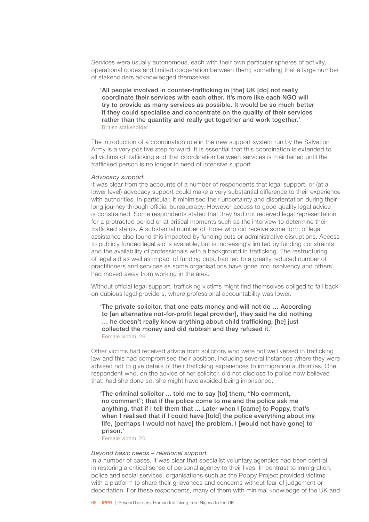Services were usually autonomous, each with their own particular spheres of activity, operational codes and limited cooperation between them; something that a large number of stakeholders acknowledged themselves.

'All people involved in counter-trafficking in [the] UK [do] not really coordinate their services with each other. It's more like each NGO will try to provide as many services as possible. It would be so much better if they could specialise and concentrate on the quality of their services rather than the quantity and really get together and work together.' British stakeholder

The introduction of a coordination role in the new support system run by the Salvation Army is a very positive step forward. It is essential that this coordination is extended to all victims of trafficking and that coordination between services is maintained until the trafficked person is no longer in need of intensive support.

#### *Advocacy support*

It was clear from the accounts of a number of respondents that legal support, or (at a lower level) advocacy support could make a very substantial difference to their experience with authorities. In particular, it minimised their uncertainty and disorientation during their long journey through official bureaucracy. However access to good quality legal advice is constrained. Some respondents stated that they had not received legal representation for a protracted period or at critical moments such as the interview to determine their trafficked status. A substantial number of those who did receive some form of legal assistance also found this impacted by funding cuts or administrative disruptions. Access to publicly funded legal aid is available, but is increasingly limited by funding constraints and the availability of professionals with a background in trafficking. The restructuring of legal aid as well as impact of funding cuts, had led to a greatly reduced number of practitioners and services as some organisations have gone into insolvency and others had moved away from working in the area.

Without official legal support, trafficking victims might find themselves obliged to fall back on dubious legal providers, where professional accountability was lower.

'The private solicitor, that one eats money and will not do … According to [an alternative not-for-profit legal provider], they said he did nothing … he doesn't really know anything about child trafficking, [he] just collected the money and did rubbish and they refused it.' Female victim, 26

Other victims had received advice from solicitors who were not well versed in trafficking law and this had compromised their position, including several instances where they were advised not to give details of their trafficking experiences to immigration authorities. One respondent who, on the advice of her solicitor, did not disclose to police now believed that, had she done so, she might have avoided being imprisoned:

'The criminal solicitor ... told me to say [to] them, "No comment, no comment"; that if the police come to me and the police ask me anything, that if I tell them that ... Later when I [came] to Poppy, that's when I realised that if I could have [told] the police everything about my life, [perhaps I would not have] the problem, I [would not have gone] to prison.'

Female victim, 20

# *Beyond basic needs – relational support*

In a number of cases, it was clear that specialist voluntary agencies had been central in restoring a critical sense of personal agency to their lives. In contrast to immigration, police and social services, organisations such as the Poppy Project provided victims with a platform to share their grievances and concerns without fear of judgement or deportation. For these respondents, many of them with minimal knowledge of the UK and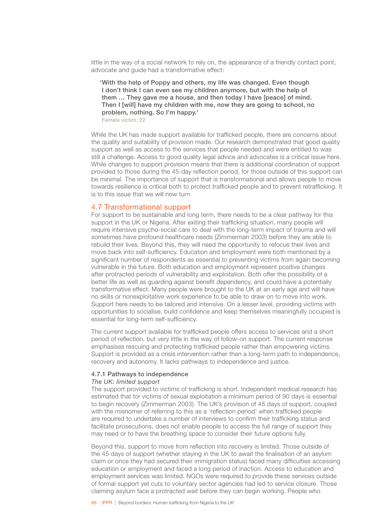little in the way of a social network to rely on, the appearance of a friendly contact point, advocate and guide had a transformative effect:

'With the help of Poppy and others, my life was changed. Even though I don't think I can even see my children anymore, but with the help of them … They gave me a house, and then today I have [peace] of mind. Then I [will] have my children with me, now they are going to school, no problem, nothing. So I'm happy.'

Female victim, 22

While the UK has made support available for trafficked people, there are concerns about the quality and suitability of provision made. Our research demonstrated that good quality support as well as access to the services that people needed and were entitled to was still a challenge. Access to good quality legal advice and advocates is a critical issue here. While changes to support provision means that there is additional coordination of support provided to those during the 45-day reflection period, for those outside of this support can be minimal. The importance of support that is transformational and allows people to move towards resilience is critical both to protect trafficked people and to prevent retrafficking. It is to this issue that we will now turn

# 4.7 Transformational support

For support to be sustainable and long term, there needs to be a clear pathway for this support in the UK or Nigeria. After exiting their trafficking situation, many people will require intensive psycho-social care to deal with the long-term impact of trauma and will sometimes have profound healthcare needs (Zimmerman 2003) before they are able to rebuild their lives. Beyond this, they will need the opportunity to refocus their lives and move back into self-sufficiency. Education and employment were both mentioned by a significant number of respondents as essential to preventing victims from again becoming vulnerable in the future. Both education and employment represent positive changes after protracted periods of vulnerability and exploitation. Both offer the possibility of a better life as well as guarding against benefit dependency, and could have a potentially transformative effect. Many people were brought to the UK at an early age and will have no skills or nonexploitative work experience to be able to draw on to move into work. Support here needs to be tailored and intensive. On a lesser level, providing victims with opportunities to socialise, build confidence and keep themselves meaningfully occupied is essential for long-term self-sufficiency.

The current support available for trafficked people offers access to services and a short period of reflection, but very little in the way of follow-on support. The current response emphasises rescuing and protecting trafficked people rather than empowering victims. Support is provided as a crisis intervention rather than a long-term path to independence, recovery and autonomy. It lacks pathways to independence and justice.

### 4.7.1 Pathways to independence

### *The UK: limited support*

The support provided to victims of trafficking is short. Independent medical research has estimated that for victims of sexual exploitation a minimum period of 90 days is essential to begin recovery (Zimmerman 2003). The UK's provision of 45 days of support, coupled with the misnomer of referring to this as a 'reflection period' when trafficked people are required to undertake a number of interviews to confirm their trafficking status and facilitate prosecutions, does not enable people to access the full range of support they may need or to have the breathing space to consider their future options fully.

Beyond this, support to move from reflection into recovery is limited. Those outside of the 45 days of support (whether staying in the UK to await the finalisation of an asylum claim or once they had secured their immigration status) faced many difficulties accessing education or employment and faced a long period of inaction. Access to education and employment services was limited. NGOs were required to provide these services outside of formal support yet cuts to voluntary sector agencies had led to service closure. Those claiming asylum face a protracted wait before they can begin working. People who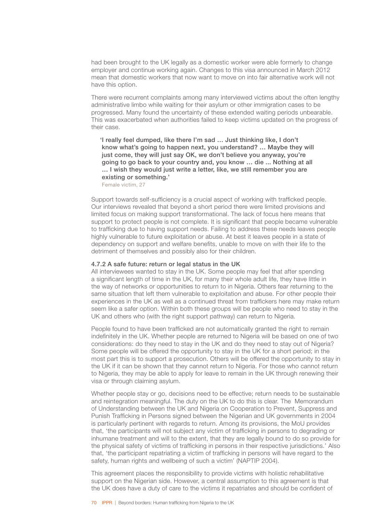had been brought to the UK legally as a domestic worker were able formerly to change employer and continue working again. Changes to this visa announced in March 2012 mean that domestic workers that now want to move on into fair alternative work will not have this option.

There were recurrent complaints among many interviewed victims about the often lengthy administrative limbo while waiting for their asylum or other immigration cases to be progressed. Many found the uncertainty of these extended waiting periods unbearable. This was exacerbated when authorities failed to keep victims updated on the progress of their case.

'I really feel dumped, like there I'm sad … Just thinking like, I don't know what's going to happen next, you understand? … Maybe they will just come, they will just say OK, we don't believe you anyway, you're going to go back to your country and, you know … die ... Nothing at all … I wish they would just write a letter, like, we still remember you are existing or something.'

Female victim, 27

Support towards self-sufficiency is a crucial aspect of working with trafficked people. Our interviews revealed that beyond a short period there were limited provisions and limited focus on making support transformational. The lack of focus here means that support to protect people is not complete. It is significant that people became vulnerable to trafficking due to having support needs. Failing to address these needs leaves people highly vulnerable to future exploitation or abuse. At best it leaves people in a state of dependency on support and welfare benefits, unable to move on with their life to the detriment of themselves and possibly also for their children.

#### 4.7.2 A safe future: return or legal status in the UK

All interviewees wanted to stay in the UK. Some people may feel that after spending a significant length of time in the UK, for many their whole adult life, they have little in the way of networks or opportunities to return to in Nigeria. Others fear returning to the same situation that left them vulnerable to exploitation and abuse. For other people their experiences in the UK as well as a continued threat from traffickers here may make return seem like a safer option. Within both these groups will be people who need to stay in the UK and others who (with the right support pathway) can return to Nigeria.

People found to have been trafficked are not automatically granted the right to remain indefinitely in the UK. Whether people are returned to Nigeria will be based on one of two considerations: do they need to stay in the UK and do they need to stay out of Nigeria? Some people will be offered the opportunity to stay in the UK for a short period; in the most part this is to support a prosecution. Others will be offered the opportunity to stay in the UK if it can be shown that they cannot return to Nigeria. For those who cannot return to Nigeria, they may be able to apply for leave to remain in the UK through renewing their visa or through claiming asylum.

Whether people stay or go, decisions need to be effective; return needs to be sustainable and reintegration meaningful. The duty on the UK to do this is clear. The Memorandum of Understanding between the UK and Nigeria on Cooperation to Prevent, Suppress and Punish Trafficking in Persons signed between the Nigerian and UK governments in 2004 is particularly pertinent with regards to return. Among its provisions, the MoU provides that, 'the participants will not subject any victim of trafficking in persons to degrading or inhumane treatment and will to the extent, that they are legally bound to do so provide for the physical safety of victims of trafficking in persons in their respective jurisdictions.' Also that, 'the participant repatriating a victim of trafficking in persons will have regard to the safety, human rights and wellbeing of such a victim' (NAPTIP 2004).

This agreement places the responsibility to provide victims with holistic rehabilitative support on the Nigerian side. However, a central assumption to this agreement is that the UK does have a duty of care to the victims it repatriates and should be confident of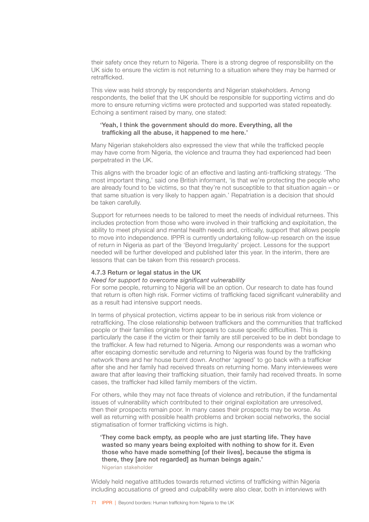their safety once they return to Nigeria. There is a strong degree of responsibility on the UK side to ensure the victim is not returning to a situation where they may be harmed or retrafficked.

This view was held strongly by respondents and Nigerian stakeholders. Among respondents, the belief that the UK should be responsible for supporting victims and do more to ensure returning victims were protected and supported was stated repeatedly. Echoing a sentiment raised by many, one stated:

## 'Yeah, I think the government should do more. Everything, all the trafficking all the abuse, it happened to me here.'

Many Nigerian stakeholders also expressed the view that while the trafficked people may have come from Nigeria, the violence and trauma they had experienced had been perpetrated in the UK.

This aligns with the broader logic of an effective and lasting anti-trafficking strategy. 'The most important thing,' said one British informant, 'is that we're protecting the people who are already found to be victims, so that they're not susceptible to that situation again – or that same situation is very likely to happen again.' Repatriation is a decision that should be taken carefully.

Support for returnees needs to be tailored to meet the needs of individual returnees. This includes protection from those who were involved in their trafficking and exploitation, the ability to meet physical and mental health needs and, critically, support that allows people to move into independence. IPPR is currently undertaking follow-up research on the issue of return in Nigeria as part of the 'Beyond Irregularity' project. Lessons for the support needed will be further developed and published later this year. In the interim, there are lessons that can be taken from this research process.

#### 4.7.3 Return or legal status in the UK

#### *Need for support to overcome significant vulnerability*

For some people, returning to Nigeria will be an option. Our research to date has found that return is often high risk. Former victims of trafficking faced significant vulnerability and as a result had intensive support needs.

In terms of physical protection, victims appear to be in serious risk from violence or retrafficking. The close relationship between traffickers and the communities that trafficked people or their families originate from appears to cause specific difficulties. This is particularly the case if the victim or their family are still perceived to be in debt bondage to the trafficker. A few had returned to Nigeria. Among our respondents was a woman who after escaping domestic servitude and returning to Nigeria was found by the trafficking network there and her house burnt down. Another 'agreed' to go back with a trafficker after she and her family had received threats on returning home. Many interviewees were aware that after leaving their trafficking situation, their family had received threats. In some cases, the trafficker had killed family members of the victim.

For others, while they may not face threats of violence and retribution, if the fundamental issues of vulnerability which contributed to their original exploitation are unresolved, then their prospects remain poor. In many cases their prospects may be worse. As well as returning with possible health problems and broken social networks, the social stigmatisation of former trafficking victims is high.

'They come back empty, as people who are just starting life. They have wasted so many years being exploited with nothing to show for it. Even those who have made something [of their lives], because the stigma is there, they lare not regarded] as human beings again.' Nigerian stakeholder

Widely held negative attitudes towards returned victims of trafficking within Nigeria including accusations of greed and culpability were also clear, both in interviews with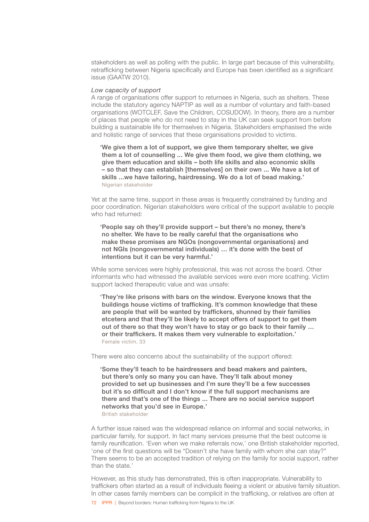stakeholders as well as polling with the public. In large part because of this vulnerability, retrafficking between Nigeria specifically and Europe has been identified as a significant issue (GAATW 2010).

## *Low capacity of support*

A range of organisations offer support to returnees in Nigeria, such as shelters. These include the statutory agency NAPTIP as well as a number of voluntary and faith-based organisations (WOTCLEF, Save the Children, COSUDOW). In theory, there are a number of places that people who do not need to stay in the UK can seek support from before building a sustainable life for themselves in Nigeria. Stakeholders emphasised the wide and holistic range of services that these organisations provided to victims.

'We give them a lot of support, we give them temporary shelter, we give them a lot of counselling ... We give them food, we give them clothing, we give them education and skills – both life skills and also economic skills – so that they can establish [themselves] on their own ... We have a lot of skills ...we have tailoring, hairdressing. We do a lot of bead making.' Nigerian stakeholder

Yet at the same time, support in these areas is frequently constrained by funding and poor coordination. Nigerian stakeholders were critical of the support available to people who had returned:

'People say oh they'll provide support – but there's no money, there's no shelter. We have to be really careful that the organisations who make these promises are NGOs (nongovernmental organisations) and not NGIs (nongovernmental individuals) … it's done with the best of intentions but it can be very harmful.'

While some services were highly professional, this was not across the board. Other informants who had witnessed the available services were even more scathing. Victim support lacked therapeutic value and was unsafe:

'They're like prisons with bars on the window. Everyone knows that the buildings house victims of trafficking. It's common knowledge that these are people that will be wanted by traffickers, shunned by their families etcetera and that they'll be likely to accept offers of support to get them out of there so that they won't have to stay or go back to their family … or their traffickers. It makes them very vulnerable to exploitation.' Female victim, 33

There were also concerns about the sustainability of the support offered:

'Some they'll teach to be hairdressers and bead makers and painters, but there's only so many you can have. They'll talk about money provided to set up businesses and I'm sure they'll be a few successes but it's so difficult and I don't know if the full support mechanisms are there and that's one of the things ... There are no social service support networks that you'd see in Europe.'

British stakeholder

A further issue raised was the widespread reliance on informal and social networks, in particular family, for support. In fact many services presume that the best outcome is family reunification. 'Even when we make referrals now,' one British stakeholder reported, 'one of the first questions will be "Doesn't she have family with whom she can stay?" There seems to be an accepted tradition of relying on the family for social support, rather than the state.'

However, as this study has demonstrated, this is often inappropriate. Vulnerability to traffickers often started as a result of individuals fleeing a violent or abusive family situation. In other cases family members can be complicit in the trafficking, or relatives are often at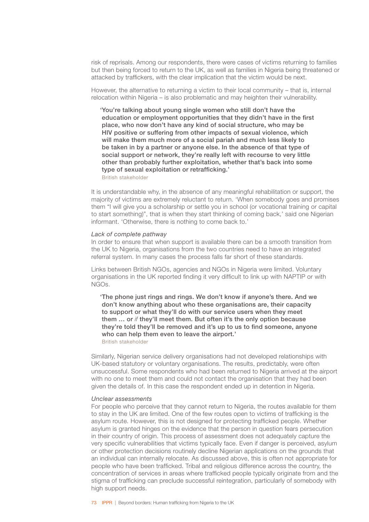risk of reprisals. Among our respondents, there were cases of victims returning to families but then being forced to return to the UK, as well as families in Nigeria being threatened or attacked by traffickers, with the clear implication that the victim would be next.

However, the alternative to returning a victim to their local community – that is, internal relocation within Nigeria – is also problematic and may heighten their vulnerability.

'You're talking about young single women who still don't have the education or employment opportunities that they didn't have in the first place, who now don't have any kind of social structure, who may be HIV positive or suffering from other impacts of sexual violence, which will make them much more of a social pariah and much less likely to be taken in by a partner or anyone else. In the absence of that type of social support or network, they're really left with recourse to very little other than probably further exploitation, whether that's back into some type of sexual exploitation or retrafficking.'

British stakeholder

It is understandable why, in the absence of any meaningful rehabilitation or support, the majority of victims are extremely reluctant to return. 'When somebody goes and promises them "I will give you a scholarship or settle you in school (or vocational training or capital to start something)", that is when they start thinking of coming back,' said one Nigerian informant. 'Otherwise, there is nothing to come back to.'

#### *Lack of complete pathway*

In order to ensure that when support is available there can be a smooth transition from the UK to Nigeria, organisations from the two countries need to have an integrated referral system. In many cases the process falls far short of these standards.

Links between British NGOs, agencies and NGOs in Nigeria were limited. Voluntary organisations in the UK reported finding it very difficult to link up with NAPTIP or with NGOs.

'The phone just rings and rings. We don't know if anyone's there. And we don't know anything about who these organisations are, their capacity to support or what they'll do with our service users when they meet them … or *if* they'll meet them. But often it's the only option because they're told they'll be removed and it's up to us to find someone, anyone who can help them even to leave the airport.'

British stakeholder

Similarly, Nigerian service delivery organisations had not developed relationships with UK-based statutory or voluntary organisations. The results, predictably, were often unsuccessful. Some respondents who had been returned to Nigeria arrived at the airport with no one to meet them and could not contact the organisation that they had been given the details of. In this case the respondent ended up in detention in Nigeria.

#### *Unclear assessments*

For people who perceive that they cannot return to Nigeria, the routes available for them to stay in the UK are limited. One of the few routes open to victims of trafficking is the asylum route. However, this is not designed for protecting trafficked people. Whether asylum is granted hinges on the evidence that the person in question fears persecution in their country of origin. This process of assessment does not adequately capture the very specific vulnerabilities that victims typically face. Even if danger is perceived, asylum or other protection decisions routinely decline Nigerian applications on the grounds that an individual can internally relocate. As discussed above, this is often not appropriate for people who have been trafficked. Tribal and religious difference across the country, the concentration of services in areas where trafficked people typically originate from and the stigma of trafficking can preclude successful reintegration, particularly of somebody with high support needs.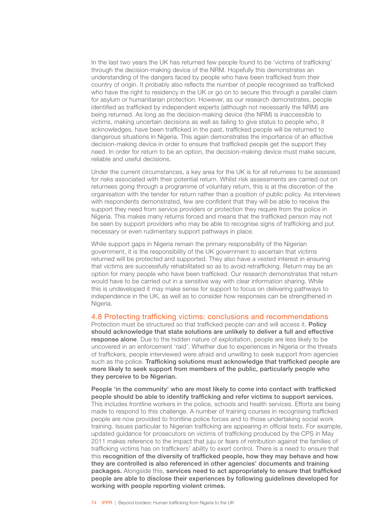In the last two years the UK has returned few people found to be 'victims of trafficking' through the decision-making device of the NRM. Hopefully this demonstrates an understanding of the dangers faced by people who have been trafficked from their country of origin. It probably also reflects the number of people recognised as trafficked who have the right to residency in the UK or go on to secure this through a parallel claim for asylum or humanitarian protection. However, as our research demonstrates, people identified as trafficked by independent experts (although not necessarily the NRM) are being returned. As long as the decision-making device (the NRM) is inaccessible to victims, making uncertain decisions as well as failing to give status to people who, it acknowledges, have been trafficked in the past, trafficked people will be returned to dangerous situations in Nigeria. This again demonstrates the importance of an effective decision-making device in order to ensure that trafficked people get the support they need. In order for return to be an option, the decision-making device must make secure, reliable and useful decisions.

Under the current circumstances, a key area for the UK is for all returnees to be assessed for risks associated with their potential return. Whilst risk assessments are carried out on returnees going through a programme of voluntary return, this is at the discretion of the organisation with the tender for return rather than a position of public policy. As interviews with respondents demonstrated, few are confident that they will be able to receive the support they need from service providers or protection they require from the police in Nigeria. This makes many returns forced and means that the trafficked person may not be seen by support providers who may be able to recognise signs of trafficking and put necessary or even rudimentary support pathways in place.

While support gaps in Nigeria remain the primary responsibility of the Nigerian government, it is the responsibility of the UK government to ascertain that victims returned will be protected and supported. They also have a vested interest in ensuring that victims are successfully rehabilitated so as to avoid retrafficking. Return may be an option for many people who have been trafficked. Our research demonstrates that return would have to be carried out in a sensitive way with clear information sharing. While this is undeveloped it may make sense for support to focus on delivering pathways to independence in the UK, as well as to consider how responses can be strengthened in Nigeria.

#### 4.8 Protecting trafficking victims: conclusions and recommendations

Protection must be structured so that trafficked people can and will access it. Policy should acknowledge that state solutions are unlikely to deliver a full and effective response alone. Due to the hidden nature of exploitation, people are less likely to be uncovered in an enforcement 'raid'. Whether due to experiences in Nigeria or the threats of traffickers, people interviewed were afraid and unwilling to seek support from agencies such as the police. Trafficking solutions must acknowledge that trafficked people are more likely to seek support from members of the public, particularly people who they perceive to be Nigerian.

People 'in the community' who are most likely to come into contact with trafficked people should be able to identify trafficking and refer victims to support services. This includes frontline workers in the police, schools and health services. Efforts are being made to respond to this challenge. A number of training courses in recognising trafficked people are now provided to frontline police forces and to those undertaking social work training. Issues particular to Nigerian trafficking are appearing in official texts. For example, updated guidance for prosecutors on victims of trafficking produced by the CPS in May 2011 makes reference to the impact that juju or fears of retribution against the families of trafficking victims has on traffickers' ability to exert control. There is a need to ensure that this recognition of the diversity of trafficked people, how they may behave and how they are controlled is also referenced in other agencies' documents and training packages. Alongside this, services need to act appropriately to ensure that trafficked people are able to disclose their experiences by following guidelines developed for working with people reporting violent crimes.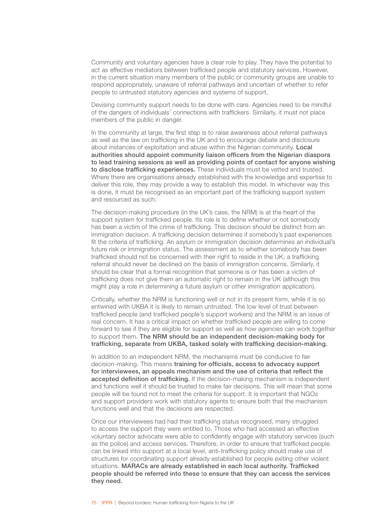Community and voluntary agencies have a clear role to play. They have the potential to act as effective mediators between trafficked people and statutory services. However, in the current situation many members of the public or community groups are unable to respond appropriately, unaware of referral pathways and uncertain of whether to refer people to untrusted statutory agencies and systems of support.

Devising community support needs to be done with care. Agencies need to be mindful of the dangers of individuals' connections with traffickers. Similarly, it must not place members of the public in danger.

In the community at large, the first step is to raise awareness about referral pathways as well as the law on trafficking in the UK and to encourage debate and disclosure about instances of exploitation and abuse within the Nigerian community. Local authorities should appoint community liaison officers from the Nigerian diaspora to lead training sessions as well as providing points of contact for anyone wishing to disclose trafficking experiences. These individuals must be vetted and trusted. Where there are organisations already established with the knowledge and expertise to deliver this role, they may provide a way to establish this model. In whichever way this is done, it must be recognised as an important part of the trafficking support system and resourced as such.

The decision-making procedure (in the UK's case, the NRM) is at the heart of the support system for trafficked people. Its role is to define whether or not somebody has been a victim of the crime of trafficking. This decision should be distinct from an immigration decision. A trafficking decision determines if somebody's past experiences fit the criteria of trafficking. An asylum or immigration decision determines an individual's future risk or immigration status. The assessment as to whether somebody has been trafficked should not be concerned with their right to reside in the UK; a trafficking referral should never be declined on the basis of immigration concerns. Similarly, it should be clear that a formal recognition that someone is or has been a victim of trafficking does not give them an automatic right to remain in the UK (although this might play a role in determining a future asylum or other immigration application).

Critically, whether the NRM is functioning well or not in its present form, while it is so entwined with UKBA it is likely to remain untrusted. The low level of trust between trafficked people (and trafficked people's support workers) and the NRM is an issue of real concern. It has a critical impact on whether trafficked people are willing to come forward to see if they are eligible for support as well as how agencies can work together to support them. The NRM should be an independent decision-making body for trafficking, separate from UKBA, tasked solely with trafficking decision-making.

In addition to an independent NRM, the mechanisms must be conducive to fair decision-making. This means training for officials, access to advocacy support for interviewees, an appeals mechanism and the use of criteria that reflect the accepted definition of trafficking. If the decision-making mechanism is independent and functions well it should be trusted to make fair decisions. This will mean that some people will be found not to meet the criteria for support. It is important that NGOs and support providers work with statutory agents to ensure both that the mechanism functions well and that the decisions are respected.

Once our interviewees had had their trafficking status recognised, many struggled to access the support they were entitled to. Those who had accessed an effective voluntary sector advocate were able to confidently engage with statutory services (such as the police) and access services. Therefore, in order to ensure that trafficked people can be linked into support at a local level, anti-trafficking policy should make use of structures for coordinating support already established for people exiting other violent situations. MARACs are already established in each local authority. Trafficked people should be referred into these to ensure that they can access the services they need.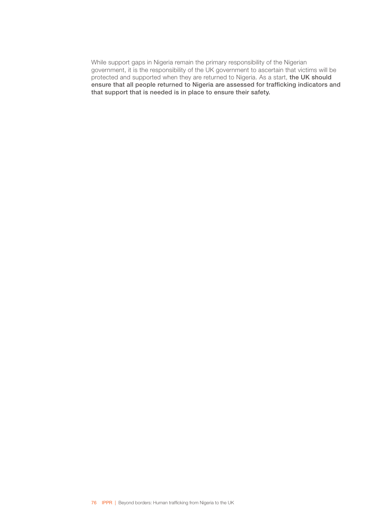While support gaps in Nigeria remain the primary responsibility of the Nigerian government, it is the responsibility of the UK government to ascertain that victims will be protected and supported when they are returned to Nigeria. As a start, the UK should ensure that all people returned to Nigeria are assessed for trafficking indicators and that support that is needed is in place to ensure their safety.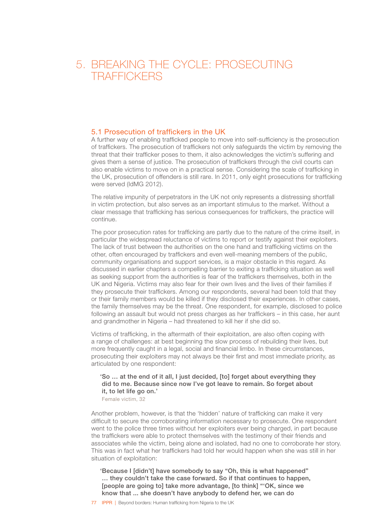# 5. BREAKING THE CYCLE: PROSECUTING **TRAFFICKERS**

# 5.1 Prosecution of traffickers in the UK

A further way of enabling trafficked people to move into self-sufficiency is the prosecution of traffickers. The prosecution of traffickers not only safeguards the victim by removing the threat that their trafficker poses to them, it also acknowledges the victim's suffering and gives them a sense of justice. The prosecution of traffickers through the civil courts can also enable victims to move on in a practical sense. Considering the scale of trafficking in the UK, prosecution of offenders is still rare. In 2011, only eight prosecutions for trafficking were served (IdMG 2012).

The relative impunity of perpetrators in the UK not only represents a distressing shortfall in victim protection, but also serves as an important stimulus to the market. Without a clear message that trafficking has serious consequences for traffickers, the practice will continue.

The poor prosecution rates for trafficking are partly due to the nature of the crime itself, in particular the widespread reluctance of victims to report or testify against their exploiters. The lack of trust between the authorities on the one hand and trafficking victims on the other, often encouraged by traffickers and even well-meaning members of the public, community organisations and support services, is a major obstacle in this regard. As discussed in earlier chapters a compelling barrier to exiting a trafficking situation as well as seeking support from the authorities is fear of the traffickers themselves, both in the UK and Nigeria. Victims may also fear for their own lives and the lives of their families if they prosecute their traffickers. Among our respondents, several had been told that they or their family members would be killed if they disclosed their experiences. In other cases, the family themselves may be the threat. One respondent, for example, disclosed to police following an assault but would not press charges as her traffickers – in this case, her aunt and grandmother in Nigeria – had threatened to kill her if she did so.

Victims of trafficking, in the aftermath of their exploitation, are also often coping with a range of challenges: at best beginning the slow process of rebuilding their lives, but more frequently caught in a legal, social and financial limbo. In these circumstances, prosecuting their exploiters may not always be their first and most immediate priority, as articulated by one respondent:

#### 'So … at the end of it all, I just decided, [to] forget about everything they did to me. Because since now I've got leave to remain. So forget about it, to let life go on.' Female victim, 32

Another problem, however, is that the 'hidden' nature of trafficking can make it very difficult to secure the corroborating information necessary to prosecute. One respondent went to the police three times without her exploiters ever being charged, in part because the traffickers were able to protect themselves with the testimony of their friends and associates while the victim, being alone and isolated, had no one to corroborate her story. This was in fact what her traffickers had told her would happen when she was still in her situation of exploitation:

'Because I [didn't] have somebody to say "Oh, this is what happened" … they couldn't take the case forward. So if that continues to happen, [people are going to] take more advantage, [to think] "'OK, since we know that ... she doesn't have anybody to defend her, we can do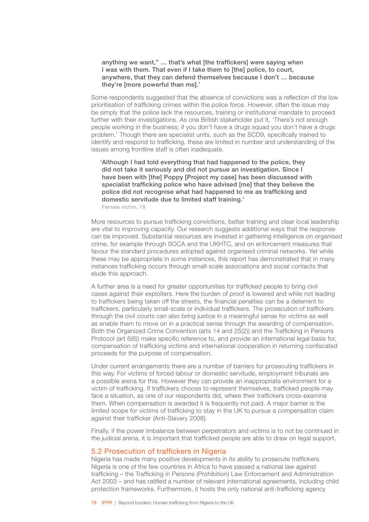## anything we want," … that's what [the traffickers] were saying when I was with them. That even if I take them to [the] police, to court, anywhere, that they can defend themselves because I don't … because they're [more powerful than me].'

Some respondents suggested that the absence of convictions was a reflection of the low prioritisation of trafficking crimes within the police force. However, often the issue may be simply that the police lack the resources, training or institutional mandate to proceed further with their investigations. As one British stakeholder put it, 'There's not enough people working in the business; if you don't have a drugs squad you don't have a drugs problem.' Though there are specialist units, such as the SCD9, specifically trained to identify and respond to trafficking, these are limited in number and understanding of the issues among frontline staff is often inadequate.

'Although I had told everything that had happened to the police, they did not take it seriously and did not pursue an investigation. Since I have been with [the] Poppy [Project my case] has been discussed with specialist trafficking police who have advised [me] that they believe the police did not recognise what had happened to me as trafficking and domestic servitude due to limited staff training.' Female victim, 19

More resources to pursue trafficking convictions, better training and clear local leadership are vital to improving capacity. Our research suggests additional ways that the response can be improved. Substantial resources are invested in gathering intelligence on organised crime, for example through SOCA and the UKHTC, and on enforcement measures that favour the standard procedures adopted against organised criminal networks. Yet while these may be appropriate in some instances, this report has demonstrated that in many instances trafficking occurs through small-scale associations and social contacts that elude this approach.

A further area is a need for greater opportunities for trafficked people to bring civil cases against their exploiters. Here the burden of proof is lowered and while not leading to traffickers being taken off the streets, the financial penalties can be a deterrent to traffickers, particularly small-scale or individual traffickers. The prosecution of traffickers through the civil courts can also bring justice in a meaningful sense for victims as well as enable them to move on in a practical sense through the awarding of compensation. Both the Organized Crime Convention (arts 14 and 25(2)) and the Trafficking in Persons Protocol (art 6(6)) make specific reference to, and provide an international legal basis for, compensation of trafficking victims and international cooperation in returning confiscated proceeds for the purpose of compensation.

Under current arrangements there are a number of barriers for prosecuting traffickers in this way. For victims of forced labour or domestic servitude, employment tribunals are a possible arena for this. However they can provide an inappropriate environment for a victim of trafficking. If traffickers choose to represent themselves, trafficked people may face a situation, as one of our respondents did, where their traffickers cross-examine them. When compensation is awarded it is frequently not paid. A major barrier is the limited scope for victims of trafficking to stay in the UK to pursue a compensation claim against their trafficker (Anti-Slavery 2008).

Finally, if the power imbalance between perpetrators and victims is to not be continued in the judicial arena, it is important that trafficked people are able to draw on legal support.

## 5.2 Prosecution of traffickers in Nigeria

Nigeria has made many positive developments in its ability to prosecute traffickers. Nigeria is one of the few countries in Africa to have passed a national law against trafficking – the Trafficking in Persons (Prohibition) Law Enforcement and Administration Act 2003 – and has ratified a number of relevant international agreements, including child protection frameworks. Furthermore, it hosts the only national anti-trafficking agency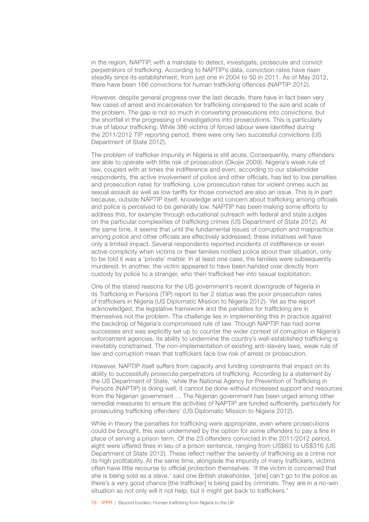in the region, NAPTIP, with a mandate to detect, investigate, prosecute and convict perpetrators of trafficking. According to NAPTIP's data, conviction rates have risen steadily since its establishment, from just one in 2004 to 50 in 2011. As of May 2012, there have been 166 convictions for human trafficking offences (NAPTIP 2012).

However, despite general progress over the last decade, there have in fact been very few cases of arrest and incarceration for trafficking compared to the size and scale of the problem. The gap is not so much in converting prosecutions into convictions, but the shortfall in the progressing of investigations into prosecutions. This is particularly true of labour trafficking. While 386 victims of forced labour were identified during the 2011/2012 TIP reporting period, there were only two successful convictions (US Department of State 2012).

The problem of trafficker impunity in Nigeria is still acute. Consequently, many offenders are able to operate with little risk of prosecution (Okojie 2009). Nigeria's weak rule of law, coupled with at times the indifference and even, according to our stakeholder respondents, the active involvement of police and other officials, has led to low penalties and prosecution rates for trafficking. Low prosecution rates for violent crimes such as sexual assault as well as low tariffs for those convicted are also an issue. This is in part because, outside NAPTIP itself, knowledge and concern about trafficking among officials and police is perceived to be generally low. NAPTIP has been making some efforts to address this, for example through educational outreach with federal and state judges on the particular complexities of trafficking crimes (US Department of State 2012). At the same time, it seems that until the fundamental issues of corruption and malpractice among police and other officials are effectively addressed, these initiatives will have only a limited impact. Several respondents reported incidents of indifference or even active complicity when victims or their families notified police about their situation, only to be told it was a 'private' matter. In at least one case, the families were subsequently murdered. In another, the victim appeared to have been handed over directly from custody by police to a stranger, who then trafficked her into sexual exploitation.

One of the stated reasons for the US government's recent downgrade of Nigeria in its Trafficking in Persons (TIP) report to tier 2 status was the poor prosecution rates of traffickers in Nigeria (US Diplomatic Mission to Nigeria 2012). Yet as the report acknowledged, the legislative framework and the penalties for trafficking are in themselves not the problem. The challenge lies in implementing this in practice against the backdrop of Nigeria's compromised rule of law. Though NAPTIP has had some successes and was explicitly set up to counter the wider context of corruption in Nigeria's enforcement agencies, its ability to undermine the country's well-established trafficking is inevitably constrained. The non-implementation of existing anti-slavery laws, weak rule of law and corruption mean that traffickers face low risk of arrest or prosecution.

However, NAPTIP itself suffers from capacity and funding constraints that impact on its ability to successfully prosecute perpetrators of trafficking. According to a statement by the US Department of State, 'while the National Agency for Prevention of Trafficking in Persons (NAPTIP) is doing well, it cannot be done without increased support and resources from the Nigerian government … The Nigerian government has been urged among other remedial measures to ensure the activities of NAPTIP are funded sufficiently, particularly for prosecuting trafficking offenders' (US Diplomatic Mission to Nigeria 2012).

While in theory the penalties for trafficking were appropriate, even where prosecutions could be brought, this was undermined by the option for some offenders to pay a fine in place of serving a prison term. Of the 23 offenders convicted in the 2011/2012 period, eight were offered fines in lieu of a prison sentence, ranging from US\$63 to US\$316 (US Department of State 2012). These reflect neither the severity of trafficking as a crime nor its high profitability. At the same time, alongside the impunity of many traffickers, victims often have little recourse to official protection themselves. 'If the victim is concerned that she is being sold as a slave,' said one British stakeholder, '[she] can't go to the police as there's a very good chance [the trafficker] is being paid by criminals. They are in a no-win situation as not only will it not help, but it might get back to traffickers.'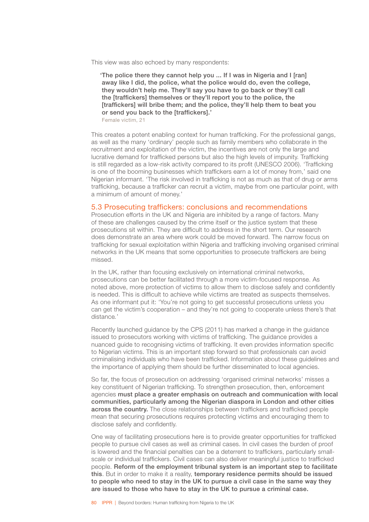This view was also echoed by many respondents:

'The police there they cannot help you ... If I was in Nigeria and I [ran] away like I did, the police, what the police would do, even the college, they wouldn't help me. They'll say you have to go back or they'll call the [traffickers] themselves or they'll report you to the police, the [traffickers] will bribe them; and the police, they'll help them to beat you or send you back to the [traffickers].' Female victim, 21

This creates a potent enabling context for human trafficking. For the professional gangs, as well as the many 'ordinary' people such as family members who collaborate in the recruitment and exploitation of the victim, the incentives are not only the large and lucrative demand for trafficked persons but also the high levels of impunity. Trafficking is still regarded as a low-risk activity compared to its profit (UNESCO 2006). 'Trafficking is one of the booming businesses which traffickers earn a lot of money from,' said one Nigerian informant. 'The risk involved in trafficking is not as much as that of drug or arms trafficking, because a trafficker can recruit a victim, maybe from one particular point, with a minimum of amount of money.'

## 5.3 Prosecuting traffickers: conclusions and recommendations

Prosecution efforts in the UK and Nigeria are inhibited by a range of factors. Many of these are challenges caused by the crime itself or the justice system that these prosecutions sit within. They are difficult to address in the short term. Our research does demonstrate an area where work could be moved forward. The narrow focus on trafficking for sexual exploitation within Nigeria and trafficking involving organised criminal networks in the UK means that some opportunities to prosecute traffickers are being missed.

In the UK, rather than focusing exclusively on international criminal networks, prosecutions can be better facilitated through a more victim-focused response. As noted above, more protection of victims to allow them to disclose safely and confidently is needed. This is difficult to achieve while victims are treated as suspects themselves. As one informant put it: 'You're not going to get successful prosecutions unless you can get the victim's cooperation – and they're not going to cooperate unless there's that distance*.*'

Recently launched guidance by the CPS (2011) has marked a change in the guidance issued to prosecutors working with victims of trafficking. The guidance provides a nuanced guide to recognising victims of trafficking. It even provides information specific to Nigerian victims. This is an important step forward so that professionals can avoid criminalising individuals who have been trafficked. Information about these guidelines and the importance of applying them should be further disseminated to local agencies.

So far, the focus of prosecution on addressing 'organised criminal networks' misses a key constituent of Nigerian trafficking. To strengthen prosecution, then, enforcement agencies must place a greater emphasis on outreach and communication with local communities, particularly among the Nigerian diaspora in London and other cities across the country. The close relationships between traffickers and trafficked people mean that securing prosecutions requires protecting victims and encouraging them to disclose safely and confidently.

One way of facilitating prosecutions here is to provide greater opportunities for trafficked people to pursue civil cases as well as criminal cases. In civil cases the burden of proof is lowered and the financial penalties can be a deterrent to traffickers, particularly smallscale or individual traffickers. Civil cases can also deliver meaningful justice to trafficked people. Reform of the employment tribunal system is an important step to facilitate this. But in order to make it a reality, temporary residence permits should be issued to people who need to stay in the UK to pursue a civil case in the same way they are issued to those who have to stay in the UK to pursue a criminal case.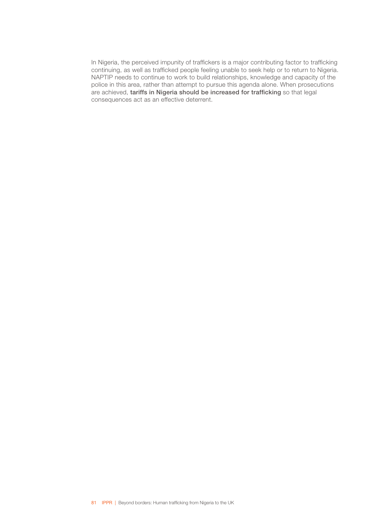In Nigeria, the perceived impunity of traffickers is a major contributing factor to trafficking continuing, as well as trafficked people feeling unable to seek help or to return to Nigeria. NAPTIP needs to continue to work to build relationships, knowledge and capacity of the police in this area, rather than attempt to pursue this agenda alone. When prosecutions are achieved, tariffs in Nigeria should be increased for trafficking so that legal consequences act as an effective deterrent.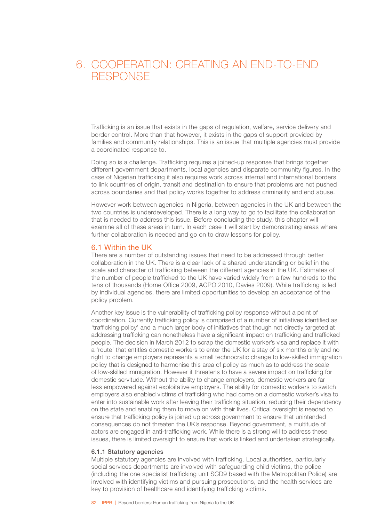# 6. COOPERATION: CREATING AN END-TO-END **RESPONSE**

Trafficking is an issue that exists in the gaps of regulation, welfare, service delivery and border control. More than that however, it exists in the gaps of support provided by families and community relationships. This is an issue that multiple agencies must provide a coordinated response to.

Doing so is a challenge. Trafficking requires a joined-up response that brings together different government departments, local agencies and disparate community figures. In the case of Nigerian trafficking it also requires work across internal and international borders to link countries of origin, transit and destination to ensure that problems are not pushed across boundaries and that policy works together to address criminality and end abuse.

However work between agencies in Nigeria, between agencies in the UK and between the two countries is underdeveloped. There is a long way to go to facilitate the collaboration that is needed to address this issue. Before concluding the study, this chapter will examine all of these areas in turn. In each case it will start by demonstrating areas where further collaboration is needed and go on to draw lessons for policy.

## 6.1 Within the UK

There are a number of outstanding issues that need to be addressed through better collaboration in the UK. There is a clear lack of a shared understanding or belief in the scale and character of trafficking between the different agencies in the UK. Estimates of the number of people trafficked to the UK have varied widely from a few hundreds to the tens of thousands (Home Office 2009, ACPO 2010, Davies 2009). While trafficking is led by individual agencies, there are limited opportunities to develop an acceptance of the policy problem.

Another key issue is the vulnerability of trafficking policy response without a point of coordination. Currently trafficking policy is comprised of a number of initiatives identified as 'trafficking policy' and a much larger body of initiatives that though not directly targeted at addressing trafficking can nonetheless have a significant impact on trafficking and trafficked people. The decision in March 2012 to scrap the domestic worker's visa and replace it with a 'route' that entitles domestic workers to enter the UK for a stay of six months only and no right to change employers represents a small technocratic change to low-skilled immigration policy that is designed to harmonise this area of policy as much as to address the scale of low-skilled immigration. However it threatens to have a severe impact on trafficking for domestic servitude. Without the ability to change employers, domestic workers are far less empowered against exploitative employers. The ability for domestic workers to switch employers also enabled victims of trafficking who had come on a domestic worker's visa to enter into sustainable work after leaving their trafficking situation, reducing their dependency on the state and enabling them to move on with their lives. Critical oversight is needed to ensure that trafficking policy is joined up across government to ensure that unintended consequences do not threaten the UK's response. Beyond government, a multitude of actors are engaged in anti-trafficking work. While there is a strong will to address these issues, there is limited oversight to ensure that work is linked and undertaken strategically.

#### 6.1.1 Statutory agencies

Multiple statutory agencies are involved with trafficking. Local authorities, particularly social services departments are involved with safeguarding child victims, the police (including the one specialist trafficking unit SCD9 based with the Metropolitan Police) are involved with identifying victims and pursuing prosecutions, and the health services are key to provision of healthcare and identifying trafficking victims.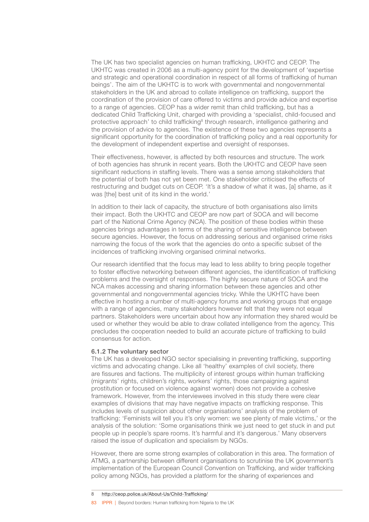The UK has two specialist agencies on human trafficking, UKHTC and CEOP. The UKHTC was created in 2006 as a multi-agency point for the development of 'expertise and strategic and operational coordination in respect of all forms of trafficking of human beings'. The aim of the UKHTC is to work with governmental and nongovernmental stakeholders in the UK and abroad to collate intelligence on trafficking, support the coordination of the provision of care offered to victims and provide advice and expertise to a range of agencies. CEOP has a wider remit than child trafficking, but has a dedicated Child Trafficking Unit, charged with providing a 'specialist, child-focused and protective approach' to child trafficking<sup>8</sup> through research, intelligence gathering and the provision of advice to agencies. The existence of these two agencies represents a significant opportunity for the coordination of trafficking policy and a real opportunity for the development of independent expertise and oversight of responses.

Their effectiveness, however, is affected by both resources and structure. The work of both agencies has shrunk in recent years. Both the UKHTC and CEOP have seen significant reductions in staffing levels. There was a sense among stakeholders that the potential of both has not yet been met. One stakeholder criticised the effects of restructuring and budget cuts on CEOP. 'It's a shadow of what it was, [a] shame, as it was [the] best unit of its kind in the world.'

In addition to their lack of capacity, the structure of both organisations also limits their impact. Both the UKHTC and CEOP are now part of SOCA and will become part of the National Crime Agency (NCA). The position of these bodies within these agencies brings advantages in terms of the sharing of sensitive intelligence between secure agencies. However, the focus on addressing serious and organised crime risks narrowing the focus of the work that the agencies do onto a specific subset of the incidences of trafficking involving organised criminal networks.

Our research identified that the focus may lead to less ability to bring people together to foster effective networking between different agencies, the identification of trafficking problems and the oversight of responses. The highly secure nature of SOCA and the NCA makes accessing and sharing information between these agencies and other governmental and nongovernmental agencies tricky. While the UKHTC have been effective in hosting a number of multi-agency forums and working groups that engage with a range of agencies, many stakeholders however felt that they were not equal partners. Stakeholders were uncertain about how any information they shared would be used or whether they would be able to draw collated intelligence from the agency. This precludes the cooperation needed to build an accurate picture of trafficking to build consensus for action.

#### 6.1.2 The voluntary sector

The UK has a developed NGO sector specialising in preventing trafficking, supporting victims and advocating change. Like all 'healthy' examples of civil society, there are fissures and factions. The multiplicity of interest groups within human trafficking (migrants' rights, children's rights, workers' rights, those campaigning against prostitution or focused on violence against women) does not provide a cohesive framework. However, from the interviewees involved in this study there were clear examples of divisions that may have negative impacts on trafficking response. This includes levels of suspicion about other organisations' analysis of the problem of trafficking: 'Feminists will tell you it's only women: we see plenty of male victims,' or the analysis of the solution: 'Some organisations think we just need to get stuck in and put people up in people's spare rooms. It's harmful and it's dangerous.' Many observers raised the issue of duplication and specialism by NGOs.

However, there are some strong examples of collaboration in this area. The formation of ATMG, a partnership between different organisations to scrutinise the UK government's implementation of the European Council Convention on Trafficking, and wider trafficking policy among NGOs, has provided a platform for the sharing of experiences and

8 <http://ceop.police.uk/About-Us/Child-Trafficking/>

83 IPPR | Beyond borders: Human trafficking from Nigeria to the UK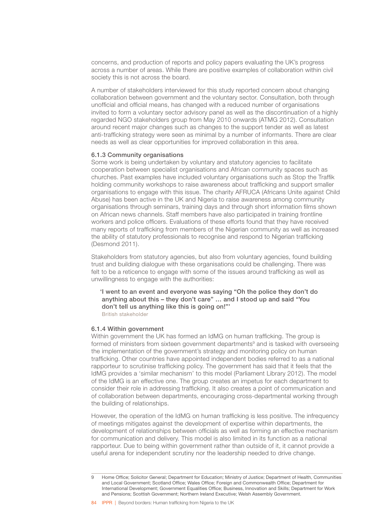concerns, and production of reports and policy papers evaluating the UK's progress across a number of areas. While there are positive examples of collaboration within civil society this is not across the board.

A number of stakeholders interviewed for this study reported concern about changing collaboration between government and the voluntary sector. Consultation, both through unofficial and official means, has changed with a reduced number of organisations invited to form a voluntary sector advisory panel as well as the discontinuation of a highly regarded NGO stakeholders group from May 2010 onwards (ATMG 2012). Consultation around recent major changes such as changes to the support tender as well as latest anti-trafficking strategy were seen as minimal by a number of informants. There are clear needs as well as clear opportunities for improved collaboration in this area.

#### 6.1.3 Community organisations

Some work is being undertaken by voluntary and statutory agencies to facilitate cooperation between specialist organisations and African community spaces such as churches. Past examples have included voluntary organisations such as Stop the Traffik holding community workshops to raise awareness about trafficking and support smaller organisations to engage with this issue. The charity AFRUCA (Africans Unite against Child Abuse) has been active in the UK and Nigeria to raise awareness among community organisations through seminars, training days and through short information films shown on African news channels. Staff members have also participated in training frontline workers and police officers. Evaluations of these efforts found that they have received many reports of trafficking from members of the Nigerian community as well as increased the ability of statutory professionals to recognise and respond to Nigerian trafficking (Desmond 2011).

Stakeholders from statutory agencies, but also from voluntary agencies, found building trust and building dialogue with these organisations could be challenging. There was felt to be a reticence to engage with some of the issues around trafficking as well as unwillingness to engage with the authorities:

'I went to an event and everyone was saying "Oh the police they don't do anything about this – they don't care" … and I stood up and said "You don't tell us anything like this is going on!"' British stakeholder

#### 6.1.4 Within government

Within government the UK has formed an IdMG on human trafficking. The group is formed of ministers from sixteen government departments<sup>9</sup> and is tasked with overseeing the implementation of the government's strategy and monitoring policy on human trafficking. Other countries have appointed independent bodies referred to as a national rapporteur to scrutinise trafficking policy. The government has said that it feels that the IdMG provides a 'similar mechanism' to this model (Parliament Library 2012). The model of the IdMG is an effective one. The group creates an impetus for each department to consider their role in addressing trafficking. It also creates a point of communication and of collaboration between departments, encouraging cross-departmental working through the building of relationships.

However, the operation of the IdMG on human trafficking is less positive. The infrequency of meetings mitigates against the development of expertise within departments, the development of relationships between officials as well as forming an effective mechanism for communication and delivery. This model is also limited in its function as a national rapporteur. Due to being within government rather than outside of it, it cannot provide a useful arena for independent scrutiny nor the leadership needed to drive change.

Home Office; Solicitor General; Department for Education; Ministry of Justice; Department of Health, Communities and Local Government; Scotland Office; Wales Office; Foreign and Commonwealth Office; Department for International Development; Government Equalities Office; Business, Innovation and Skills; Department for Work and Pensions; Scottish Government; Northern Ireland Executive; Welsh Assembly Government.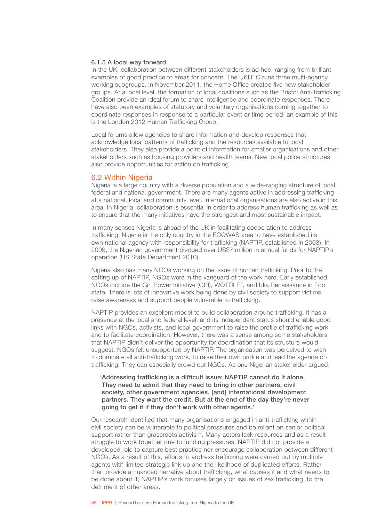#### 6.1.5 A local way forward

In the UK, collaboration between different stakeholders is ad hoc, ranging from brilliant examples of good practice to areas for concern. The UKHTC runs three multi-agency working subgroups. In November 2011, the Home Office created five new stakeholder groups. At a local level, the formation of local coalitions such as the Bristol Anti-Trafficking Coalition provide an ideal forum to share intelligence and coordinate responses. There have also been examples of statutory and voluntary organisations coming together to coordinate responses in response to a particular event or time period; an example of this is the London 2012 Human Trafficking Group.

Local forums allow agencies to share information and develop responses that acknowledge local patterns of trafficking and the resources available to local stakeholders. They also provide a point of information for smaller organisations and other stakeholders such as housing providers and health teams. New local police structures also provide opportunities for action on trafficking.

## 6.2 Within Nigeria

Nigeria is a large country with a diverse population and a wide-ranging structure of local, federal and national government. There are many agents active in addressing trafficking at a national, local and community level. International organisations are also active in this area. In Nigeria, collaboration is essential in order to address human trafficking as well as to ensure that the many initiatives have the strongest and most sustainable impact.

In many senses Nigeria is ahead of the UK in facilitating cooperation to address trafficking. Nigeria is the only country in the ECOWAS area to have established its own national agency with responsibility for trafficking (NAPTIP, established in 2003). In 2009, the Nigerian government pledged over US\$7 million in annual funds for NAPTIP's operation (US State Department 2010).

Nigeria also has many NGOs working on the issue of human trafficking. Prior to the setting up of NAPTIP, NGOs were in the vanguard of the work here. Early established NGOs include the Girl Power Initiative (GPI), WOTCLEF, and Idia Renaissance in Edo state. There is lots of innovative work being done by civil society to support victims, raise awareness and support people vulnerable to trafficking.

NAPTIP provides an excellent model to build collaboration around trafficking. It has a presence at the local and federal level, and its independent status should enable good links with NGOs, activists, and local government to raise the profile of trafficking work and to facilitate coordination. However, there was a sense among some stakeholders that NAPTIP didn't deliver the opportunity for coordination that its structure would suggest. NGOs felt unsupported by NAPTIP. The organisation was perceived to wish to dominate all anti-trafficking work, to raise their own profile and lead the agenda on trafficking. They can especially crowd out NGOs. As one Nigerian stakeholder argued:

'Addressing trafficking is a difficult issue: NAPTIP cannot do it alone. They need to admit that they need to bring in other partners, civil society, other government agencies, [and] international development partners. They want the credit. But at the end of the day they're never going to get it if they don't work with other agents.'

Our research identified that many organisations engaged in anti-trafficking within civil society can be vulnerable to political pressures and be reliant on senior political support rather than grassroots activism. Many actors lack resources and as a result struggle to work together due to funding pressures. NAPTIP did not provide a developed role to capture best practice nor encourage collaboration between different NGOs. As a result of this, efforts to address trafficking were carried out by multiple agents with limited strategic link up and the likelihood of duplicated efforts. Rather than provide a nuanced narrative about trafficking, what causes it and what needs to be done about it, NAPTIP's work focuses largely on issues of sex trafficking, to the detriment of other areas.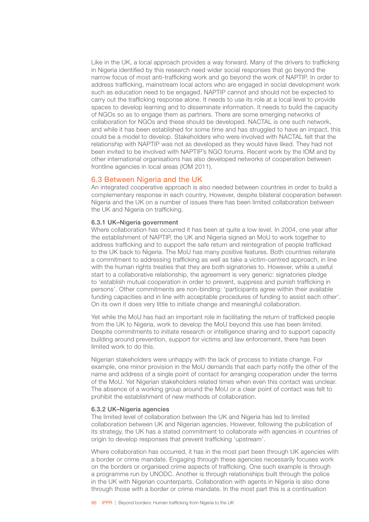Like in the UK, a local approach provides a way forward. Many of the drivers to trafficking in Nigeria identified by this research need wider social responses that go beyond the narrow focus of most anti-trafficking work and go beyond the work of NAPTIP. In order to address trafficking, mainstream local actors who are engaged in social development work such as education need to be engaged. NAPTIP cannot and should not be expected to carry out the trafficking response alone. It needs to use its role at a local level to provide spaces to develop learning and to disseminate information. It needs to build the capacity of NGOs so as to engage them as partners. There are some emerging networks of collaboration for NGOs and these should be developed. NACTAL is one such network, and while it has been established for some time and has struggled to have an impact, this could be a model to develop. Stakeholders who were involved with NACTAL felt that the relationship with NAPTIP was not as developed as they would have liked. They had not been invited to be involved with NAPTIP's NGO forums. Recent work by the IOM and by other international organisations has also developed networks of cooperation between frontline agencies in local areas (IOM 2011).

## 6.3 Between Nigeria and the UK

An integrated cooperative approach is also needed between countries in order to build a complementary response in each country. However, despite bilateral cooperation between Nigeria and the UK on a number of issues there has been limited collaboration between the UK and Nigeria on trafficking.

#### 6.3.1 UK–Nigeria government

Where collaboration has occurred it has been at quite a low level. In 2004, one year after the establishment of NAPTIP, the UK and Nigeria signed an MoU to work together to address trafficking and to support the safe return and reintegration of people trafficked to the UK back to Nigeria. The MoU has many positive features. Both countries reiterate a commitment to addressing trafficking as well as take a victim-centred approach, in line with the human rights treaties that they are both signatories to. However, while a useful start to a collaborative relationship, the agreement is very generic: signatories pledge to 'establish mutual cooperation in order to prevent, suppress and punish trafficking in persons'. Other commitments are non-binding: 'participants agree within their available funding capacities and in line with acceptable procedures of funding to assist each other'. On its own it does very little to initiate change and meaningful collaboration.

Yet while the MoU has had an important role in facilitating the return of trafficked people from the UK to Nigeria, work to develop the MoU beyond this use has been limited. Despite commitments to initiate research or intelligence sharing and to support capacity building around prevention, support for victims and law enforcement, there has been limited work to do this.

Nigerian stakeholders were unhappy with the lack of process to initiate change. For example, one minor provision in the MoU demands that each party notify the other of the name and address of a single point of contact for arranging cooperation under the terms of the MoU. Yet Nigerian stakeholders related times when even this contact was unclear. The absence of a working group around the MoU or a clear point of contact was felt to prohibit the establishment of new methods of collaboration.

#### 6.3.2 UK–Nigeria agencies

The limited level of collaboration between the UK and Nigeria has led to limited collaboration between UK and Nigerian agencies. However, following the publication of its strategy, the UK has a stated commitment to collaborate with agencies in countries of origin to develop responses that prevent trafficking 'upstream'.

Where collaboration has occurred, it has in the most part been through UK agencies with a border or crime mandate. Engaging through these agencies necessarily focuses work on the borders or organised crime aspects of trafficking. One such example is through a programme run by UNODC. Another is through relationships built through the police in the UK with Nigerian counterparts. Collaboration with agents in Nigeria is also done through those with a border or crime mandate. In the most part this is a continuation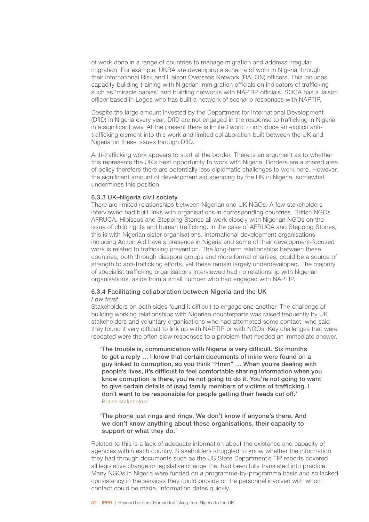of work done in a range of countries to manage migration and address irregular migration. For example, UKBA are developing a schema of work in Nigeria through their international Risk and Liaison Overseas Network (RALON) officers. This includes capacity-building training with Nigerian immigration officials on indicators of trafficking such as 'miracle babies' and building networks with NAPTIP officials. SOCA has a liaison officer based in Lagos who has built a network of scenario responses with NAPTIP.

Despite the large amount invested by the Department for International Development (DfID) in Nigeria every year, DfID are not engaged in the response to trafficking in Nigeria in a significant way. At the present there is limited work to introduce an explicit antitrafficking element into this work and limited collaboration built between the UK and Nigeria on these issues through DfID.

Anti-trafficking work appears to start at the border. There is an argument as to whether this represents the UK's best opportunity to work with Nigeria. Borders are a shared area of policy therefore there are potentially less diplomatic challenges to work here. However, the significant amount of development aid spending by the UK in Nigeria, somewhat undermines this position.

#### 6.3.3 UK–Nigeria civil society

There are limited relationships between Nigerian and UK NGOs. A few stakeholders interviewed had built links with organisations in corresponding countries. British NGOs AFRUCA, Hibiscus and Stepping Stones all work closely with Nigerian NGOs on the issue of child rights and human trafficking. In the case of AFRUCA and Stepping Stones, this is with Nigerian sister organisations. International development organisations including Action Aid have a presence in Nigeria and some of their development-focused work is related to trafficking prevention. The long-term relationships between these countries, both through diaspora groups and more formal charities, could be a source of strength to anti-trafficking efforts, yet these remain largely underdeveloped. The majority of specialist trafficking organisations interviewed had no relationship with Nigerian organisations, aside from a small number who had engaged with NAPTIP.

## 6.3.4 Facilitating collaboration between Nigeria and the UK *Low trust*

Stakeholders on both sides found it difficult to engage one another. The challenge of building working relationships with Nigerian counterparts was raised frequently by UK stakeholders and voluntary organisations who had attempted some contact, who said they found it very difficult to link up with NAPTIP or with NGOs. Key challenges that were repeated were the often slow responses to a problem that needed an immediate answer.

'The trouble is, communication with Nigeria is very difficult. Six months to get a reply … I know that certain documents of mine were found on a guy linked to corruption, so you think "Hmm" … When you're dealing with people's lives, it's difficult to feel comfortable sharing information when you know corruption is there, you're not going to do it. You're not going to want to give certain details of (say) family members of victims of trafficking. I don't want to be responsible for people getting their heads cut off.' British stakeholder

'The phone just rings and rings. We don't know if anyone's there. And we don't know anything about these organisations, their capacity to support or what they do.'

Related to this is a lack of adequate information about the existence and capacity of agencies within each country. Stakeholders struggled to know whether the information they had through documents such as the US State Department's TIP reports covered all legislative change or legislative change that had been fully translated into practice. Many NGOs in Nigeria were funded on a programme-by-programme basis and so lacked consistency in the services they could provide or the personnel involved with whom contact could be made. Information dates quickly.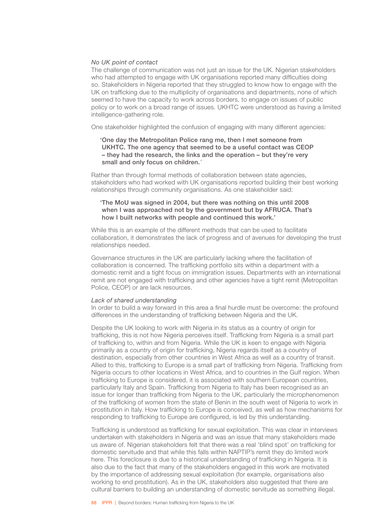#### *No UK point of contact*

The challenge of communication was not just an issue for the UK. Nigerian stakeholders who had attempted to engage with UK organisations reported many difficulties doing so. Stakeholders in Nigeria reported that they struggled to know how to engage with the UK on trafficking due to the multiplicity of organisations and departments, none of which seemed to have the capacity to work across borders, to engage on issues of public policy or to work on a broad range of issues. UKHTC were understood as having a limited intelligence-gathering role.

One stakeholder highlighted the confusion of engaging with many different agencies:

'One day the Metropolitan Police rang me, then I met someone from UKHTC. The one agency that seemed to be a useful contact was CEOP – they had the research, the links and the operation – but they're very small and only focus on children.*'*

Rather than through formal methods of collaboration between state agencies, stakeholders who had worked with UK organisations reported building their best working relationships through community organisations. As one stakeholder said:

## 'The MoU was signed in 2004, but there was nothing on this until 2008 when I was approached not by the government but by AFRUCA. That's how I built networks with people and continued this work.'

While this is an example of the different methods that can be used to facilitate collaboration, it demonstrates the lack of progress and of avenues for developing the trust relationships needed.

Governance structures in the UK are particularly lacking where the facilitation of collaboration is concerned. The trafficking portfolio sits within a department with a domestic remit and a tight focus on immigration issues. Departments with an international remit are not engaged with trafficking and other agencies have a tight remit (Metropolitan Police, CEOP) or are lack resources.

#### *Lack of shared understanding*

In order to build a way forward in this area a final hurdle must be overcome: the profound differences in the understanding of trafficking between Nigeria and the UK.

Despite the UK looking to work with Nigeria in its status as a country of origin for trafficking, this is not how Nigeria perceives itself. Trafficking from Nigeria is a small part of trafficking to, within and from Nigeria. While the UK is keen to engage with Nigeria primarily as a country of origin for trafficking, Nigeria regards itself as a country of destination, especially from other countries in West Africa as well as a country of transit. Allied to this, trafficking to Europe is a small part of trafficking from Nigeria. Trafficking from Nigeria occurs to other locations in West Africa, and to countries in the Gulf region. When trafficking to Europe is considered, it is associated with southern European countries, particularly Italy and Spain. Trafficking from Nigeria to Italy has been recognised as an issue for longer than trafficking from Nigeria to the UK, particularly the microphenomenon of the trafficking of women from the state of Benin in the south west of Nigeria to work in prostitution in Italy. How trafficking to Europe is conceived, as well as how mechanisms for responding to trafficking to Europe are configured, is led by this understanding.

Trafficking is understood as trafficking for sexual exploitation. This was clear in interviews undertaken with stakeholders in Nigeria and was an issue that many stakeholders made us aware of. Nigerian stakeholders felt that there was a real 'blind spot' on trafficking for domestic servitude and that while this falls within NAPTIP's remit they do limited work here. This foreclosure is due to a historical understanding of trafficking in Nigeria. It is also due to the fact that many of the stakeholders engaged in this work are motivated by the importance of addressing sexual exploitation (for example, organisations also working to end prostitution). As in the UK, stakeholders also suggested that there are cultural barriers to building an understanding of domestic servitude as something illegal.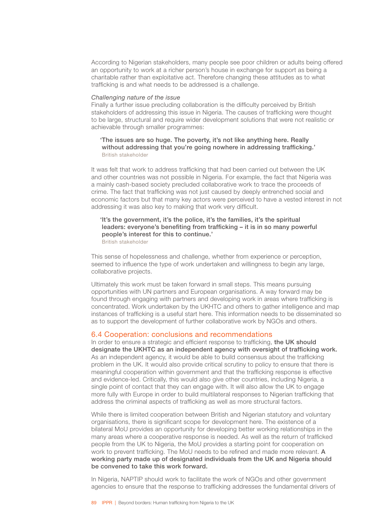According to Nigerian stakeholders, many people see poor children or adults being offered an opportunity to work at a richer person's house in exchange for support as being a charitable rather than exploitative act. Therefore changing these attitudes as to what trafficking is and what needs to be addressed is a challenge.

#### *Challenging nature of the issue*

Finally a further issue precluding collaboration is the difficulty perceived by British stakeholders of addressing this issue in Nigeria. The causes of trafficking were thought to be large, structural and require wider development solutions that were not realistic or achievable through smaller programmes:

## 'The issues are so huge. The poverty, it's not like anything here. Really without addressing that you're going nowhere in addressing trafficking.' British stakeholder

It was felt that work to address trafficking that had been carried out between the UK and other countries was not possible in Nigeria. For example, the fact that Nigeria was a mainly cash-based society precluded collaborative work to trace the proceeds of crime. The fact that trafficking was not just caused by deeply entrenched social and economic factors but that many key actors were perceived to have a vested interest in not addressing it was also key to making that work very difficult.

# 'It's the government, it's the police, it's the families, it's the spiritual leaders: everyone's benefiting from trafficking – it is in so many powerful people's interest for this to continue.'

British stakeholder

This sense of hopelessness and challenge, whether from experience or perception, seemed to influence the type of work undertaken and willingness to begin any large, collaborative projects.

Ultimately this work must be taken forward in small steps. This means pursuing opportunities with UN partners and European organisations. A way forward may be found through engaging with partners and developing work in areas where trafficking is concentrated. Work undertaken by the UKHTC and others to gather intelligence and map instances of trafficking is a useful start here. This information needs to be disseminated so as to support the development of further collaborative work by NGOs and others.

## 6.4 Cooperation: conclusions and recommendations

In order to ensure a strategic and efficient response to trafficking, the UK should designate the UKHTC as an independent agency with oversight of trafficking work. As an independent agency, it would be able to build consensus about the trafficking problem in the UK. It would also provide critical scrutiny to policy to ensure that there is meaningful cooperation within government and that the trafficking response is effective and evidence-led. Critically, this would also give other countries, including Nigeria, a single point of contact that they can engage with. It will also allow the UK to engage more fully with Europe in order to build multilateral responses to Nigerian trafficking that address the criminal aspects of trafficking as well as more structural factors.

While there is limited cooperation between British and Nigerian statutory and voluntary organisations, there is significant scope for development here. The existence of a bilateral MoU provides an opportunity for developing better working relationships in the many areas where a cooperative response is needed. As well as the return of trafficked people from the UK to Nigeria, the MoU provides a starting point for cooperation on work to prevent trafficking. The MoU needs to be refined and made more relevant. A working party made up of designated individuals from the UK and Nigeria should be convened to take this work forward.

In Nigeria, NAPTIP should work to facilitate the work of NGOs and other government agencies to ensure that the response to trafficking addresses the fundamental drivers of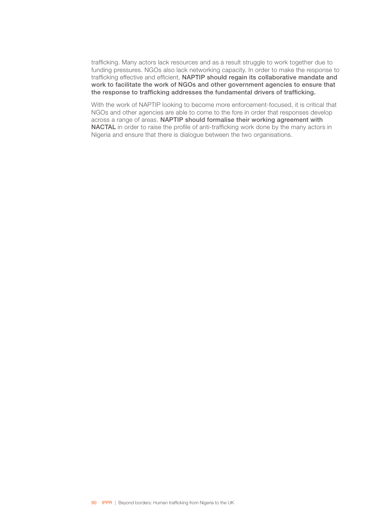trafficking. Many actors lack resources and as a result struggle to work together due to funding pressures. NGOs also lack networking capacity. In order to make the response to trafficking effective and efficient, NAPTIP should regain its collaborative mandate and work to facilitate the work of NGOs and other government agencies to ensure that the response to trafficking addresses the fundamental drivers of trafficking.

With the work of NAPTIP looking to become more enforcement-focused, it is critical that NGOs and other agencies are able to come to the fore in order that responses develop across a range of areas. NAPTIP should formalise their working agreement with NACTAL in order to raise the profile of anti-trafficking work done by the many actors in Nigeria and ensure that there is dialogue between the two organisations.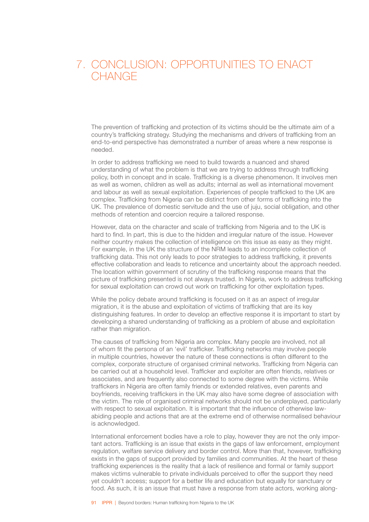# 7. CONCLUSION: OPPORTUNITIES TO ENACT **CHANGE**

The prevention of trafficking and protection of its victims should be the ultimate aim of a country's trafficking strategy. Studying the mechanisms and drivers of trafficking from an end-to-end perspective has demonstrated a number of areas where a new response is needed.

In order to address trafficking we need to build towards a nuanced and shared understanding of what the problem is that we are trying to address through trafficking policy, both in concept and in scale. Trafficking is a diverse phenomenon. It involves men as well as women, children as well as adults; internal as well as international movement and labour as well as sexual exploitation. Experiences of people trafficked to the UK are complex. Trafficking from Nigeria can be distinct from other forms of trafficking into the UK. The prevalence of domestic servitude and the use of juju, social obligation, and other methods of retention and coercion require a tailored response.

However, data on the character and scale of trafficking from Nigeria and to the UK is hard to find. In part, this is due to the hidden and irregular nature of the issue. However neither country makes the collection of intelligence on this issue as easy as they might. For example, in the UK the structure of the NRM leads to an incomplete collection of trafficking data. This not only leads to poor strategies to address trafficking, it prevents effective collaboration and leads to reticence and uncertainty about the approach needed. The location within government of scrutiny of the trafficking response means that the picture of trafficking presented is not always trusted. In Nigeria, work to address trafficking for sexual exploitation can crowd out work on trafficking for other exploitation types.

While the policy debate around trafficking is focused on it as an aspect of irregular migration, it is the abuse and exploitation of victims of trafficking that are its key distinguishing features. In order to develop an effective response it is important to start by developing a shared understanding of trafficking as a problem of abuse and exploitation rather than migration.

The causes of trafficking from Nigeria are complex. Many people are involved, not all of whom fit the persona of an 'evil' trafficker. Trafficking networks may involve people in multiple countries, however the nature of these connections is often different to the complex, corporate structure of organised criminal networks. Trafficking from Nigeria can be carried out at a household level. Trafficker and exploiter are often friends, relatives or associates, and are frequently also connected to some degree with the victims. While traffickers in Nigeria are often family friends or extended relatives, even parents and boyfriends, receiving traffickers in the UK may also have some degree of association with the victim. The role of organised criminal networks should not be underplayed, particularly with respect to sexual exploitation. It is important that the influence of otherwise lawabiding people and actions that are at the extreme end of otherwise normalised behaviour is acknowledged.

International enforcement bodies have a role to play, however they are not the only important actors. Trafficking is an issue that exists in the gaps of law enforcement, employment regulation, welfare service delivery and border control. More than that, however, trafficking exists in the gaps of support provided by families and communities. At the heart of these trafficking experiences is the reality that a lack of resilience and formal or family support makes victims vulnerable to private individuals perceived to offer the support they need yet couldn't access; support for a better life and education but equally for sanctuary or food. As such, it is an issue that must have a response from state actors, working along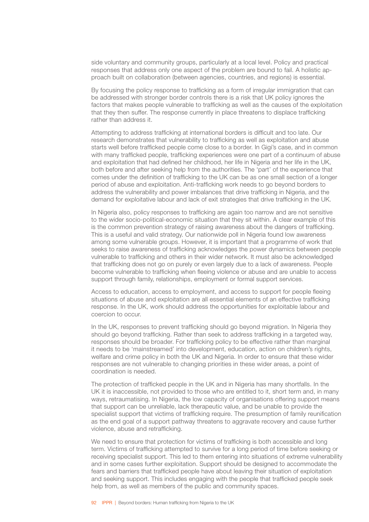side voluntary and community groups, particularly at a local level. Policy and practical responses that address only one aspect of the problem are bound to fail. A holistic approach built on collaboration (between agencies, countries, and regions) is essential.

By focusing the policy response to trafficking as a form of irregular immigration that can be addressed with stronger border controls there is a risk that UK policy ignores the factors that makes people vulnerable to trafficking as well as the causes of the exploitation that they then suffer. The response currently in place threatens to displace trafficking rather than address it.

Attempting to address trafficking at international borders is difficult and too late. Our research demonstrates that vulnerability to trafficking as well as exploitation and abuse starts well before trafficked people come close to a border. In Gigi's case, and in common with many trafficked people, trafficking experiences were one part of a continuum of abuse and exploitation that had defined her childhood, her life in Nigeria and her life in the UK, both before and after seeking help from the authorities. The 'part' of the experience that comes under the definition of trafficking to the UK can be as one small section of a longer period of abuse and exploitation. Anti-trafficking work needs to go beyond borders to address the vulnerability and power imbalances that drive trafficking in Nigeria, and the demand for exploitative labour and lack of exit strategies that drive trafficking in the UK.

In Nigeria also, policy responses to trafficking are again too narrow and are not sensitive to the wider socio-political-economic situation that they sit within. A clear example of this is the common prevention strategy of raising awareness about the dangers of trafficking. This is a useful and valid strategy. Our nationwide poll in Nigeria found low awareness among some vulnerable groups. However, it is important that a programme of work that seeks to raise awareness of trafficking acknowledges the power dynamics between people vulnerable to trafficking and others in their wider network. It must also be acknowledged that trafficking does not go on purely or even largely due to a lack of awareness. People become vulnerable to trafficking when fleeing violence or abuse and are unable to access support through family, relationships, employment or formal support services.

Access to education, access to employment, and access to support for people fleeing situations of abuse and exploitation are all essential elements of an effective trafficking response. In the UK, work should address the opportunities for exploitable labour and coercion to occur.

In the UK, responses to prevent trafficking should go beyond migration. In Nigeria they should go beyond trafficking. Rather than seek to address trafficking in a targeted way, responses should be broader. For trafficking policy to be effective rather than marginal it needs to be 'mainstreamed' into development, education, action on children's rights, welfare and crime policy in both the UK and Nigeria. In order to ensure that these wider responses are not vulnerable to changing priorities in these wider areas, a point of coordination is needed.

The protection of trafficked people in the UK and in Nigeria has many shortfalls. In the UK it is inaccessible, not provided to those who are entitled to it, short term and, in many ways, retraumatising. In Nigeria, the low capacity of organisations offering support means that support can be unreliable, lack therapeutic value, and be unable to provide the specialist support that victims of trafficking require. The presumption of family reunification as the end goal of a support pathway threatens to aggravate recovery and cause further violence, abuse and retrafficking.

We need to ensure that protection for victims of trafficking is both accessible and long term. Victims of trafficking attempted to survive for a long period of time before seeking or receiving specialist support. This led to them entering into situations of extreme vulnerability and in some cases further exploitation. Support should be designed to accommodate the fears and barriers that trafficked people have about leaving their situation of exploitation and seeking support. This includes engaging with the people that trafficked people seek help from, as well as members of the public and community spaces.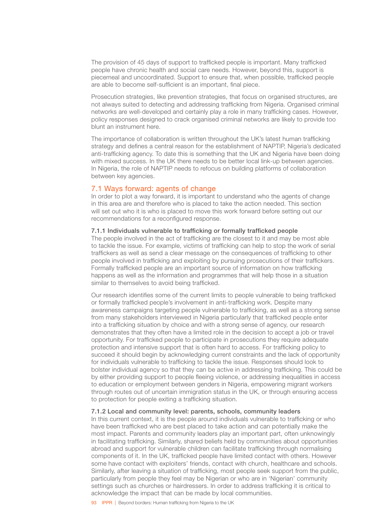The provision of 45 days of support to trafficked people is important. Many trafficked people have chronic health and social care needs. However, beyond this, support is piecemeal and uncoordinated. Support to ensure that, when possible, trafficked people are able to become self-sufficient is an important, final piece.

Prosecution strategies, like prevention strategies, that focus on organised structures, are not always suited to detecting and addressing trafficking from Nigeria. Organised criminal networks are well-developed and certainly play a role in many trafficking cases. However, policy responses designed to crack organised criminal networks are likely to provide too blunt an instrument here.

The importance of collaboration is written throughout the UK's latest human trafficking strategy and defines a central reason for the establishment of NAPTIP, Nigeria's dedicated anti-trafficking agency. To date this is something that the UK and Nigeria have been doing with mixed success. In the UK there needs to be better local link-up between agencies. In Nigeria, the role of NAPTIP needs to refocus on building platforms of collaboration between key agencies.

## 7.1 Ways forward: agents of change

In order to plot a way forward, it is important to understand who the agents of change in this area are and therefore who is placed to take the action needed. This section will set out who it is who is placed to move this work forward before setting out our recommendations for a reconfigured response.

#### 7.1.1 Individuals vulnerable to trafficking or formally trafficked people

The people involved in the act of trafficking are the closest to it and may be most able to tackle the issue. For example, victims of trafficking can help to stop the work of serial traffickers as well as send a clear message on the consequences of trafficking to other people involved in trafficking and exploiting by pursuing prosecutions of their traffickers. Formally trafficked people are an important source of information on how trafficking happens as well as the information and programmes that will help those in a situation similar to themselves to avoid being trafficked.

Our research identifies some of the current limits to people vulnerable to being trafficked or formally trafficked people's involvement in anti-trafficking work. Despite many awareness campaigns targeting people vulnerable to trafficking, as well as a strong sense from many stakeholders interviewed in Nigeria particularly that trafficked people enter into a trafficking situation by choice and with a strong sense of agency, our research demonstrates that they often have a limited role in the decision to accept a job or travel opportunity. For trafficked people to participate in prosecutions they require adequate protection and intensive support that is often hard to access. For trafficking policy to succeed it should begin by acknowledging current constraints and the lack of opportunity for individuals vulnerable to trafficking to tackle the issue. Responses should look to bolster individual agency so that they can be active in addressing trafficking. This could be by either providing support to people fleeing violence, or addressing inequalities in access to education or employment between genders in Nigeria, empowering migrant workers through routes out of uncertain immigration status in the UK, or through ensuring access to protection for people exiting a trafficking situation.

#### 7.1.2 Local and community level: parents, schools, community leaders

In this current context, it is the people around individuals vulnerable to trafficking or who have been trafficked who are best placed to take action and can potentially make the most impact. Parents and community leaders play an important part, often unknowingly in facilitating trafficking. Similarly, shared beliefs held by communities about opportunities abroad and support for vulnerable children can facilitate trafficking through normalising components of it. In the UK, trafficked people have limited contact with others. However some have contact with exploiters' friends, contact with church, healthcare and schools. Similarly, after leaving a situation of trafficking, most people seek support from the public, particularly from people they feel may be Nigerian or who are in 'Nigerian' community settings such as churches or hairdressers. In order to address trafficking it is critical to acknowledge the impact that can be made by local communities.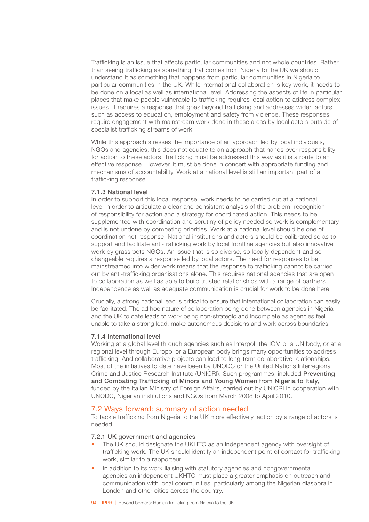Trafficking is an issue that affects particular communities and not whole countries. Rather than seeing trafficking as something that comes from Nigeria to the UK we should understand it as something that happens from particular communities in Nigeria to particular communities in the UK. While international collaboration is key work, it needs to be done on a local as well as international level. Addressing the aspects of life in particular places that make people vulnerable to trafficking requires local action to address complex issues. It requires a response that goes beyond trafficking and addresses wider factors such as access to education, employment and safety from violence. These responses require engagement with mainstream work done in these areas by local actors outside of specialist trafficking streams of work.

While this approach stresses the importance of an approach led by local individuals, NGOs and agencies, this does not equate to an approach that hands over responsibility for action to these actors. Trafficking must be addressed this way as it is a route to an effective response. However, it must be done in concert with appropriate funding and mechanisms of accountability. Work at a national level is still an important part of a trafficking response

#### 7.1.3 National level

In order to support this local response, work needs to be carried out at a national level in order to articulate a clear and consistent analysis of the problem, recognition of responsibility for action and a strategy for coordinated action. This needs to be supplemented with coordination and scrutiny of policy needed so work is complementary and is not undone by competing priorities. Work at a national level should be one of coordination not response. National institutions and actors should be calibrated so as to support and facilitate anti-trafficking work by local frontline agencies but also innovative work by grassroots NGOs. An issue that is so diverse, so locally dependent and so changeable requires a response led by local actors. The need for responses to be mainstreamed into wider work means that the response to trafficking cannot be carried out by anti-trafficking organisations alone. This requires national agencies that are open to collaboration as well as able to build trusted relationships with a range of partners. Independence as well as adequate communication is crucial for work to be done here.

Crucially, a strong national lead is critical to ensure that international collaboration can easily be facilitated. The ad hoc nature of collaboration being done between agencies in Nigeria and the UK to date leads to work being non-strategic and incomplete as agencies feel unable to take a strong lead, make autonomous decisions and work across boundaries.

## 7.1.4 International level

Working at a global level through agencies such as Interpol, the IOM or a UN body, or at a regional level through Europol or a European body brings many opportunities to address trafficking. And collaborative projects can lead to long-term collaborative relationships. Most of the initiatives to date have been by UNODC or the United Nations Interregional Crime and Justice Research Institute (UNICRI). Such programmes, included Preventing and Combating Trafficking of Minors and Young Women from Nigeria to Italy, funded by the Italian Ministry of Foreign Affairs, carried out by UNICRI in cooperation with UNODC, Nigerian institutions and NGOs from March 2008 to April 2010.

## 7.2 Ways forward: summary of action needed

To tackle trafficking from Nigeria to the UK more effectively, action by a range of actors is needed.

## 7.2.1 UK government and agencies

- The UK should designate the UKHTC as an independent agency with oversight of trafficking work. The UK should identify an independent point of contact for trafficking work, similar to a rapporteur*.*
- In addition to its work liaising with statutory agencies and nongovernmental agencies an independent UKHTC must place a greater emphasis on outreach and communication with local communities, particularly among the Nigerian diaspora in London and other cities across the country.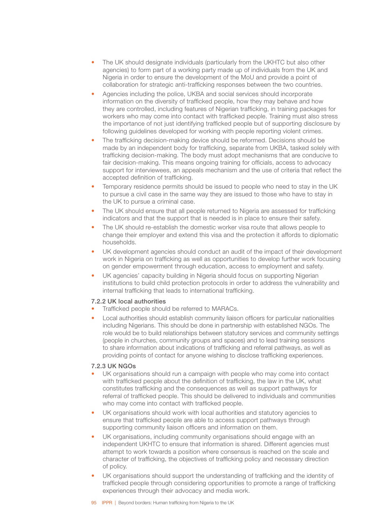- The UK should designate individuals (particularly from the UKHTC but also other agencies) to form part of a working party made up of individuals from the UK and Nigeria in order to ensure the development of the MoU and provide a point of collaboration for strategic anti-trafficking responses between the two countries.
- Agencies including the police, UKBA and social services should incorporate information on the diversity of trafficked people, how they may behave and how they are controlled, including features of Nigerian trafficking, in training packages for workers who may come into contact with trafficked people. Training must also stress the importance of not just identifying trafficked people but of supporting disclosure by following guidelines developed for working with people reporting violent crimes.
- The trafficking decision-making device should be reformed. Decisions should be made by an independent body for trafficking, separate from UKBA, tasked solely with trafficking decision-making. The body must adopt mechanisms that are conducive to fair decision-making. This means ongoing training for officials, access to advocacy support for interviewees, an appeals mechanism and the use of criteria that reflect the accepted definition of trafficking.
- Temporary residence permits should be issued to people who need to stay in the UK to pursue a civil case in the same way they are issued to those who have to stay in the UK to pursue a criminal case.
- The UK should ensure that all people returned to Nigeria are assessed for trafficking indicators and that the support that is needed is in place to ensure their safety.
- The UK should re-establish the domestic worker visa route that allows people to change their employer and extend this visa and the protection it affords to diplomatic households.
- UK development agencies should conduct an audit of the impact of their development work in Nigeria on trafficking as well as opportunities to develop further work focusing on gender empowerment through education, access to employment and safety.
- UK agencies' capacity building in Nigeria should focus on supporting Nigerian institutions to build child protection protocols in order to address the vulnerability and internal trafficking that leads to international trafficking.

## 7.2.2 UK local authorities

- Trafficked people should be referred to MARACs.
- Local authorities should establish community liaison officers for particular nationalities including Nigerians. This should be done in partnership with established NGOs. The role would be to build relationships between statutory services and community settings (people in churches, community groups and spaces) and to lead training sessions to share information about indications of trafficking and referral pathways, as well as providing points of contact for anyone wishing to disclose trafficking experiences.

## 7.2.3 UK NGOs

- UK organisations should run a campaign with people who may come into contact with trafficked people about the definition of trafficking, the law in the UK, what constitutes trafficking and the consequences as well as support pathways for referral of trafficked people. This should be delivered to individuals and communities who may come into contact with trafficked people.
- UK organisations should work with local authorities and statutory agencies to ensure that trafficked people are able to access support pathways through supporting community liaison officers and information on them.
- UK organisations, including community organisations should engage with an independent UKHTC to ensure that information is shared. Different agencies must attempt to work towards a position where consensus is reached on the scale and character of trafficking, the objectives of trafficking policy and necessary direction of policy.
- UK organisations should support the understanding of trafficking and the identity of trafficked people through considering opportunities to promote a range of trafficking experiences through their advocacy and media work.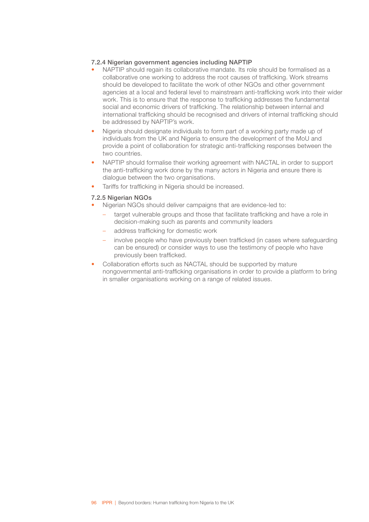## 7.2.4 Nigerian government agencies including NAPTIP

- NAPTIP should regain its collaborative mandate. Its role should be formalised as a collaborative one working to address the root causes of trafficking. Work streams should be developed to facilitate the work of other NGOs and other government agencies at a local and federal level to mainstream anti-trafficking work into their wider work. This is to ensure that the response to trafficking addresses the fundamental social and economic drivers of trafficking. The relationship between internal and international trafficking should be recognised and drivers of internal trafficking should be addressed by NAPTIP's work.
- Nigeria should designate individuals to form part of a working party made up of individuals from the UK and Nigeria to ensure the development of the MoU and provide a point of collaboration for strategic anti-trafficking responses between the two countries.
- NAPTIP should formalise their working agreement with NACTAL in order to support the anti-trafficking work done by the many actors in Nigeria and ensure there is dialogue between the two organisations.
- Tariffs for trafficking in Nigeria should be increased.

## 7.2.5 Nigerian NGOs

- Nigerian NGOs should deliver campaigns that are evidence-led to:
	- target vulnerable groups and those that facilitate trafficking and have a role in decision-making such as parents and community leaders
	- address trafficking for domestic work
	- involve people who have previously been trafficked (in cases where safeguarding can be ensured) or consider ways to use the testimony of people who have previously been trafficked.
- Collaboration efforts such as NACTAL should be supported by mature nongovernmental anti-trafficking organisations in order to provide a platform to bring in smaller organisations working on a range of related issues.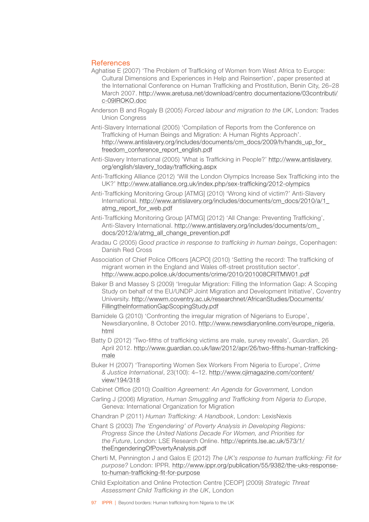# References

- Aghatise E (2007) 'The Problem of Trafficking of Women from West Africa to Europe: Cultural Dimensions and Experiences in Help and Reinsertion', paper presented at the International Conference on Human Trafficking and Prostitution, Benin City, 26–28 March 2007. [http://www.aretusa.net/download/centro documentazione/03contributi/](http://www.aretusa.net/download/centro documentazione/03contributi/c-09IROKO.doc) [c-09IROKO.doc](http://www.aretusa.net/download/centro documentazione/03contributi/c-09IROKO.doc)
- Anderson B and Rogaly B (2005) *Forced labour and migration to the UK*, London: Trades Union Congress
- Anti-Slavery International (2005) 'Compilation of Reports from the Conference on Trafficking of Human Beings and Migration: A Human Rights Approach'. [http://www.antislavery.org/includes/documents/cm\\_docs/2009/h/hands\\_up\\_for\\_](http://www.antislavery.org/includes/documents/cm_docs/2009/h/hands_up_for_freedom_conference_report_english.pdf) [freedom\\_conference\\_report\\_english.pdf](http://www.antislavery.org/includes/documents/cm_docs/2009/h/hands_up_for_freedom_conference_report_english.pdf)
- Anti-Slavery International (2005) 'What is Trafficking in People?' [http://www.antislavery.](http://www.antislavery.org/english/slavery_today/trafficking.aspx) [org/english/slavery\\_today/trafficking.aspx](http://www.antislavery.org/english/slavery_today/trafficking.aspx)
- Anti-Trafficking Alliance (2012) 'Will the London Olympics Increase Sex Trafficking into the UK?' <http://www.atalliance.org.uk/index.php/sex-trafficking/2012-olympics>
- Anti-Trafficking Monitoring Group [ATMG] (2010) 'Wrong kind of victim?' Anti-Slavery International. [http://www.antislavery.org/includes/documents/cm\\_docs/2010/a/1\\_](http://www.antislavery.org/includes/documents/cm_docs/2010/a/1_atmg_report_for_web.pdf) [atmg\\_report\\_for\\_web.pdf](http://www.antislavery.org/includes/documents/cm_docs/2010/a/1_atmg_report_for_web.pdf)
- Anti-Trafficking Monitoring Group [ATMG] (2012) 'All Change: Preventing Trafficking', Anti-Slavery International. [http://www.antislavery.org/includes/documents/cm\\_](http://www.antislavery.org/includes/documents/cm_docs/2012/a/atmg_all_change_prevention.pdf) [docs/2012/a/atmg\\_all\\_change\\_prevention.pdf](http://www.antislavery.org/includes/documents/cm_docs/2012/a/atmg_all_change_prevention.pdf)
- Aradau C (2005) *Good practice in response to trafficking in human beings*, Copenhagen: Danish Red Cross
- Association of Chief Police Officers [ACPO] (2010) 'Setting the record: The trafficking of migrant women in the England and Wales off-street prostitution sector'. <http://www.acpo.police.uk/documents/crime/2010/201008CRITMW01.pdf>
- Baker B and Massey S (2009) 'Irregular Migration: Filling the Information Gap: A Scoping Study on behalf of the EU/UNDP Joint Migration and Development Initiative', Coventry University. [http://wwwm.coventry.ac.uk/researchnet/AfricanStudies/Documents/](http://wwwm.coventry.ac.uk/researchnet/AfricanStudies/Documents/FillingtheInformationGapScopingStudy.pdf) [FillingtheInformationGapScopingStudy.pdf](http://wwwm.coventry.ac.uk/researchnet/AfricanStudies/Documents/FillingtheInformationGapScopingStudy.pdf)
- Bamidele G (2010) 'Confronting the irregular migration of Nigerians to Europe', Newsdiaryonline, 8 October 2010. [http://www.newsdiaryonline.com/europe\\_nigeria.](http://www.newsdiaryonline.com/europe_nigeria.html) [html](http://www.newsdiaryonline.com/europe_nigeria.html)
- Batty D (2012) 'Two-fifths of trafficking victims are male, survey reveals', *Guardian*, 26 April 2012. [http://www.guardian.co.uk/law/2012/apr/26/two-fifths-human-trafficking](http://www.guardian.co.uk/law/2012/apr/26/two-fifths-human-trafficking-male)[male](http://www.guardian.co.uk/law/2012/apr/26/two-fifths-human-trafficking-male)
- Buker H (2007) 'Transporting Women Sex Workers From Nigeria to Europe', *Crime & Justice International*, 23(100): 4–12. [http://www.cjimagazine.com/content/](http://www.cjimagazine.com/content/view/194/318) [view/194/318](http://www.cjimagazine.com/content/view/194/318)
- Cabinet Office (2010) *Coalition Agreement: An Agenda for Government,* London
- Carling J (2006) *Migration, Human Smuggling and Trafficking from Nigeria to Europe*, Geneva: International Organization for Migration
- Chandran P (2011) *Human Trafficking: A Handbook*, London: LexisNexis
- Chant S (2003) *The 'Engendering' of Poverty Analysis in Developing Regions: Progress Since the United Nations Decade For Women, and Priorities for the Future*, London: LSE Research Online. [http://eprints.lse.ac.uk/573/1/](http://eprints.lse.ac.uk/573/1/theEngenderingOfPovertyAnalysis.pdf) [theEngenderingOfPovertyAnalysis.pdf](http://eprints.lse.ac.uk/573/1/theEngenderingOfPovertyAnalysis.pdf)
- Cherti M, Pennington J and Galos E (2012) *The UK's response to human trafficking: Fit for purpose?* London: IPPR. [http://www.ippr.org/publication/55/9382/the-uks-response](http://www.ippr.org/publication/55/9382/the-uks-response-to-human-trafficking-fit-for-purpose)[to-human-trafficking-fit-for-purpose](http://www.ippr.org/publication/55/9382/the-uks-response-to-human-trafficking-fit-for-purpose)
- Child Exploitation and Online Protection Centre [CEOP] (2009) *Strategic Threat Assessment Child Trafficking in the UK*, London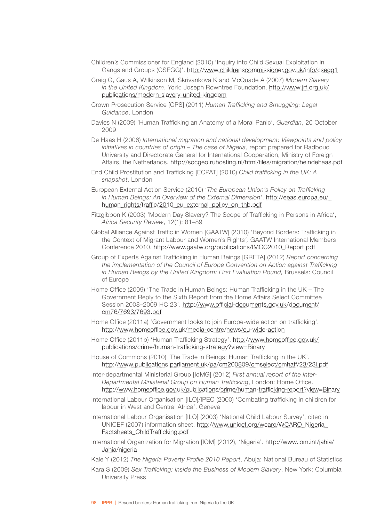- Children's Commissioner for England (2010) 'Inquiry into Child Sexual Exploitation in Gangs and Groups (CSEGG)'. <http://www.childrenscommissioner.gov.uk/info/csegg1>
- Craig G, Gaus A, Wilkinson M, Skrivankova K and McQuade A (2007) *Modern Slavery in the United Kingdom*, York: Joseph Rowntree Foundation. [http://www.jrf.org.uk/](http://www.jrf.org.uk/publications/modern-slavery-united-kingdom) [publications/modern-slavery-united-kingdom](http://www.jrf.org.uk/publications/modern-slavery-united-kingdom)
- Crown Prosecution Service [CPS] (2011) *Human Trafficking and Smuggling: Legal Guidance*, London
- Davies N (2009) 'Human Trafficking an Anatomy of a Moral Panic', *Guardian*, 20 October 2009
- De Haas H (2006) *International migration and national development: Viewpoints and policy initiatives in countries of origin – The case of Nigeria*, report prepared for Radboud University and Directorate General for International Cooperation, Ministry of Foreign Affairs, the Netherlands. <http://socgeo.ruhosting.nl/html/files/migration/heindehaas.pdf>
- End Child Prostitution and Trafficking [ECPAT] (2010) *Child trafficking in the UK: A snapshot*, London
- European External Action Service (2010) '*The European Union's Policy on Trafficking in Human Beings: An Overview of the External Dimension'*. [http://eeas.europa.eu/\\_](http://eeas.europa.eu/_human_rights/traffic/2010_eu_external_policy_on_thb.pdf) [human\\_rights/traffic/2010\\_eu\\_external\\_policy\\_on\\_thb.pdf](http://eeas.europa.eu/_human_rights/traffic/2010_eu_external_policy_on_thb.pdf)
- Fitzgibbon K (2003) 'Modern Day Slavery? The Scope of Trafficking in Persons in Africa', *Africa Security Review*, 12(1): 81–89
- Global Alliance Against Traffic in Women [GAATW] (2010) 'Beyond Borders: Trafficking in the Context of Migrant Labour and Women's Rights*',* GAATW International Members Conference 2010. [http://www.gaatw.org/publications/IMCC2010\\_Report.pdf](http://www.gaatw.org/publications/IMCC2010_Report.pdf)
- Group of Experts Against Trafficking in Human Beings [GRETA] (2012) *Report concerning the implementation of the Council of Europe Convention on Action against Trafficking in Human Beings by the United Kingdom: First Evaluation Round,* Brussels: Council of Europe
- Home Office (2009) 'The Trade in Human Beings: Human Trafficking in the UK The Government Reply to the Sixth Report from the Home Affairs Select Committee Session 2008–2009 HC 23'. [http://www.official-documents.gov.uk/document/](http://www.official-documents.gov.uk/document/cm76/7693/7693.pdf) [cm76/7693/7693.pdf](http://www.official-documents.gov.uk/document/cm76/7693/7693.pdf)
- Home Office (2011a) 'Government looks to join Europe-wide action on trafficking'. <http://www.homeoffice.gov.uk/media-centre/news/eu-wide-action>
- Home Office (2011b) 'Human Trafficking Strategy'. [http://www.homeoffice.gov.uk/](http://www.homeoffice.gov.uk/publications/crime/human-trafficking-strategy?view=Binary) [publications/crime/human-trafficking-strategy?view=Binary](http://www.homeoffice.gov.uk/publications/crime/human-trafficking-strategy?view=Binary)
- House of Commons (2010) 'The Trade in Beings: Human Trafficking in the UK'. <http://www.publications.parliament.uk/pa/cm200809/cmselect/cmhaff/23/23i.pdf>
- Inter-departmental Ministerial Group [IdMG] (2012) *First annual report of the Inter-Departmental Ministerial Group on Human Trafficking*, London: Home Office. <http://www.homeoffice.gov.uk/publications/crime/human-trafficking-report?view=Binary>
- International Labour Organisation [ILO]/IPEC (2000) 'Combating trafficking in children for labour in West and Central Africa', Geneva
- International Labour Organisation [ILO] (2003) 'National Child Labour Survey', cited in UNICEF (2007) information sheet. [http://www.unicef.org/wcaro/WCARO\\_Nigeria\\_](http://www.unicef.org/wcaro/WCARO_Nigeria_Factsheets_ChildTrafficking.pdf) [Factsheets\\_ChildTrafficking.pdf](http://www.unicef.org/wcaro/WCARO_Nigeria_Factsheets_ChildTrafficking.pdf)
- International Organization for Migration [IOM] (2012), 'Nigeria'. [http://www.iom.int/jahia/](http://www.iom.int/jahia/Jahia/nigeria) [Jahia/nigeria](http://www.iom.int/jahia/Jahia/nigeria)
- Kale Y (2012) *The Nigeria Poverty Profile 2010 Report*, Abuja: National Bureau of Statistics
- Kara S (2009) *Sex Trafficking: Inside the Business of Modern Slavery*, New York: Columbia University Press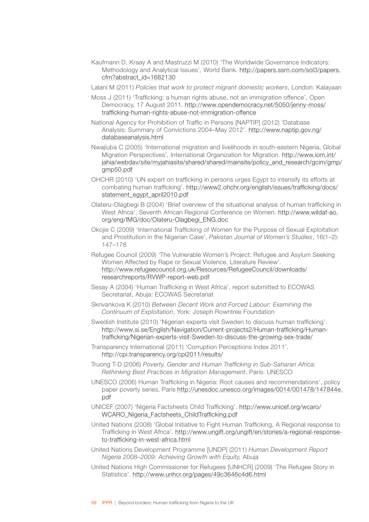Kaufmann D, Kraay A and Mastruzzi M (2010) 'The Worldwide Governance Indicators: Methodology and Analytical Issues'*,* World Bank*.* [http://papers.ssrn.com/sol3/papers.](http://papers.ssrn.com/sol3/papers.cfm?abstract_id=1682130) [cfm?abstract\\_id=1682130](http://papers.ssrn.com/sol3/papers.cfm?abstract_id=1682130)

Lalani M (2011) *Policies that work to protect migrant domestic workers*, London: Kalayaan

- Moss J (2011) 'Trafficking: a human rights abuse, not an immigration offence', Open Democracy, 17 August 2011. [http://www.opendemocracy.net/5050/jenny-moss/](http://www.opendemocracy.net/5050/jenny-moss/trafficking-human-rights-abuse-not-immigration-offence) [trafficking-human-rights-abuse-not-immigration-offence](http://www.opendemocracy.net/5050/jenny-moss/trafficking-human-rights-abuse-not-immigration-offence)
- National Agency for Prohibition of Traffic in Persons [NAPTIP] (2012) 'Database Analysis: Summary of Convictions 2004–May 2012'. [http://www.naptip.gov.ng/](http://www.naptip.gov.ng/databaseanalysis.html) [databaseanalysis.html](http://www.naptip.gov.ng/databaseanalysis.html)
- Nwajiuba C (2005) 'International migration and livelihoods in south-eastern Nigeria, Global Migration Perspectives', International Organization for Migration. [http://www.iom.int/](http://www.iom.int/jahia/webdav/site/myjahiasite/shared/shared/mainsite/policy_and_research/gcim/gmp/gmp50.pdf) [jahia/webdav/site/myjahiasite/shared/shared/mainsite/policy\\_and\\_research/gcim/gmp/](http://www.iom.int/jahia/webdav/site/myjahiasite/shared/shared/mainsite/policy_and_research/gcim/gmp/gmp50.pdf) [gmp50.pdf](http://www.iom.int/jahia/webdav/site/myjahiasite/shared/shared/mainsite/policy_and_research/gcim/gmp/gmp50.pdf)
- OHCHR (2010) 'UN expert on trafficking in persons urges Egypt to intensify its efforts at combating human trafficking'. [http://www2.ohchr.org/english/issues/trafficking/docs/](http://www2.ohchr.org/english/issues/trafficking/docs/statement_egypt_april2010.pdf) [statement\\_egypt\\_april2010.pdf](http://www2.ohchr.org/english/issues/trafficking/docs/statement_egypt_april2010.pdf)
- Olateru-Olagbegi B (2004) 'Brief overview of the situational analysis of human trafficking in West Africa', Seventh African Regional Conference on Women. [http://www.wildaf-ao.](http://www.wildaf-ao.org/eng/IMG/doc/Olateru-Olagbegi_ENG.doc) [org/eng/IMG/doc/Olateru-Olagbegi\\_ENG.doc](http://www.wildaf-ao.org/eng/IMG/doc/Olateru-Olagbegi_ENG.doc)
- Okojie C (2009) 'International Trafficking of Women for the Purpose of Sexual Exploitation and Prostitution in the Nigerian Case', *Pakistan Journal of Women's Studies*, 16(1–2): 147–178
- Refugee Council (2009) 'The Vulnerable Women's Project: Refugee and Asylum Seeking Women Affected by Rape or Sexual Violence, Literature Review'. [http://www.refugeecouncil.org.uk/Resources/RefugeeCouncil/downloads/](file:///U:/!%20web%20papers/beyond%20irregularity/trafficking%20final%20Nov2012/ncil.org.uk/Resources/RefugeeCouncil/downloads/researchreports/RVWP-report-web.pdf) [researchreports/RVWP-report-web.pdf](file:///U:/!%20web%20papers/beyond%20irregularity/trafficking%20final%20Nov2012/ncil.org.uk/Resources/RefugeeCouncil/downloads/researchreports/RVWP-report-web.pdf)
- Sesay A (2004) 'Human Trafficking in West Africa', report submitted to ECOWAS Secretariat, Abuja: ECOWAS Secretariat
- Skrivankova K (2010) *Between Decent Work and Forced Labour: Examining the Continuum of Exploitation*, York: Joseph Rowntree Foundation
- Swedish Institute (2010) 'Nigerian experts visit Sweden to discuss human trafficking'. [http://www.si.se/English/Navigation/Current-projects2/Human-trafficking/Human](http://www.si.se/English/Navigation/Current-projects2/Human-trafficking/Human-trafficking/Nigerian-experts-visit-Sweden-to-discuss-the-growing-sex-trade/)[trafficking/Nigerian-experts-visit-Sweden-to-discuss-the-growing-sex-trade/](http://www.si.se/English/Navigation/Current-projects2/Human-trafficking/Human-trafficking/Nigerian-experts-visit-Sweden-to-discuss-the-growing-sex-trade/)
- Transparency International (2011) 'Corruption Perceptions Index 2011'. <http://cpi.transparency.org/cpi2011/results/>
- Truong T-D (2006) *Poverty, Gender and Human Trafficking in Sub-Saharan Africa: Rethinking Best Practices in Migration Management*, Paris: UNESCO
- UNESCO (2006) Human Trafficking in Nigeria: Root causes and recommendations', policy paper poverty series, Paris [http://unesdoc.unesco.org/images/0014/001478/147844e.](http://unesdoc.unesco.org/images/0014/001478/147844e.pdf) [pdf](http://unesdoc.unesco.org/images/0014/001478/147844e.pdf)
- UNICEF (2007) 'Nigeria Factsheets Child Trafficking'. [http://www.unicef.org/wcaro/](http://www.unicef.org/wcaro/WCARO_Nigeria_Factsheets_ChildTrafficking.pdf) [WCARO\\_Nigeria\\_Factsheets\\_ChildTrafficking.pdf](http://www.unicef.org/wcaro/WCARO_Nigeria_Factsheets_ChildTrafficking.pdf)
- United Nations (2008) 'Global Initiative to Fight Human Trafficking, A Regional response to Trafficking in West Africa'. [http://www.ungift.org/ungift/en/stories/a-regional-response](http://www.ungift.org/ungift/en/stories/a-regional-response-to-trafficking-in-west-africa.html)[to-trafficking-in-west-africa.html](http://www.ungift.org/ungift/en/stories/a-regional-response-to-trafficking-in-west-africa.html)
- United Nations Development Programme [UNDP] (2011) *Human Development Report Nigeria 2008–2009: Achieving Growth with Equity,* Abuja
- United Nations High Commissioner for Refugees [UNHCR] (2009) 'The Refugee Story in Statistics'.<http://www.unhcr.org/pages/49c3646c4d6.html>